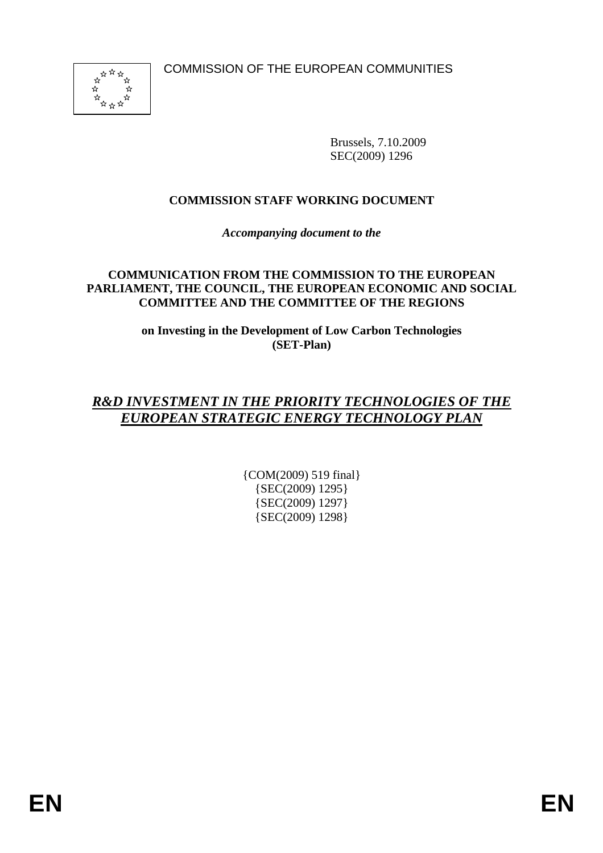

Brussels, 7.10.2009 SEC(2009) 1296

## **COMMISSION STAFF WORKING DOCUMENT**

*Accompanying document to the* 

#### **COMMUNICATION FROM THE COMMISSION TO THE EUROPEAN PARLIAMENT, THE COUNCIL, THE EUROPEAN ECONOMIC AND SOCIAL COMMITTEE AND THE COMMITTEE OF THE REGIONS**

**on Investing in the Development of Low Carbon Technologies (SET-Plan)** 

# *R&D INVESTMENT IN THE PRIORITY TECHNOLOGIES OF THE EUROPEAN STRATEGIC ENERGY TECHNOLOGY PLAN*

{COM(2009) 519 final} {SEC(2009) 1295} {SEC(2009) 1297} {SEC(2009) 1298}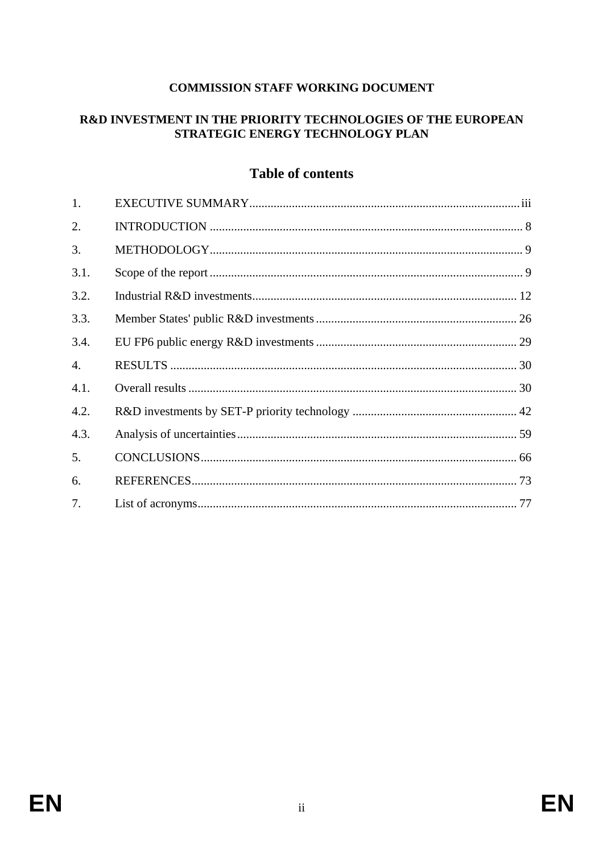## **COMMISSION STAFF WORKING DOCUMENT**

## R&D INVESTMENT IN THE PRIORITY TECHNOLOGIES OF THE EUROPEAN STRATEGIC ENERGY TECHNOLOGY PLAN

## **Table of contents**

| 1.   |  |
|------|--|
| 2.   |  |
| 3.   |  |
| 3.1. |  |
| 3.2. |  |
| 3.3. |  |
| 3.4. |  |
| 4.   |  |
| 4.1. |  |
| 4.2. |  |
| 4.3. |  |
| 5.   |  |
| 6.   |  |
| 7.   |  |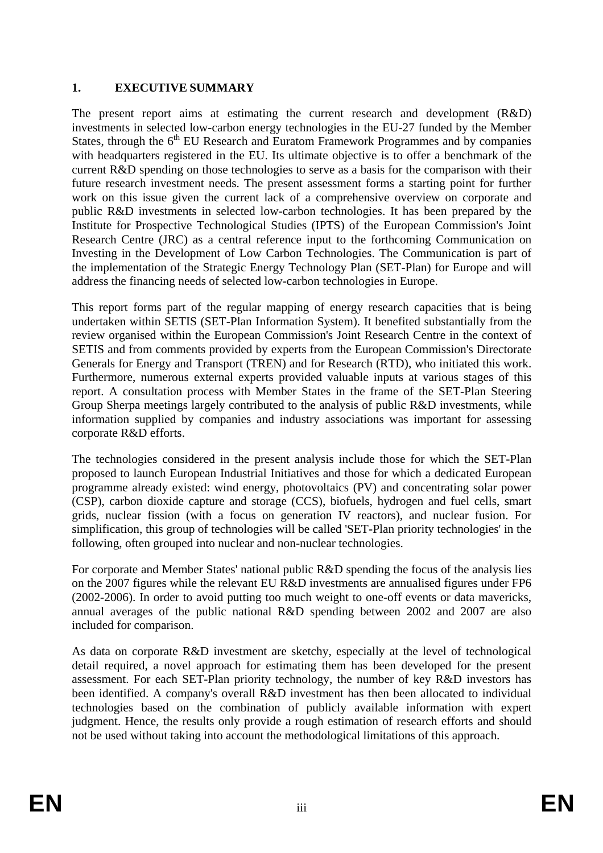## <span id="page-2-0"></span>**1. EXECUTIVE SUMMARY**

The present report aims at estimating the current research and development (R&D) investments in selected low-carbon energy technologies in the EU-27 funded by the Member States, through the  $6<sup>th</sup>$  EU Research and Euratom Framework Programmes and by companies with headquarters registered in the EU. Its ultimate objective is to offer a benchmark of the current R&D spending on those technologies to serve as a basis for the comparison with their future research investment needs. The present assessment forms a starting point for further work on this issue given the current lack of a comprehensive overview on corporate and public R&D investments in selected low-carbon technologies. It has been prepared by the Institute for Prospective Technological Studies (IPTS) of the European Commission's Joint Research Centre (JRC) as a central reference input to the forthcoming Communication on Investing in the Development of Low Carbon Technologies. The Communication is part of the implementation of the Strategic Energy Technology Plan (SET-Plan) for Europe and will address the financing needs of selected low-carbon technologies in Europe.

This report forms part of the regular mapping of energy research capacities that is being undertaken within SETIS (SET-Plan Information System). It benefited substantially from the review organised within the European Commission's Joint Research Centre in the context of SETIS and from comments provided by experts from the European Commission's Directorate Generals for Energy and Transport (TREN) and for Research (RTD), who initiated this work. Furthermore, numerous external experts provided valuable inputs at various stages of this report. A consultation process with Member States in the frame of the SET-Plan Steering Group Sherpa meetings largely contributed to the analysis of public R&D investments, while information supplied by companies and industry associations was important for assessing corporate R&D efforts.

The technologies considered in the present analysis include those for which the SET-Plan proposed to launch European Industrial Initiatives and those for which a dedicated European programme already existed: wind energy, photovoltaics (PV) and concentrating solar power (CSP), carbon dioxide capture and storage (CCS), biofuels, hydrogen and fuel cells, smart grids, nuclear fission (with a focus on generation IV reactors), and nuclear fusion. For simplification, this group of technologies will be called 'SET-Plan priority technologies' in the following, often grouped into nuclear and non-nuclear technologies.

For corporate and Member States' national public R&D spending the focus of the analysis lies on the 2007 figures while the relevant EU R&D investments are annualised figures under FP6 (2002-2006). In order to avoid putting too much weight to one-off events or data mavericks, annual averages of the public national R&D spending between 2002 and 2007 are also included for comparison.

As data on corporate R&D investment are sketchy, especially at the level of technological detail required, a novel approach for estimating them has been developed for the present assessment. For each SET-Plan priority technology, the number of key R&D investors has been identified. A company's overall R&D investment has then been allocated to individual technologies based on the combination of publicly available information with expert judgment. Hence, the results only provide a rough estimation of research efforts and should not be used without taking into account the methodological limitations of this approach.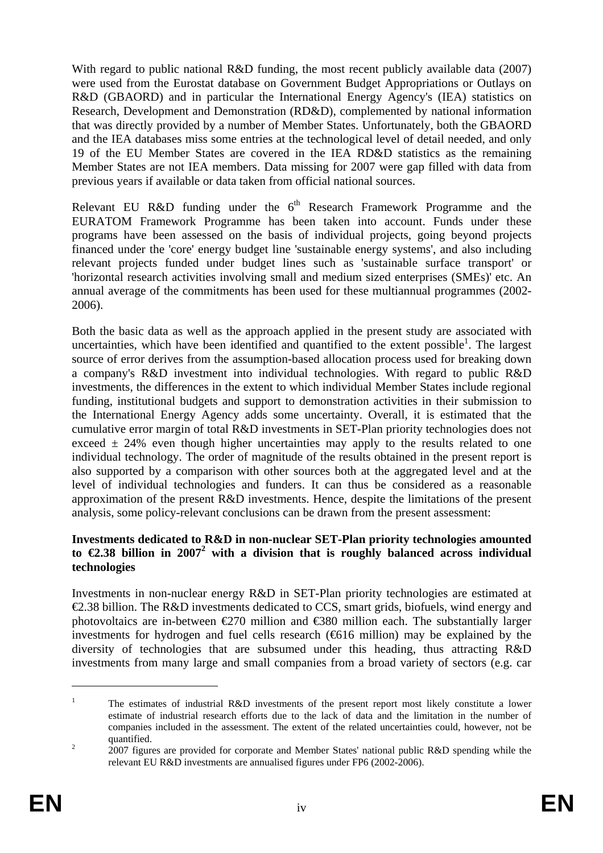With regard to public national R&D funding, the most recent publicly available data (2007) were used from the Eurostat database on Government Budget Appropriations or Outlays on R&D (GBAORD) and in particular the International Energy Agency's (IEA) statistics on Research, Development and Demonstration (RD&D), complemented by national information that was directly provided by a number of Member States. Unfortunately, both the GBAORD and the IEA databases miss some entries at the technological level of detail needed, and only 19 of the EU Member States are covered in the IEA RD&D statistics as the remaining Member States are not IEA members. Data missing for 2007 were gap filled with data from previous years if available or data taken from official national sources.

Relevant EU R&D funding under the  $6<sup>th</sup>$  Research Framework Programme and the EURATOM Framework Programme has been taken into account. Funds under these programs have been assessed on the basis of individual projects, going beyond projects financed under the 'core' energy budget line 'sustainable energy systems', and also including relevant projects funded under budget lines such as 'sustainable surface transport' or 'horizontal research activities involving small and medium sized enterprises (SMEs)' etc. An annual average of the commitments has been used for these multiannual programmes (2002- 2006).

Both the basic data as well as the approach applied in the present study are associated with uncertainties, which have been identified and quantified to the extent possible<sup>1</sup>. The largest source of error derives from the assumption-based allocation process used for breaking down a company's R&D investment into individual technologies. With regard to public R&D investments, the differences in the extent to which individual Member States include regional funding, institutional budgets and support to demonstration activities in their submission to the International Energy Agency adds some uncertainty. Overall, it is estimated that the cumulative error margin of total R&D investments in SET-Plan priority technologies does not exceed  $\pm$  24% even though higher uncertainties may apply to the results related to one individual technology. The order of magnitude of the results obtained in the present report is also supported by a comparison with other sources both at the aggregated level and at the level of individual technologies and funders. It can thus be considered as a reasonable approximation of the present R&D investments. Hence, despite the limitations of the present analysis, some policy-relevant conclusions can be drawn from the present assessment:

#### **Investments dedicated to R&D in non-nuclear SET-Plan priority technologies amounted**  to  $\epsilon$ 2.38 billion in 2007<sup>2</sup> with a division that is roughly balanced across individual **technologies**

Investments in non-nuclear energy R&D in SET-Plan priority technologies are estimated at €2.38 billion. The R&D investments dedicated to CCS, smart grids, biofuels, wind energy and photovoltaics are in-between  $\epsilon$ 270 million and  $\epsilon$ 380 million each. The substantially larger investments for hydrogen and fuel cells research  $(6616 \text{ million})$  may be explained by the diversity of technologies that are subsumed under this heading, thus attracting R&D investments from many large and small companies from a broad variety of sectors (e.g. car

<sup>1</sup> The estimates of industrial R&D investments of the present report most likely constitute a lower estimate of industrial research efforts due to the lack of data and the limitation in the number of companies included in the assessment. The extent of the related uncertainties could, however, not be quantified.

 <sup>2007</sup> figures are provided for corporate and Member States' national public R&D spending while the relevant EU R&D investments are annualised figures under FP6 (2002-2006).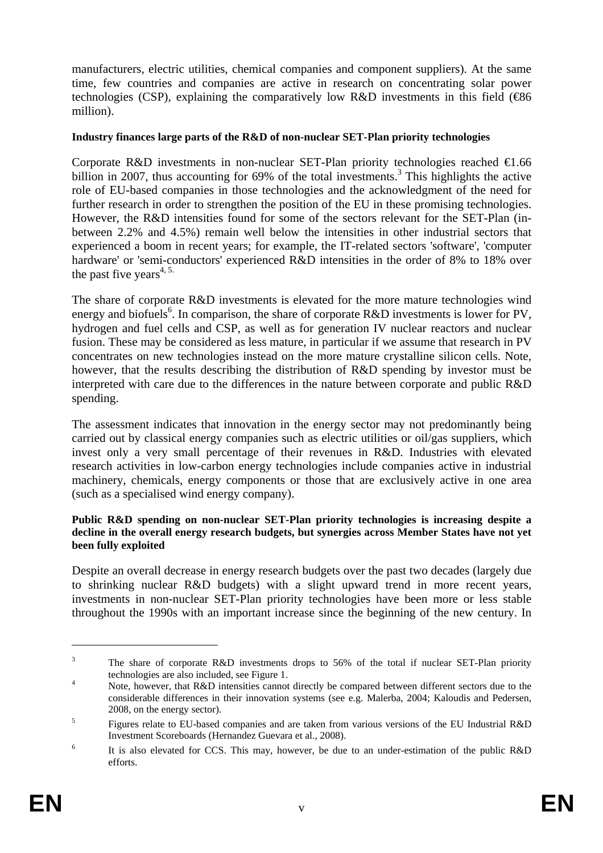manufacturers, electric utilities, chemical companies and component suppliers). At the same time, few countries and companies are active in research on concentrating solar power technologies (CSP), explaining the comparatively low  $R&D$  investments in this field ( $\bigoplus 6$ million).

#### **Industry finances large parts of the R&D of non-nuclear SET-Plan priority technologies**

Corporate R&D investments in non-nuclear SET-Plan priority technologies reached  $\in$ 1.66 billion in 2007, thus accounting for 69% of the total investments.<sup>3</sup> This highlights the active role of EU-based companies in those technologies and the acknowledgment of the need for further research in order to strengthen the position of the EU in these promising technologies. However, the R&D intensities found for some of the sectors relevant for the SET-Plan (inbetween 2.2% and 4.5%) remain well below the intensities in other industrial sectors that experienced a boom in recent years; for example, the IT-related sectors 'software', 'computer hardware' or 'semi-conductors' experienced R&D intensities in the order of 8% to 18% over the past five years<sup>4, 5.</sup>

The share of corporate R&D investments is elevated for the more mature technologies wind energy and biofuels<sup>6</sup>. In comparison, the share of corporate R&D investments is lower for PV, hydrogen and fuel cells and CSP, as well as for generation IV nuclear reactors and nuclear fusion. These may be considered as less mature, in particular if we assume that research in PV concentrates on new technologies instead on the more mature crystalline silicon cells. Note, however, that the results describing the distribution of R&D spending by investor must be interpreted with care due to the differences in the nature between corporate and public R&D spending.

The assessment indicates that innovation in the energy sector may not predominantly being carried out by classical energy companies such as electric utilities or oil/gas suppliers, which invest only a very small percentage of their revenues in R&D. Industries with elevated research activities in low-carbon energy technologies include companies active in industrial machinery, chemicals, energy components or those that are exclusively active in one area (such as a specialised wind energy company).

#### **Public R&D spending on non-nuclear SET-Plan priority technologies is increasing despite a decline in the overall energy research budgets, but synergies across Member States have not yet been fully exploited**

Despite an overall decrease in energy research budgets over the past two decades (largely due to shrinking nuclear R&D budgets) with a slight upward trend in more recent years, investments in non-nuclear SET-Plan priority technologies have been more or less stable throughout the 1990s with an important increase since the beginning of the new century. In

<sup>3</sup> The share of corporate R&D investments drops to 56% of the total if nuclear SET-Plan priority technologies are also included, see Figure 1.

Note, however, that R&D intensities cannot directly be compared between different sectors due to the considerable differences in their innovation systems (see e.g. Malerba, 2004; Kaloudis and Pedersen, 2008, on the energy sector).

<sup>5</sup> Figures relate to EU-based companies and are taken from various versions of the EU Industrial R&D Investment Scoreboards (Hernandez Guevara et al., 2008). 6

It is also elevated for CCS. This may, however, be due to an under-estimation of the public R&D efforts.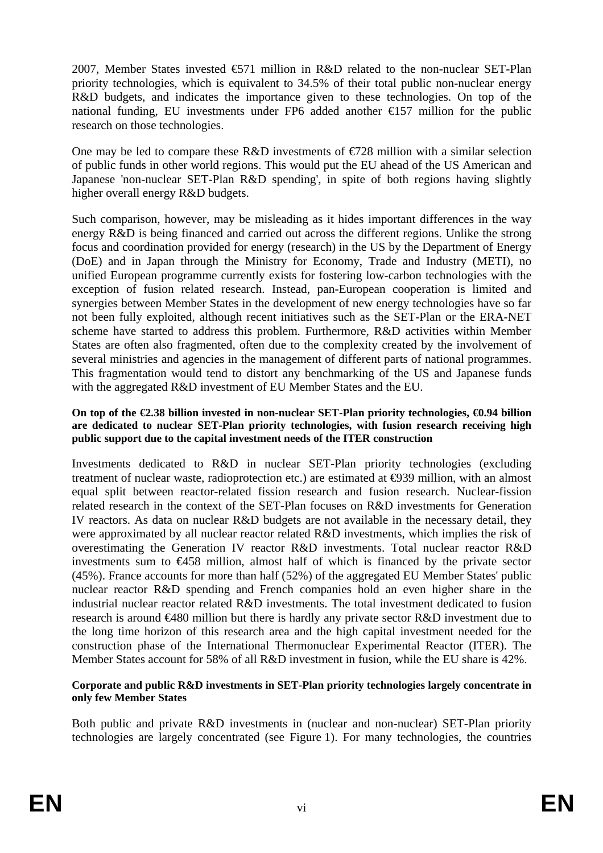2007, Member States invested €571 million in R&D related to the non-nuclear SET-Plan priority technologies, which is equivalent to 34.5% of their total public non-nuclear energy R&D budgets, and indicates the importance given to these technologies. On top of the national funding, EU investments under FP6 added another  $\epsilon$ 157 million for the public research on those technologies.

One may be led to compare these R&D investments of  $\epsilon$  28 million with a similar selection of public funds in other world regions. This would put the EU ahead of the US American and Japanese 'non-nuclear SET-Plan R&D spending', in spite of both regions having slightly higher overall energy R&D budgets.

Such comparison, however, may be misleading as it hides important differences in the way energy R&D is being financed and carried out across the different regions. Unlike the strong focus and coordination provided for energy (research) in the US by the Department of Energy (DoE) and in Japan through the Ministry for Economy, Trade and Industry (METI), no unified European programme currently exists for fostering low-carbon technologies with the exception of fusion related research. Instead, pan-European cooperation is limited and synergies between Member States in the development of new energy technologies have so far not been fully exploited, although recent initiatives such as the SET-Plan or the ERA-NET scheme have started to address this problem. Furthermore, R&D activities within Member States are often also fragmented, often due to the complexity created by the involvement of several ministries and agencies in the management of different parts of national programmes. This fragmentation would tend to distort any benchmarking of the US and Japanese funds with the aggregated R&D investment of EU Member States and the EU.

#### **On top of the €2.38 billion invested in non-nuclear SET-Plan priority technologies, €0.94 billion are dedicated to nuclear SET-Plan priority technologies, with fusion research receiving high public support due to the capital investment needs of the ITER construction**

Investments dedicated to R&D in nuclear SET-Plan priority technologies (excluding treatment of nuclear waste, radioprotection etc.) are estimated at  $\Theta$ 39 million, with an almost equal split between reactor-related fission research and fusion research. Nuclear-fission related research in the context of the SET-Plan focuses on R&D investments for Generation IV reactors. As data on nuclear R&D budgets are not available in the necessary detail, they were approximated by all nuclear reactor related R&D investments, which implies the risk of overestimating the Generation IV reactor R&D investments. Total nuclear reactor R&D investments sum to  $\epsilon$ 458 million, almost half of which is financed by the private sector (45%). France accounts for more than half (52%) of the aggregated EU Member States' public nuclear reactor R&D spending and French companies hold an even higher share in the industrial nuclear reactor related R&D investments. The total investment dedicated to fusion research is around €480 million but there is hardly any private sector R&D investment due to the long time horizon of this research area and the high capital investment needed for the construction phase of the International Thermonuclear Experimental Reactor (ITER). The Member States account for 58% of all R&D investment in fusion, while the EU share is 42%.

#### **Corporate and public R&D investments in SET-Plan priority technologies largely concentrate in only few Member States**

Both public and private R&D investments in (nuclear and non-nuclear) SET-Plan priority technologies are largely concentrated (see [Figure 1\)](#page-6-0). For many technologies, the countries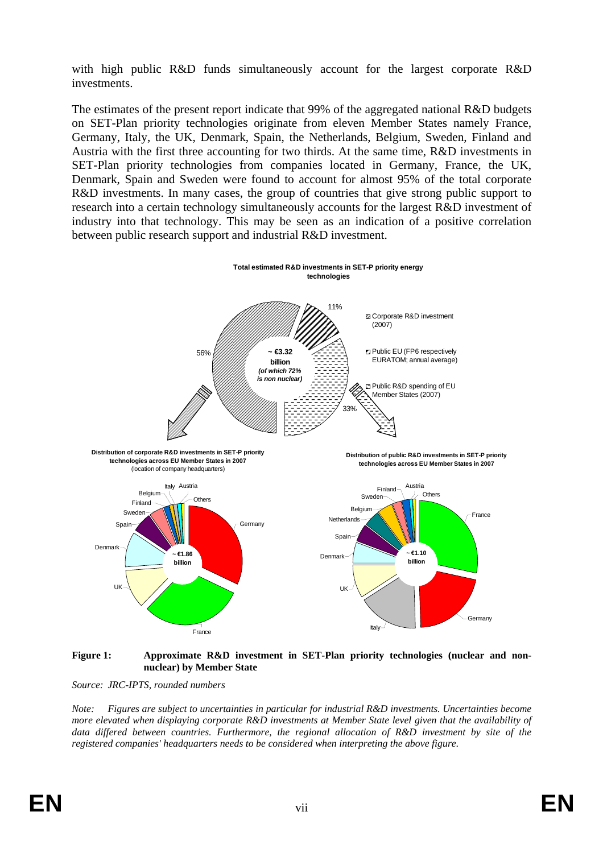with high public R&D funds simultaneously account for the largest corporate R&D investments.

The estimates of the present report indicate that 99% of the aggregated national R&D budgets on SET-Plan priority technologies originate from eleven Member States namely France, Germany, Italy, the UK, Denmark, Spain, the Netherlands, Belgium, Sweden, Finland and Austria with the first three accounting for two thirds. At the same time, R&D investments in SET-Plan priority technologies from companies located in Germany, France, the UK, Denmark, Spain and Sweden were found to account for almost 95% of the total corporate R&D investments. In many cases, the group of countries that give strong public support to research into a certain technology simultaneously accounts for the largest R&D investment of industry into that technology. This may be seen as an indication of a positive correlation between public research support and industrial R&D investment.



#### <span id="page-6-0"></span>**Figure 1: Approximate R&D investment in SET-Plan priority technologies (nuclear and nonnuclear) by Member State**

*Source: JRC-IPTS, rounded numbers* 

*Note: Figures are subject to uncertainties in particular for industrial R&D investments. Uncertainties become more elevated when displaying corporate R&D investments at Member State level given that the availability of data differed between countries. Furthermore, the regional allocation of R&D investment by site of the registered companies' headquarters needs to be considered when interpreting the above figure*.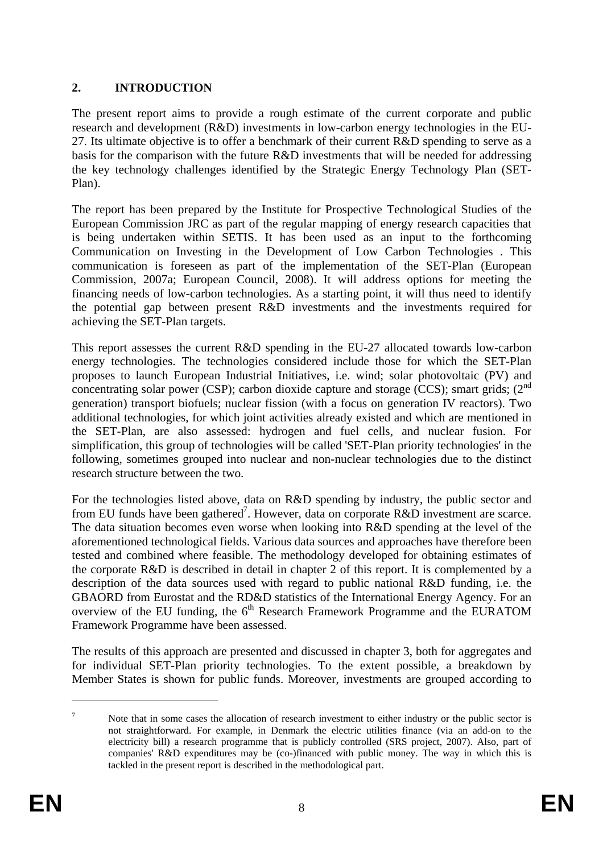## <span id="page-7-0"></span>**2. INTRODUCTION**

The present report aims to provide a rough estimate of the current corporate and public research and development (R&D) investments in low-carbon energy technologies in the EU-27. Its ultimate objective is to offer a benchmark of their current  $R&D$  spending to serve as a basis for the comparison with the future R&D investments that will be needed for addressing the key technology challenges identified by the Strategic Energy Technology Plan (SET-Plan).

The report has been prepared by the Institute for Prospective Technological Studies of the European Commission JRC as part of the regular mapping of energy research capacities that is being undertaken within SETIS. It has been used as an input to the forthcoming Communication on Investing in the Development of Low Carbon Technologies . This communication is foreseen as part of the implementation of the SET-Plan (European Commission, 2007a; European Council, 2008). It will address options for meeting the financing needs of low-carbon technologies. As a starting point, it will thus need to identify the potential gap between present R&D investments and the investments required for achieving the SET-Plan targets.

This report assesses the current R&D spending in the EU-27 allocated towards low-carbon energy technologies. The technologies considered include those for which the SET-Plan proposes to launch European Industrial Initiatives, i.e. wind; solar photovoltaic (PV) and concentrating solar power (CSP); carbon dioxide capture and storage (CCS); smart grids;  $(2<sup>nd</sup>$ generation) transport biofuels; nuclear fission (with a focus on generation IV reactors). Two additional technologies, for which joint activities already existed and which are mentioned in the SET-Plan, are also assessed: hydrogen and fuel cells, and nuclear fusion. For simplification, this group of technologies will be called 'SET-Plan priority technologies' in the following, sometimes grouped into nuclear and non-nuclear technologies due to the distinct research structure between the two.

For the technologies listed above, data on R&D spending by industry, the public sector and from EU funds have been gathered<sup>7</sup>. However, data on corporate R&D investment are scarce. The data situation becomes even worse when looking into R&D spending at the level of the aforementioned technological fields. Various data sources and approaches have therefore been tested and combined where feasible. The methodology developed for obtaining estimates of the corporate R&D is described in detail in chapter 2 of this report. It is complemented by a description of the data sources used with regard to public national R&D funding, i.e. the GBAORD from Eurostat and the RD&D statistics of the International Energy Agency. For an overview of the EU funding, the 6<sup>th</sup> Research Framework Programme and the EURATOM Framework Programme have been assessed.

The results of this approach are presented and discussed in chapter 3, both for aggregates and for individual SET-Plan priority technologies. To the extent possible, a breakdown by Member States is shown for public funds. Moreover, investments are grouped according to

<sup>7</sup> Note that in some cases the allocation of research investment to either industry or the public sector is not straightforward. For example, in Denmark the electric utilities finance (via an add-on to the electricity bill) a research programme that is publicly controlled (SRS project, 2007). Also, part of companies' R&D expenditures may be (co-)financed with public money. The way in which this is tackled in the present report is described in the methodological part.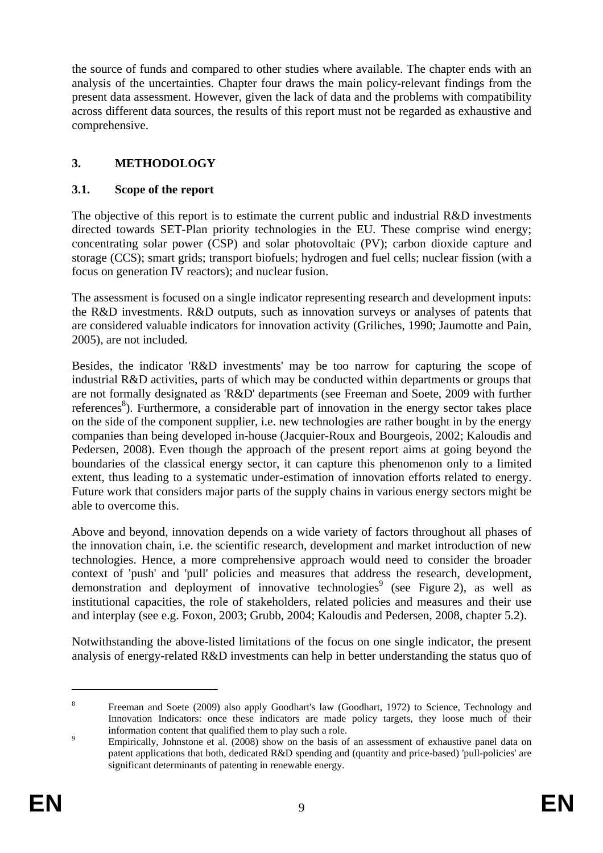the source of funds and compared to other studies where available. The chapter ends with an analysis of the uncertainties. Chapter four draws the main policy-relevant findings from the present data assessment. However, given the lack of data and the problems with compatibility across different data sources, the results of this report must not be regarded as exhaustive and comprehensive.

## <span id="page-8-1"></span><span id="page-8-0"></span>**3. METHODOLOGY**

#### **3.1. Scope of the report**

The objective of this report is to estimate the current public and industrial R&D investments directed towards SET-Plan priority technologies in the EU. These comprise wind energy; concentrating solar power (CSP) and solar photovoltaic (PV); carbon dioxide capture and storage (CCS); smart grids; transport biofuels; hydrogen and fuel cells; nuclear fission (with a focus on generation IV reactors); and nuclear fusion.

The assessment is focused on a single indicator representing research and development inputs: the R&D investments. R&D outputs, such as innovation surveys or analyses of patents that are considered valuable indicators for innovation activity (Griliches, 1990; Jaumotte and Pain, 2005), are not included.

Besides, the indicator 'R&D investments' may be too narrow for capturing the scope of industrial R&D activities, parts of which may be conducted within departments or groups that are not formally designated as 'R&D' departments (see Freeman and Soete, 2009 with further references<sup>8</sup>). Furthermore, a considerable part of innovation in the energy sector takes place on the side of the component supplier, i.e. new technologies are rather bought in by the energy companies than being developed in-house (Jacquier-Roux and Bourgeois, 2002; Kaloudis and Pedersen, 2008). Even though the approach of the present report aims at going beyond the boundaries of the classical energy sector, it can capture this phenomenon only to a limited extent, thus leading to a systematic under-estimation of innovation efforts related to energy. Future work that considers major parts of the supply chains in various energy sectors might be able to overcome this.

Above and beyond, innovation depends on a wide variety of factors throughout all phases of the innovation chain, i.e. the scientific research, development and market introduction of new technologies. Hence, a more comprehensive approach would need to consider the broader context of 'push' and 'pull' policies and measures that address the research, development, demonstration and deployment of innovative technologies<sup>9</sup> (see [Figure 2\)](#page-9-0), as well as institutional capacities, the role of stakeholders, related policies and measures and their use and interplay (see e.g. Foxon, 2003; Grubb, 2004; Kaloudis and Pedersen, 2008, chapter 5.2).

Notwithstanding the above-listed limitations of the focus on one single indicator, the present analysis of energy-related R&D investments can help in better understanding the status quo of

<sup>8</sup> Freeman and Soete (2009) also apply Goodhart's law (Goodhart, 1972) to Science, Technology and Innovation Indicators: once these indicators are made policy targets, they loose much of their information content that qualified them to play such a role.

Empirically, Johnstone et al. (2008) show on the basis of an assessment of exhaustive panel data on patent applications that both, dedicated R&D spending and (quantity and price-based) 'pull-policies' are significant determinants of patenting in renewable energy.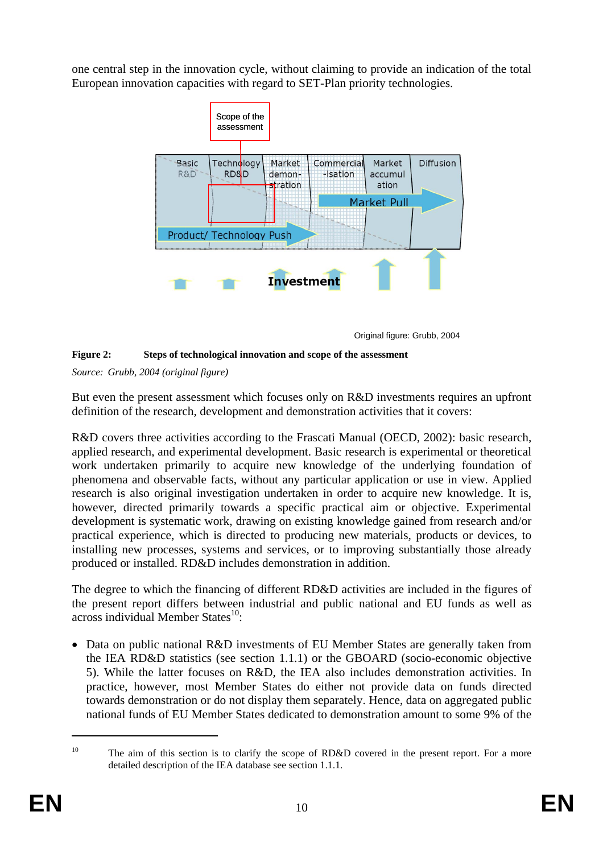one central step in the innovation cycle, without claiming to provide an indication of the total European innovation capacities with regard to SET-Plan priority technologies.



Original figure: Grubb, 2004

#### <span id="page-9-0"></span>**Figure 2: Steps of technological innovation and scope of the assessment**

*Source: Grubb, 2004 (original figure)* 

But even the present assessment which focuses only on R&D investments requires an upfront definition of the research, development and demonstration activities that it covers:

R&D covers three activities according to the Frascati Manual (OECD, 2002): basic research, applied research, and experimental development. Basic research is experimental or theoretical work undertaken primarily to acquire new knowledge of the underlying foundation of phenomena and observable facts, without any particular application or use in view. Applied research is also original investigation undertaken in order to acquire new knowledge. It is, however, directed primarily towards a specific practical aim or objective. Experimental development is systematic work, drawing on existing knowledge gained from research and/or practical experience, which is directed to producing new materials, products or devices, to installing new processes, systems and services, or to improving substantially those already produced or installed. RD&D includes demonstration in addition.

The degree to which the financing of different RD&D activities are included in the figures of the present report differs between industrial and public national and EU funds as well as across individual Member States $^{10}$ :

• Data on public national R&D investments of EU Member States are generally taken from the IEA RD&D statistics (see section [1.1.1\)](#page-27-0) or the GBOARD (socio-economic objective 5). While the latter focuses on R&D, the IEA also includes demonstration activities. In practice, however, most Member States do either not provide data on funds directed towards demonstration or do not display them separately. Hence, data on aggregated public national funds of EU Member States dedicated to demonstration amount to some 9% of the

<sup>&</sup>lt;sup>10</sup> The aim of this section is to clarify the scope of RD&D covered in the present report. For a more detailed description of the IEA database see sectio[n 1.1.1.](#page-27-0)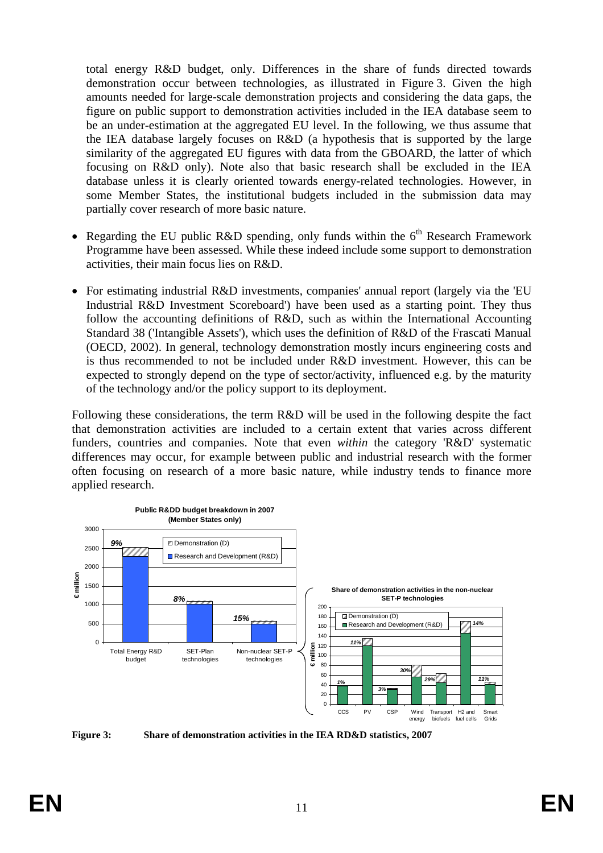total energy R&D budget, only. Differences in the share of funds directed towards demonstration occur between technologies, as illustrated in [Figure 3.](#page-10-0) Given the high amounts needed for large-scale demonstration projects and considering the data gaps, the figure on public support to demonstration activities included in the IEA database seem to be an under-estimation at the aggregated EU level. In the following, we thus assume that the IEA database largely focuses on R&D (a hypothesis that is supported by the large similarity of the aggregated EU figures with data from the GBOARD, the latter of which focusing on R&D only). Note also that basic research shall be excluded in the IEA database unless it is clearly oriented towards energy-related technologies. However, in some Member States, the institutional budgets included in the submission data may partially cover research of more basic nature.

- Regarding the EU public R&D spending, only funds within the  $6<sup>th</sup>$  Research Framework Programme have been assessed. While these indeed include some support to demonstration activities, their main focus lies on R&D.
- For estimating industrial R&D investments, companies' annual report (largely via the 'EU Industrial R&D Investment Scoreboard') have been used as a starting point. They thus follow the accounting definitions of R&D, such as within the International Accounting Standard 38 ('Intangible Assets'), which uses the definition of R&D of the Frascati Manual (OECD, 2002). In general, technology demonstration mostly incurs engineering costs and is thus recommended to not be included under R&D investment. However, this can be expected to strongly depend on the type of sector/activity, influenced e.g. by the maturity of the technology and/or the policy support to its deployment.

Following these considerations, the term R&D will be used in the following despite the fact that demonstration activities are included to a certain extent that varies across different funders, countries and companies. Note that even *within* the category 'R&D' systematic differences may occur, for example between public and industrial research with the former often focusing on research of a more basic nature, while industry tends to finance more applied research.



<span id="page-10-0"></span>**Figure 3: Share of demonstration activities in the IEA RD&D statistics, 2007**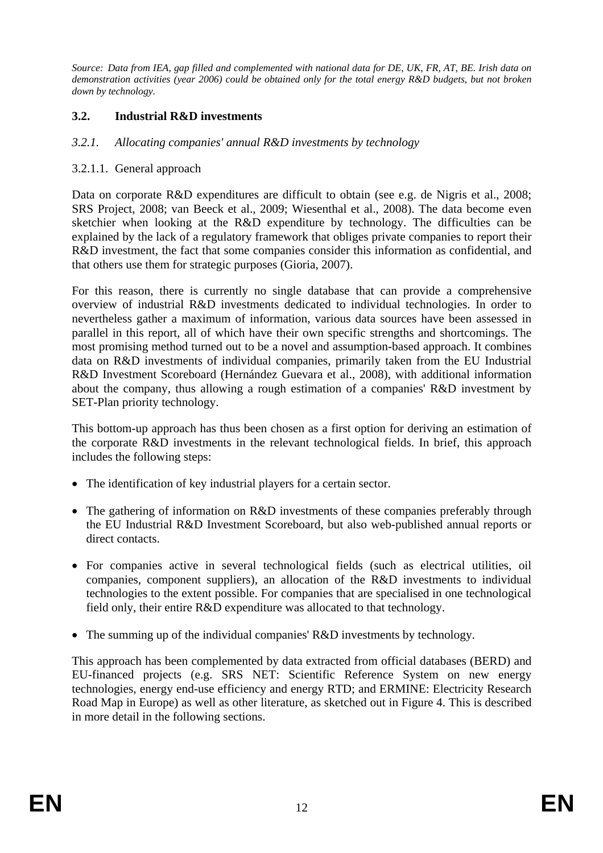*Source: Data from IEA, gap filled and complemented with national data for DE, UK, FR, AT, BE. Irish data on demonstration activities (year 2006) could be obtained only for the total energy R&D budgets, but not broken down by technology.* 

## <span id="page-11-0"></span>**3.2. Industrial R&D investments**

#### *3.2.1. Allocating companies' annual R&D investments by technology*

#### 3.2.1.1. General approach

Data on corporate R&D expenditures are difficult to obtain (see e.g. de Nigris et al., 2008; SRS Project, 2008; van Beeck et al., 2009; Wiesenthal et al., 2008). The data become even sketchier when looking at the R&D expenditure by technology. The difficulties can be explained by the lack of a regulatory framework that obliges private companies to report their R&D investment, the fact that some companies consider this information as confidential, and that others use them for strategic purposes (Gioria, 2007).

For this reason, there is currently no single database that can provide a comprehensive overview of industrial R&D investments dedicated to individual technologies. In order to nevertheless gather a maximum of information, various data sources have been assessed in parallel in this report, all of which have their own specific strengths and shortcomings. The most promising method turned out to be a novel and assumption-based approach. It combines data on R&D investments of individual companies, primarily taken from the EU Industrial R&D Investment Scoreboard (Hernández Guevara et al., 2008), with additional information about the company, thus allowing a rough estimation of a companies' R&D investment by SET-Plan priority technology.

This bottom-up approach has thus been chosen as a first option for deriving an estimation of the corporate R&D investments in the relevant technological fields. In brief, this approach includes the following steps:

- The identification of key industrial players for a certain sector.
- The gathering of information on R&D investments of these companies preferably through the EU Industrial R&D Investment Scoreboard, but also web-published annual reports or direct contacts.
- For companies active in several technological fields (such as electrical utilities, oil companies, component suppliers), an allocation of the R&D investments to individual technologies to the extent possible. For companies that are specialised in one technological field only, their entire R&D expenditure was allocated to that technology.
- The summing up of the individual companies' R&D investments by technology.

This approach has been complemented by data extracted from official databases (BERD) and EU-financed projects (e.g. SRS NET: Scientific Reference System on new energy technologies, energy end-use efficiency and energy RTD; and ERMINE: Electricity Research Road Map in Europe) as well as other literature, as sketched out i[n Figure 4.](#page-12-0) This is described in more detail in the following sections.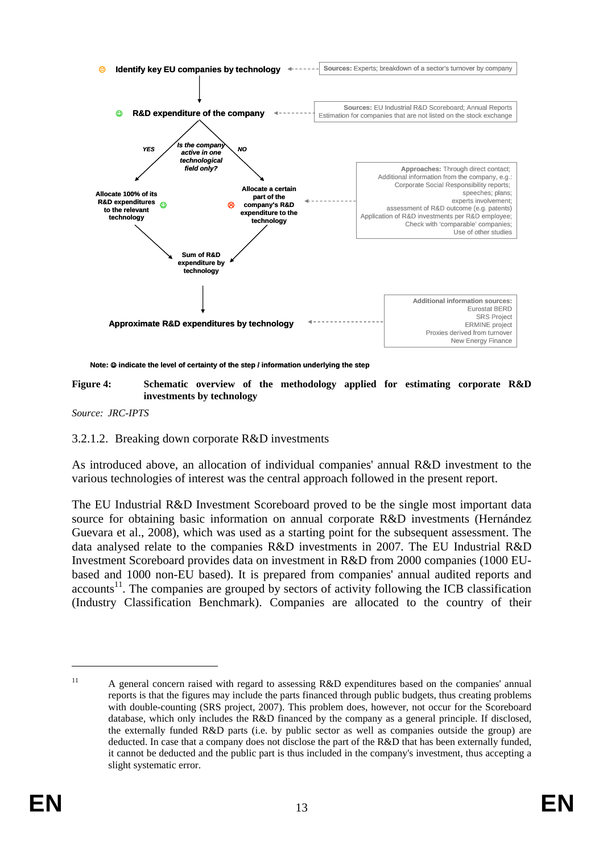

**Note:** ☺ **indicate the level of certainty of the step / information underlying the step**

<span id="page-12-0"></span>**Figure 4: Schematic overview of the methodology applied for estimating corporate R&D investments by technology** 

*Source: JRC-IPTS* 

#### 3.2.1.2. Breaking down corporate R&D investments

As introduced above, an allocation of individual companies' annual R&D investment to the various technologies of interest was the central approach followed in the present report.

The EU Industrial R&D Investment Scoreboard proved to be the single most important data source for obtaining basic information on annual corporate R&D investments (Hernández Guevara et al., 2008), which was used as a starting point for the subsequent assessment. The data analysed relate to the companies R&D investments in 2007. The EU Industrial R&D Investment Scoreboard provides data on investment in R&D from 2000 companies (1000 EUbased and 1000 non-EU based). It is prepared from companies' annual audited reports and  $accounts<sup>11</sup>$ . The companies are grouped by sectors of activity following the ICB classification (Industry Classification Benchmark). Companies are allocated to the country of their

<sup>&</sup>lt;sup>11</sup> A general concern raised with regard to assessing R&D expenditures based on the companies' annual reports is that the figures may include the parts financed through public budgets, thus creating problems with double-counting (SRS project, 2007). This problem does, however, not occur for the Scoreboard database, which only includes the R&D financed by the company as a general principle. If disclosed, the externally funded R&D parts (i.e. by public sector as well as companies outside the group) are deducted. In case that a company does not disclose the part of the R&D that has been externally funded, it cannot be deducted and the public part is thus included in the company's investment, thus accepting a slight systematic error.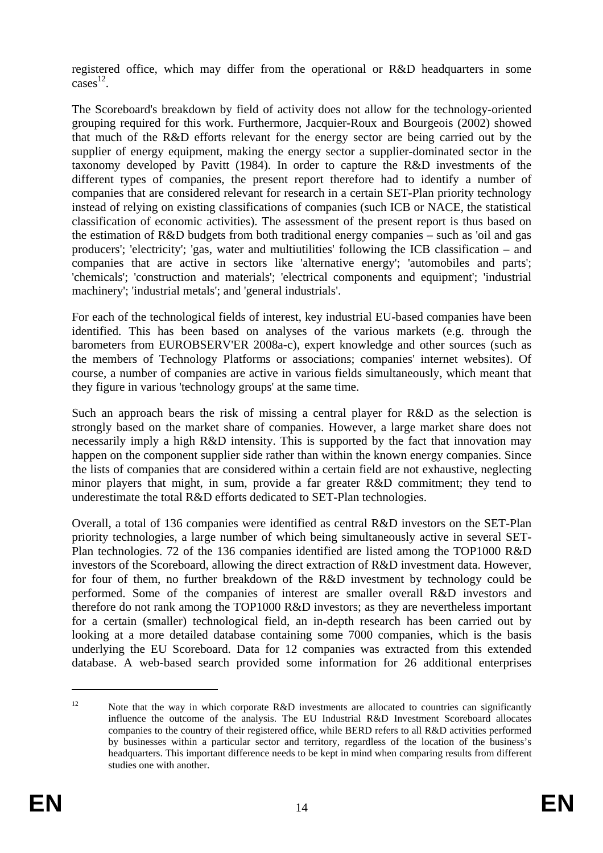registered office, which may differ from the operational or R&D headquarters in some  $\overline{\text{cases}}^{12}$ .

The Scoreboard's breakdown by field of activity does not allow for the technology-oriented grouping required for this work. Furthermore, Jacquier-Roux and Bourgeois (2002) showed that much of the R&D efforts relevant for the energy sector are being carried out by the supplier of energy equipment, making the energy sector a supplier-dominated sector in the taxonomy developed by Pavitt (1984). In order to capture the R&D investments of the different types of companies, the present report therefore had to identify a number of companies that are considered relevant for research in a certain SET-Plan priority technology instead of relying on existing classifications of companies (such ICB or NACE, the statistical classification of economic activities). The assessment of the present report is thus based on the estimation of R&D budgets from both traditional energy companies – such as 'oil and gas producers'; 'electricity'; 'gas, water and multiutilities' following the ICB classification – and companies that are active in sectors like 'alternative energy'; 'automobiles and parts'; 'chemicals'; 'construction and materials'; 'electrical components and equipment'; 'industrial machinery'; 'industrial metals'; and 'general industrials'.

For each of the technological fields of interest, key industrial EU-based companies have been identified. This has been based on analyses of the various markets (e.g. through the barometers from EUROBSERV'ER 2008a-c), expert knowledge and other sources (such as the members of Technology Platforms or associations; companies' internet websites). Of course, a number of companies are active in various fields simultaneously, which meant that they figure in various 'technology groups' at the same time.

Such an approach bears the risk of missing a central player for R&D as the selection is strongly based on the market share of companies. However, a large market share does not necessarily imply a high R&D intensity. This is supported by the fact that innovation may happen on the component supplier side rather than within the known energy companies. Since the lists of companies that are considered within a certain field are not exhaustive, neglecting minor players that might, in sum, provide a far greater R&D commitment; they tend to underestimate the total R&D efforts dedicated to SET-Plan technologies.

Overall, a total of 136 companies were identified as central R&D investors on the SET-Plan priority technologies, a large number of which being simultaneously active in several SET-Plan technologies. 72 of the 136 companies identified are listed among the TOP1000 R&D investors of the Scoreboard, allowing the direct extraction of R&D investment data. However, for four of them, no further breakdown of the R&D investment by technology could be performed. Some of the companies of interest are smaller overall R&D investors and therefore do not rank among the TOP1000 R&D investors; as they are nevertheless important for a certain (smaller) technological field, an in-depth research has been carried out by looking at a more detailed database containing some 7000 companies, which is the basis underlying the EU Scoreboard. Data for 12 companies was extracted from this extended database. A web-based search provided some information for 26 additional enterprises

<sup>&</sup>lt;sup>12</sup> Note that the way in which corporate R&D investments are allocated to countries can significantly influence the outcome of the analysis. The EU Industrial R&D Investment Scoreboard allocates companies to the country of their registered office, while BERD refers to all R&D activities performed by businesses within a particular sector and territory, regardless of the location of the business's headquarters. This important difference needs to be kept in mind when comparing results from different studies one with another.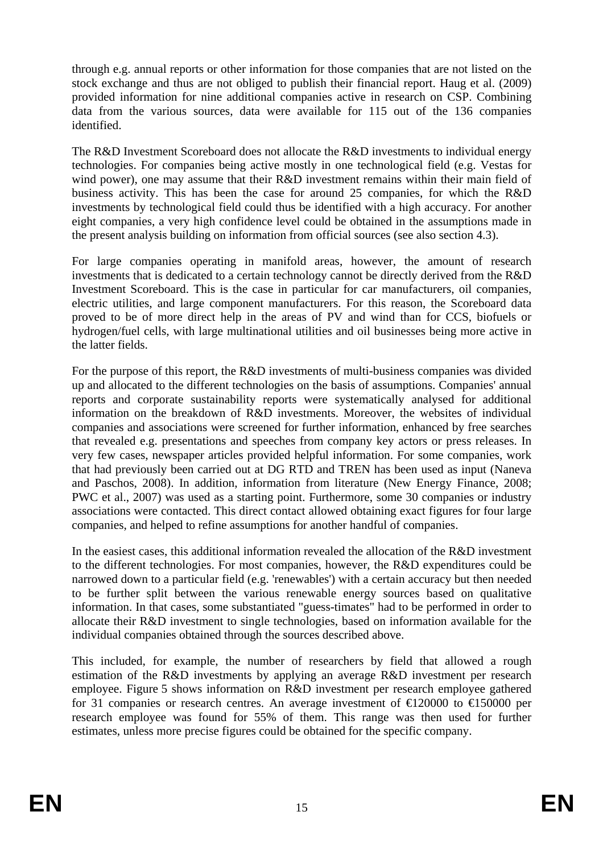through e.g. annual reports or other information for those companies that are not listed on the stock exchange and thus are not obliged to publish their financial report. Haug et al. (2009) provided information for nine additional companies active in research on CSP. Combining data from the various sources, data were available for 115 out of the 136 companies identified.

The R&D Investment Scoreboard does not allocate the R&D investments to individual energy technologies. For companies being active mostly in one technological field (e.g. Vestas for wind power), one may assume that their R&D investment remains within their main field of business activity. This has been the case for around 25 companies, for which the R&D investments by technological field could thus be identified with a high accuracy. For another eight companies, a very high confidence level could be obtained in the assumptions made in the present analysis building on information from official sources (see also sectio[n 4.3\)](#page-58-0).

For large companies operating in manifold areas, however, the amount of research investments that is dedicated to a certain technology cannot be directly derived from the R&D Investment Scoreboard. This is the case in particular for car manufacturers, oil companies, electric utilities, and large component manufacturers. For this reason, the Scoreboard data proved to be of more direct help in the areas of PV and wind than for CCS, biofuels or hydrogen/fuel cells, with large multinational utilities and oil businesses being more active in the latter fields.

For the purpose of this report, the R&D investments of multi-business companies was divided up and allocated to the different technologies on the basis of assumptions. Companies' annual reports and corporate sustainability reports were systematically analysed for additional information on the breakdown of R&D investments. Moreover, the websites of individual companies and associations were screened for further information, enhanced by free searches that revealed e.g. presentations and speeches from company key actors or press releases. In very few cases, newspaper articles provided helpful information. For some companies, work that had previously been carried out at DG RTD and TREN has been used as input (Naneva and Paschos, 2008). In addition, information from literature (New Energy Finance, 2008; PWC et al., 2007) was used as a starting point. Furthermore, some 30 companies or industry associations were contacted. This direct contact allowed obtaining exact figures for four large companies, and helped to refine assumptions for another handful of companies.

In the easiest cases, this additional information revealed the allocation of the R&D investment to the different technologies. For most companies, however, the R&D expenditures could be narrowed down to a particular field (e.g. 'renewables') with a certain accuracy but then needed to be further split between the various renewable energy sources based on qualitative information. In that cases, some substantiated "guess-timates" had to be performed in order to allocate their R&D investment to single technologies, based on information available for the individual companies obtained through the sources described above.

This included, for example, the number of researchers by field that allowed a rough estimation of the R&D investments by applying an average R&D investment per research employee. [Figure 5](#page-15-0) shows information on R&D investment per research employee gathered for 31 companies or research centres. An average investment of  $\trianglelefteq$  20000 to  $\trianglelefteq$  50000 per research employee was found for 55% of them. This range was then used for further estimates, unless more precise figures could be obtained for the specific company.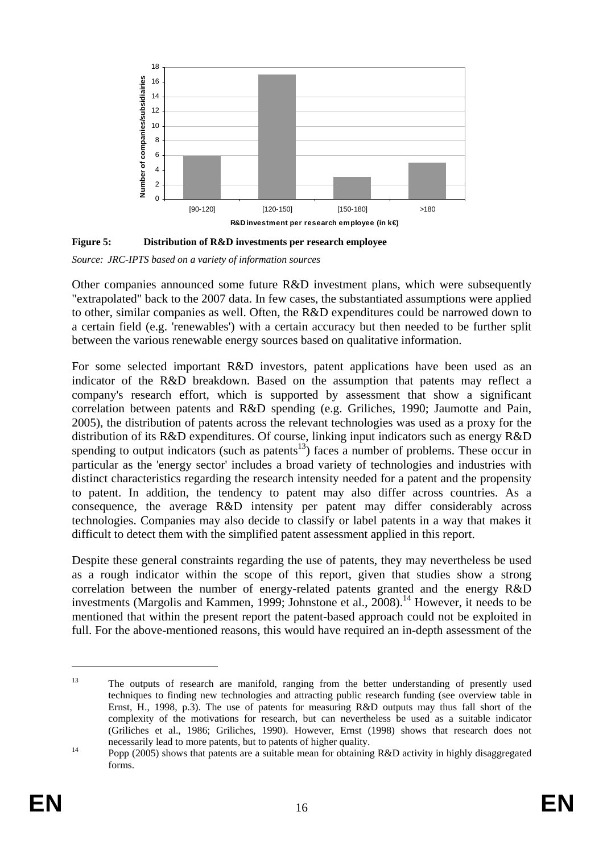

<span id="page-15-0"></span>

*Source: JRC-IPTS based on a variety of information sources* 

Other companies announced some future R&D investment plans, which were subsequently "extrapolated" back to the 2007 data. In few cases, the substantiated assumptions were applied to other, similar companies as well. Often, the R&D expenditures could be narrowed down to a certain field (e.g. 'renewables') with a certain accuracy but then needed to be further split between the various renewable energy sources based on qualitative information.

For some selected important R&D investors, patent applications have been used as an indicator of the R&D breakdown. Based on the assumption that patents may reflect a company's research effort, which is supported by assessment that show a significant correlation between patents and R&D spending (e.g. Griliches, 1990; Jaumotte and Pain, 2005), the distribution of patents across the relevant technologies was used as a proxy for the distribution of its R&D expenditures. Of course, linking input indicators such as energy R&D spending to output indicators (such as patents<sup>13</sup>) faces a number of problems. These occur in particular as the 'energy sector' includes a broad variety of technologies and industries with distinct characteristics regarding the research intensity needed for a patent and the propensity to patent. In addition, the tendency to patent may also differ across countries. As a consequence, the average R&D intensity per patent may differ considerably across technologies. Companies may also decide to classify or label patents in a way that makes it difficult to detect them with the simplified patent assessment applied in this report.

Despite these general constraints regarding the use of patents, they may nevertheless be used as a rough indicator within the scope of this report, given that studies show a strong correlation between the number of energy-related patents granted and the energy R&D investments (Margolis and Kammen, 1999; Johnstone et al.,  $2008$ ).<sup>14</sup> However, it needs to be mentioned that within the present report the patent-based approach could not be exploited in full. For the above-mentioned reasons, this would have required an in-depth assessment of the

<sup>&</sup>lt;sup>13</sup> The outputs of research are manifold, ranging from the better understanding of presently used techniques to finding new technologies and attracting public research funding (see overview table in Ernst, H., 1998, p.3). The use of patents for measuring R&D outputs may thus fall short of the complexity of the motivations for research, but can nevertheless be used as a suitable indicator (Griliches et al., 1986; Griliches, 1990). However, Ernst (1998) shows that research does not

necessarily lead to more patents, but to patents of higher quality.<br>
Popp (2005) shows that patents are a suitable mean for obtaining R&D activity in highly disaggregated forms.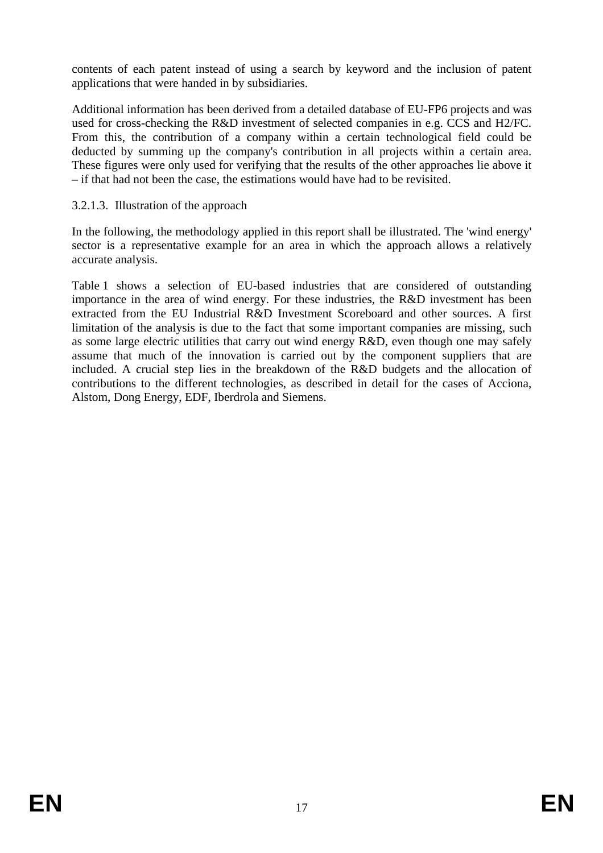contents of each patent instead of using a search by keyword and the inclusion of patent applications that were handed in by subsidiaries.

Additional information has been derived from a detailed database of EU-FP6 projects and was used for cross-checking the R&D investment of selected companies in e.g. CCS and H2/FC. From this, the contribution of a company within a certain technological field could be deducted by summing up the company's contribution in all projects within a certain area. These figures were only used for verifying that the results of the other approaches lie above it – if that had not been the case, the estimations would have had to be revisited.

## 3.2.1.3. Illustration of the approach

In the following, the methodology applied in this report shall be illustrated. The 'wind energy' sector is a representative example for an area in which the approach allows a relatively accurate analysis.

[Table 1](#page-20-0) shows a selection of EU-based industries that are considered of outstanding importance in the area of wind energy. For these industries, the R&D investment has been extracted from the EU Industrial R&D Investment Scoreboard and other sources. A first limitation of the analysis is due to the fact that some important companies are missing, such as some large electric utilities that carry out wind energy R&D, even though one may safely assume that much of the innovation is carried out by the component suppliers that are included. A crucial step lies in the breakdown of the R&D budgets and the allocation of contributions to the different technologies, as described in detail for the cases of Acciona, Alstom, Dong Energy, EDF, Iberdrola and Siemens.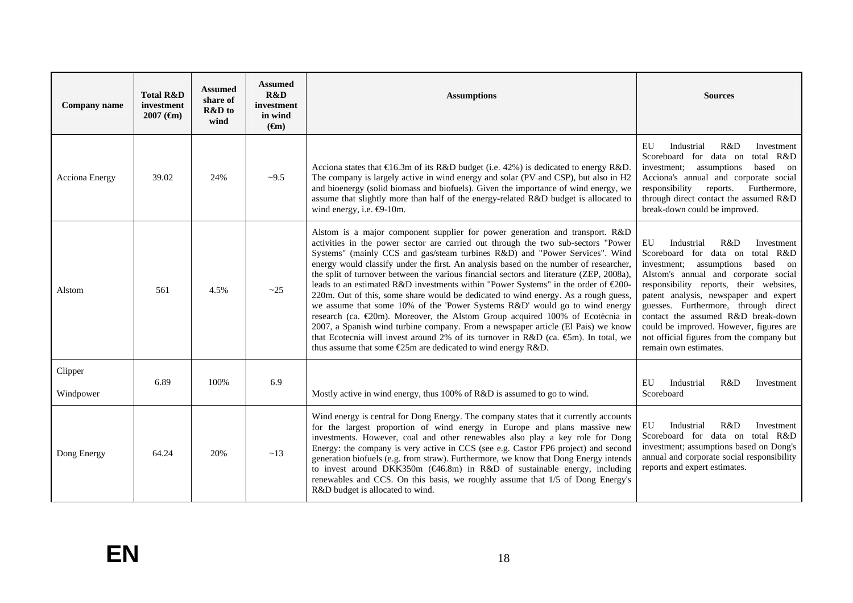| <b>Company name</b>  | <b>Total R&amp;D</b><br>investment<br>$2007$ ( $\epsilon$ m) | <b>Assumed</b><br>share of<br>R&D to<br>wind                                            | <b>Assumed</b><br>R&D<br>investment<br>in wind<br>$(\epsilon m)$ | <b>Assumptions</b>                                                                                                                                                                                                                                                                                                                                                                                                                                                                                                                                                                                                                                                                                                                                                                                                                                                                                                                                                                                                                         | <b>Sources</b>                                                                                                                                                                                                                                                                                                                                                                                                                                 |  |
|----------------------|--------------------------------------------------------------|-----------------------------------------------------------------------------------------|------------------------------------------------------------------|--------------------------------------------------------------------------------------------------------------------------------------------------------------------------------------------------------------------------------------------------------------------------------------------------------------------------------------------------------------------------------------------------------------------------------------------------------------------------------------------------------------------------------------------------------------------------------------------------------------------------------------------------------------------------------------------------------------------------------------------------------------------------------------------------------------------------------------------------------------------------------------------------------------------------------------------------------------------------------------------------------------------------------------------|------------------------------------------------------------------------------------------------------------------------------------------------------------------------------------------------------------------------------------------------------------------------------------------------------------------------------------------------------------------------------------------------------------------------------------------------|--|
| Acciona Energy       | 39.02                                                        | 24%                                                                                     | $-9.5$                                                           | Acciona states that $\text{E}6.3m$ of its R&D budget (i.e. 42%) is dedicated to energy R&D.<br>The company is largely active in wind energy and solar (PV and CSP), but also in H2<br>and bioenergy (solid biomass and biofuels). Given the importance of wind energy, we<br>assume that slightly more than half of the energy-related R&D budget is allocated to<br>wind energy, i.e. $\bigoplus$ -10m.                                                                                                                                                                                                                                                                                                                                                                                                                                                                                                                                                                                                                                   | EU<br>Industrial<br>R&D<br>Investment<br>Scoreboard for data on<br>total R&D<br>assumptions<br>based on<br>investment;<br>Acciona's annual and corporate social<br>responsibility reports.<br>Furthermore,<br>through direct contact the assumed R&D<br>break-down could be improved.                                                                                                                                                          |  |
| Alstom               | 561                                                          | 4.5%                                                                                    | $-25$                                                            | Alstom is a major component supplier for power generation and transport. R&D<br>activities in the power sector are carried out through the two sub-sectors "Power<br>Systems" (mainly CCS and gas/steam turbines R&D) and "Power Services". Wind<br>energy would classify under the first. An analysis based on the number of researcher,<br>the split of turnover between the various financial sectors and literature (ZEP, 2008a),<br>leads to an estimated R&D investments within "Power Systems" in the order of €200-<br>220m. Out of this, some share would be dedicated to wind energy. As a rough guess,<br>we assume that some 10% of the 'Power Systems R&D' would go to wind energy<br>research (ca. €20m). Moreover, the Alstom Group acquired 100% of Ecotècnia in<br>2007, a Spanish wind turbine company. From a newspaper article (El Pais) we know<br>that Ecotecnia will invest around 2% of its turnover in R&D (ca. $\mathfrak{S}$ m). In total, we<br>thus assume that some $E25m$ are dedicated to wind energy R&D. | EU<br>Industrial<br>R&D<br>Investment<br>total R&D<br>Scoreboard for data on<br>investment; assumptions<br>based on<br>Alstom's annual and corporate social<br>responsibility reports, their websites,<br>patent analysis, newspaper and expert<br>guesses. Furthermore, through direct<br>contact the assumed R&D break-down<br>could be improved. However, figures are<br>not official figures from the company but<br>remain own estimates. |  |
| Clipper<br>Windpower | 6.89                                                         | 6.9<br>100%<br>Mostly active in wind energy, thus 100% of R&D is assumed to go to wind. |                                                                  | EU<br>Industrial<br>R&D<br>Investment<br>Scoreboard                                                                                                                                                                                                                                                                                                                                                                                                                                                                                                                                                                                                                                                                                                                                                                                                                                                                                                                                                                                        |                                                                                                                                                                                                                                                                                                                                                                                                                                                |  |
| Dong Energy          | 64.24                                                        | 20%                                                                                     | ~13                                                              | Wind energy is central for Dong Energy. The company states that it currently accounts<br>for the largest proportion of wind energy in Europe and plans massive new<br>investments. However, coal and other renewables also play a key role for Dong<br>Energy: the company is very active in CCS (see e.g. Castor FP6 project) and second<br>generation biofuels (e.g. from straw). Furthermore, we know that Dong Energy intends<br>to invest around DKK350m ( $C46.8m$ ) in R&D of sustainable energy, including<br>renewables and CCS. On this basis, we roughly assume that 1/5 of Dong Energy's<br>R&D budget is allocated to wind.                                                                                                                                                                                                                                                                                                                                                                                                   | Industrial<br>R&D<br>EU<br>Investment<br>Scoreboard for data on total R&D<br>investment; assumptions based on Dong's<br>annual and corporate social responsibility<br>reports and expert estimates.                                                                                                                                                                                                                                            |  |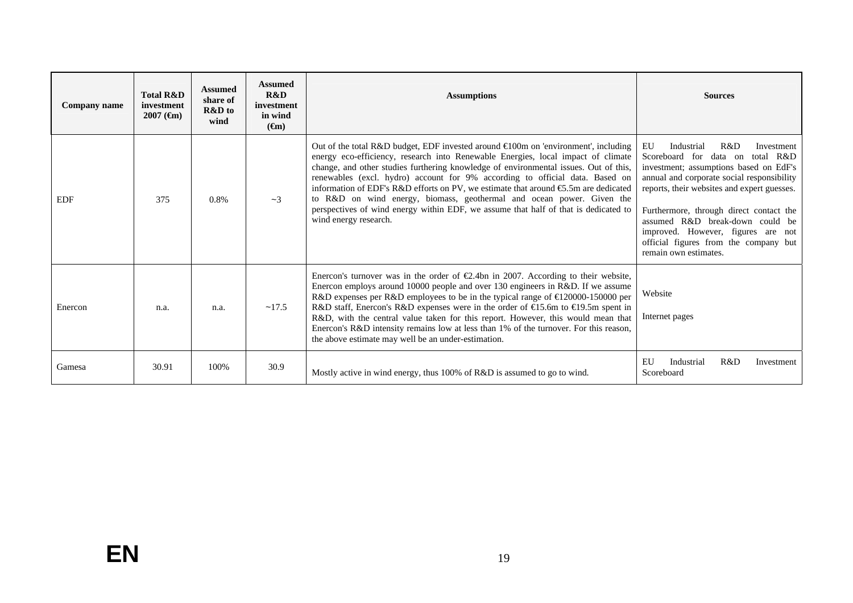| Company name | <b>Total R&amp;D</b><br>investment<br>$2007$ ( $\epsilon$ m) | <b>Assumed</b><br>share of<br>R&D to<br>wind | <b>Assumed</b><br>R&D<br>investment<br>in wind<br>$(\epsilon m)$ | <b>Assumptions</b>                                                                                                                                                                                                                                                                                                                                                                                                                                                                                                                                                                                                                            | <b>Sources</b>                                                                                                                                                                                                                                                                                                                                                                                         |  |
|--------------|--------------------------------------------------------------|----------------------------------------------|------------------------------------------------------------------|-----------------------------------------------------------------------------------------------------------------------------------------------------------------------------------------------------------------------------------------------------------------------------------------------------------------------------------------------------------------------------------------------------------------------------------------------------------------------------------------------------------------------------------------------------------------------------------------------------------------------------------------------|--------------------------------------------------------------------------------------------------------------------------------------------------------------------------------------------------------------------------------------------------------------------------------------------------------------------------------------------------------------------------------------------------------|--|
| <b>EDF</b>   | 375                                                          | 0.8%                                         | $-3$                                                             | Out of the total R&D budget, EDF invested around $\in 00$ m on 'environment', including<br>energy eco-efficiency, research into Renewable Energies, local impact of climate<br>change, and other studies furthering knowledge of environmental issues. Out of this,<br>renewables (excl. hydro) account for 9% according to official data. Based on<br>information of EDF's R&D efforts on PV, we estimate that around $\epsilon$ 5.5m are dedicated<br>to R&D on wind energy, biomass, geothermal and ocean power. Given the<br>perspectives of wind energy within EDF, we assume that half of that is dedicated to<br>wind energy research. | EU<br>R&D<br>Industrial<br>Investment<br>Scoreboard for data on total R&D<br>investment; assumptions based on EdF's<br>annual and corporate social responsibility<br>reports, their websites and expert guesses.<br>Furthermore, through direct contact the<br>assumed R&D break-down could be<br>improved. However, figures are not<br>official figures from the company but<br>remain own estimates. |  |
| Enercon      | n.a.                                                         | n.a.                                         | ~17.5                                                            | Enercon's turnover was in the order of $\epsilon$ 2.4bn in 2007. According to their website,<br>Enercon employs around 10000 people and over 130 engineers in R&D. If we assume<br>R&D expenses per R&D employees to be in the typical range of €120000-150000 per<br>R&D staff, Enercon's R&D expenses were in the order of €15.6m to €19.5m spent in<br>R&D, with the central value taken for this report. However, this would mean that<br>Enercon's R&D intensity remains low at less than 1% of the turnover. For this reason,<br>the above estimate may well be an under-estimation.                                                    | Website<br>Internet pages                                                                                                                                                                                                                                                                                                                                                                              |  |
| Gamesa       | 30.91                                                        | 100%                                         | 30.9                                                             | Mostly active in wind energy, thus 100% of R&D is assumed to go to wind.                                                                                                                                                                                                                                                                                                                                                                                                                                                                                                                                                                      | EU<br>R&D<br>Industrial<br>Investment<br>Scoreboard                                                                                                                                                                                                                                                                                                                                                    |  |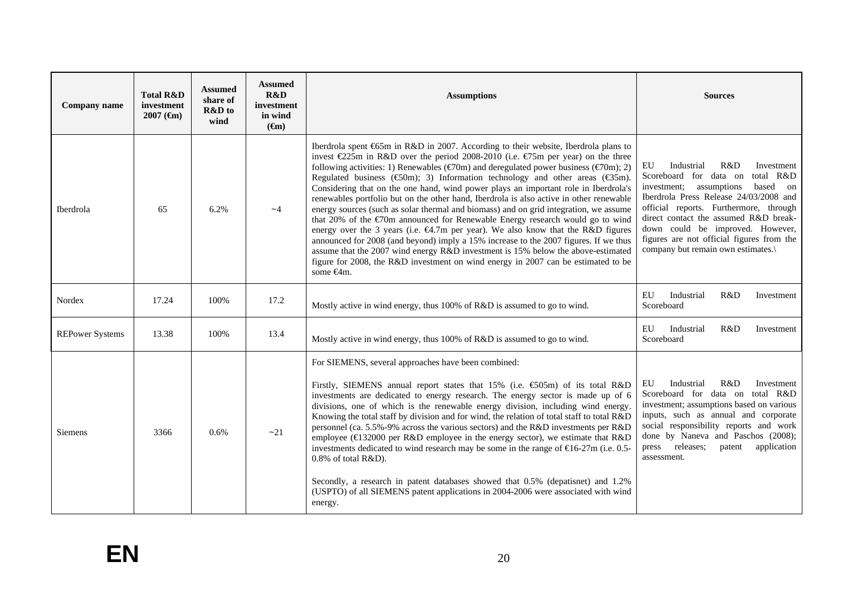| Company name           | <b>Total R&amp;D</b><br>investment<br>$2007$ ( $\bigoplus$ ) | <b>Assumed</b><br>share of<br><b>R&amp;D</b> to<br>wind | <b>Assumed</b><br>R&D<br>investment<br>in wind<br>$(\epsilon m)$ | <b>Assumptions</b>                                                                                                                                                                                                                                                                                                                                                                                                                                                                                                                                                                                                                                                                                                                                                                                                                                                                                                                                                                                                                                                                                                                             | <b>Sources</b>                                                                                                                                                                                                                                                                                                                                                         |
|------------------------|--------------------------------------------------------------|---------------------------------------------------------|------------------------------------------------------------------|------------------------------------------------------------------------------------------------------------------------------------------------------------------------------------------------------------------------------------------------------------------------------------------------------------------------------------------------------------------------------------------------------------------------------------------------------------------------------------------------------------------------------------------------------------------------------------------------------------------------------------------------------------------------------------------------------------------------------------------------------------------------------------------------------------------------------------------------------------------------------------------------------------------------------------------------------------------------------------------------------------------------------------------------------------------------------------------------------------------------------------------------|------------------------------------------------------------------------------------------------------------------------------------------------------------------------------------------------------------------------------------------------------------------------------------------------------------------------------------------------------------------------|
| Iberdrola              | 65                                                           | 6.2%                                                    | $-4$                                                             | Iberdrola spent 655m in R&D in 2007. According to their website, Iberdrola plans to<br>invest $\epsilon$ 25m in R&D over the period 2008-2010 (i.e. $\epsilon$ 75m per year) on the three<br>following activities: 1) Renewables ( $\epsilon$ 70m) and deregulated power business ( $\epsilon$ 70m); 2)<br>Regulated business ( $\infty$ ); 3) Information technology and other areas ( $\infty$ 35m).<br>Considering that on the one hand, wind power plays an important role in Iberdrola's<br>renewables portfolio but on the other hand, Iberdrola is also active in other renewable<br>energy sources (such as solar thermal and biomass) and on grid integration, we assume<br>that 20% of the $\epsilon$ 70m announced for Renewable Energy research would go to wind<br>energy over the 3 years (i.e. €4.7m per year). We also know that the R&D figures<br>announced for 2008 (and beyond) imply a 15% increase to the 2007 figures. If we thus<br>assume that the 2007 wind energy R&D investment is 15% below the above-estimated<br>figure for 2008, the R&D investment on wind energy in 2007 can be estimated to be<br>some €4m. | EU<br>Industrial<br>R&D<br>Investment<br>total R&D<br>Scoreboard for data on<br>investment; assumptions<br>based on<br>Iberdrola Press Release 24/03/2008 and<br>official reports. Furthermore, through<br>direct contact the assumed R&D break-<br>down could be improved. However,<br>figures are not official figures from the<br>company but remain own estimates. |
| Nordex                 | 17.24                                                        | 100%                                                    | 17.2                                                             | Mostly active in wind energy, thus 100% of R&D is assumed to go to wind.                                                                                                                                                                                                                                                                                                                                                                                                                                                                                                                                                                                                                                                                                                                                                                                                                                                                                                                                                                                                                                                                       | EU<br>Industrial<br>R&D<br>Investment<br>Scoreboard                                                                                                                                                                                                                                                                                                                    |
| <b>REPower Systems</b> | 13.38                                                        | 100%                                                    | 13.4                                                             | Mostly active in wind energy, thus 100% of R&D is assumed to go to wind.                                                                                                                                                                                                                                                                                                                                                                                                                                                                                                                                                                                                                                                                                                                                                                                                                                                                                                                                                                                                                                                                       | EU<br>Industrial<br>R&D<br>Investment<br>Scoreboard                                                                                                                                                                                                                                                                                                                    |
| <b>Siemens</b>         | 3366                                                         | 0.6%                                                    | $-21$                                                            | For SIEMENS, several approaches have been combined:<br>Firstly, SIEMENS annual report states that 15% (i.e. $\text{\textsterling}05m$ ) of its total R&D<br>investments are dedicated to energy research. The energy sector is made up of 6<br>divisions, one of which is the renewable energy division, including wind energy.<br>Knowing the total staff by division and for wind, the relation of total staff to total R&D<br>personnel (ca. 5.5%-9% across the various sectors) and the R&D investments per R&D<br>employee (€132000 per R&D employee in the energy sector), we estimate that R&D<br>investments dedicated to wind research may be some in the range of $\epsilon$ 6-27m (i.e. 0.5-<br>$0.8\%$ of total R&D).<br>Secondly, a research in patent databases showed that 0.5% (depatisnet) and 1.2%<br>(USPTO) of all SIEMENS patent applications in 2004-2006 were associated with wind<br>energy.                                                                                                                                                                                                                           | EU<br>Industrial<br>R&D<br>Investment<br>Scoreboard for data on total R&D<br>investment; assumptions based on various<br>inputs, such as annual and corporate<br>social responsibility reports and work<br>done by Naneva and Paschos (2008);<br>press releases;<br>patent<br>application<br>assessment.                                                               |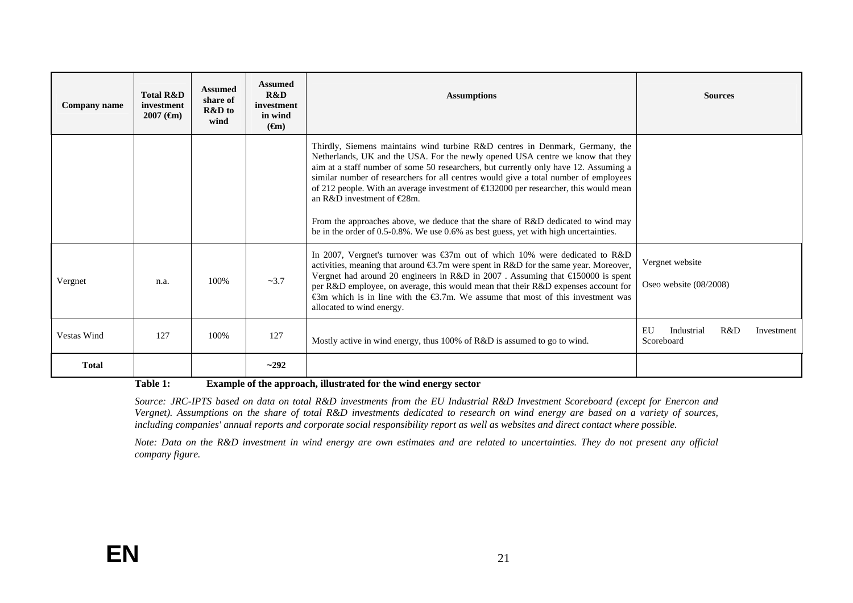| Company name       | <b>Total R&amp;D</b><br>investment<br>$2007$ ( $\epsilon$ m) | <b>Assumed</b><br>share of<br>R&D to<br>wind | <b>Assumed</b><br>R&D<br>investment<br>in wind<br>$(\epsilon m)$ | <b>Assumptions</b>                                                                                                                                                                                                                                                                                                                                                                                                                                                                                                                                                                                                                                                             | <b>Sources</b>                                      |
|--------------------|--------------------------------------------------------------|----------------------------------------------|------------------------------------------------------------------|--------------------------------------------------------------------------------------------------------------------------------------------------------------------------------------------------------------------------------------------------------------------------------------------------------------------------------------------------------------------------------------------------------------------------------------------------------------------------------------------------------------------------------------------------------------------------------------------------------------------------------------------------------------------------------|-----------------------------------------------------|
|                    |                                                              |                                              |                                                                  | Thirdly, Siemens maintains wind turbine R&D centres in Denmark, Germany, the<br>Netherlands, UK and the USA. For the newly opened USA centre we know that they<br>aim at a staff number of some 50 researchers, but currently only have 12. Assuming a<br>similar number of researchers for all centres would give a total number of employees<br>of 212 people. With an average investment of $\bigtriangleup$ 32000 per researcher, this would mean<br>an R&D investment of $\in \mathbb{Z}8m$ .<br>From the approaches above, we deduce that the share of R&D dedicated to wind may<br>be in the order of 0.5-0.8%. We use 0.6% as best guess, yet with high uncertainties. |                                                     |
| Vergnet            | n.a.                                                         | 100%                                         | $-3.7$                                                           | In 2007, Vergnet's turnover was €37m out of which 10% were dedicated to R&D<br>activities, meaning that around $\bigoplus$ .7m were spent in R&D for the same year. Moreover,<br>Vergnet had around 20 engineers in R&D in 2007. Assuming that €150000 is spent<br>per R&D employee, on average, this would mean that their R&D expenses account for<br>$\epsilon$ m which is in line with the $\epsilon$ 3.7m. We assume that most of this investment was<br>allocated to wind energy.                                                                                                                                                                                        | Vergnet website<br>Oseo website (08/2008)           |
| <b>Vestas Wind</b> | 127                                                          | 100%                                         | 127                                                              | Mostly active in wind energy, thus 100% of R&D is assumed to go to wind.                                                                                                                                                                                                                                                                                                                                                                                                                                                                                                                                                                                                       | EU<br>R&D<br>Industrial<br>Investment<br>Scoreboard |
| <b>Total</b>       |                                                              |                                              | $-292$                                                           |                                                                                                                                                                                                                                                                                                                                                                                                                                                                                                                                                                                                                                                                                |                                                     |

**Table 1: Example of the approach, illustrated for the wind energy sector** 

*Source: JRC-IPTS based on data on total R&D investments from the EU Industrial R&D Investment Scoreboard (except for Enercon and Vergnet). Assumptions on the share of total R&D investments dedicated to research on wind energy are based on a variety of sources, including companies' annual reports and corporate social responsibility report as well as websites and direct contact where possible.* 

<span id="page-20-0"></span>*Note: Data on the R&D investment in wind energy are own estimates and are related to uncertainties. They do not present any official company figure.*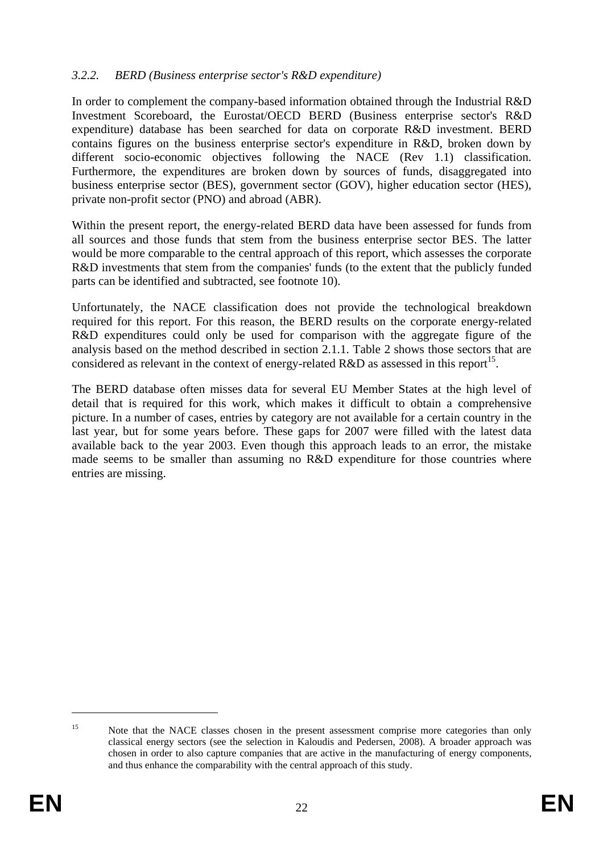### *3.2.2. BERD (Business enterprise sector's R&D expenditure)*

In order to complement the company-based information obtained through the Industrial R&D Investment Scoreboard, the Eurostat/OECD BERD (Business enterprise sector's R&D expenditure) database has been searched for data on corporate R&D investment. BERD contains figures on the business enterprise sector's expenditure in R&D, broken down by different socio-economic objectives following the NACE (Rev 1.1) classification. Furthermore, the expenditures are broken down by sources of funds, disaggregated into business enterprise sector (BES), government sector (GOV), higher education sector (HES), private non-profit sector (PNO) and abroad (ABR).

Within the present report, the energy-related BERD data have been assessed for funds from all sources and those funds that stem from the business enterprise sector BES. The latter would be more comparable to the central approach of this report, which assesses the corporate R&D investments that stem from the companies' funds (to the extent that the publicly funded parts can be identified and subtracted, see footnote 10).

Unfortunately, the NACE classification does not provide the technological breakdown required for this report. For this reason, the BERD results on the corporate energy-related R&D expenditures could only be used for comparison with the aggregate figure of the analysis based on the method described in section 2.1.1. Table 2 shows those sectors that are considered as relevant in the context of energy-related R&D as assessed in this report<sup>15</sup>.

The BERD database often misses data for several EU Member States at the high level of detail that is required for this work, which makes it difficult to obtain a comprehensive picture. In a number of cases, entries by category are not available for a certain country in the last year, but for some years before. These gaps for 2007 were filled with the latest data available back to the year 2003. Even though this approach leads to an error, the mistake made seems to be smaller than assuming no R&D expenditure for those countries where entries are missing.

<sup>&</sup>lt;sup>15</sup> Note that the NACE classes chosen in the present assessment comprise more categories than only classical energy sectors (see the selection in Kaloudis and Pedersen, 2008). A broader approach was chosen in order to also capture companies that are active in the manufacturing of energy components, and thus enhance the comparability with the central approach of this study.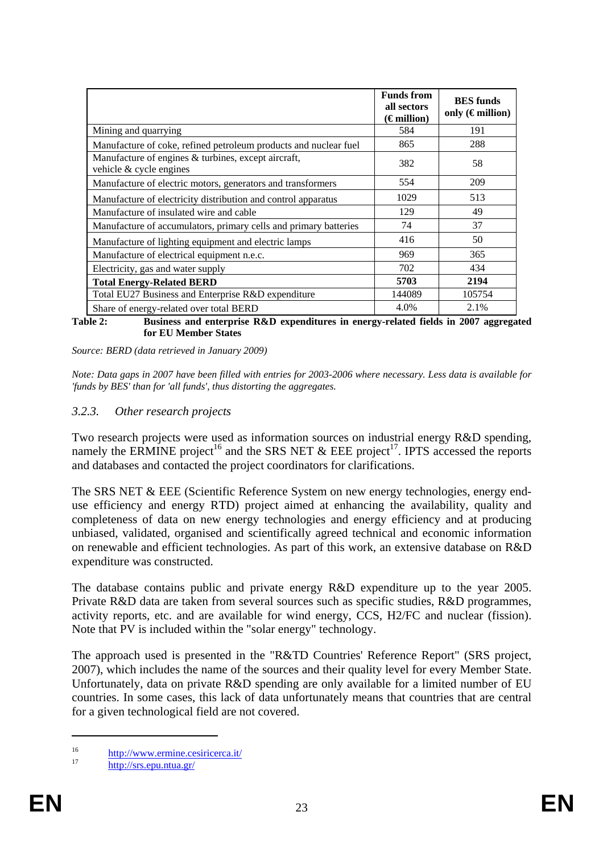|                                                                                | <b>Funds from</b><br>all sectors<br>$(\epsilon$ million) | <b>BES</b> funds<br>only $(\epsilon$ million) |
|--------------------------------------------------------------------------------|----------------------------------------------------------|-----------------------------------------------|
| Mining and quarrying                                                           | 584                                                      | 191                                           |
| Manufacture of coke, refined petroleum products and nuclear fuel               | 865                                                      | 288                                           |
| Manufacture of engines & turbines, except aircraft,<br>vehicle & cycle engines | 382                                                      | 58                                            |
| Manufacture of electric motors, generators and transformers                    | 554                                                      | 209                                           |
| Manufacture of electricity distribution and control apparatus                  | 1029                                                     | 513                                           |
| Manufacture of insulated wire and cable                                        | 129                                                      | 49                                            |
| Manufacture of accumulators, primary cells and primary batteries               | 74                                                       | 37                                            |
| Manufacture of lighting equipment and electric lamps                           | 416                                                      | 50                                            |
| Manufacture of electrical equipment n.e.c.                                     | 969                                                      | 365                                           |
| Electricity, gas and water supply                                              | 702                                                      | 434                                           |
| <b>Total Energy-Related BERD</b>                                               | 5703                                                     | 2194                                          |
| Total EU27 Business and Enterprise R&D expenditure                             | 144089                                                   | 105754                                        |
| Share of energy-related over total BERD                                        | 4.0%                                                     | 2.1%                                          |

**Table 2: Business and enterprise R&D expenditures in energy-related fields in 2007 aggregated for EU Member States** 

*Source: BERD (data retrieved in January 2009)* 

*Note: Data gaps in 2007 have been filled with entries for 2003-2006 where necessary. Less data is available for 'funds by BES' than for 'all funds', thus distorting the aggregates.* 

#### *3.2.3. Other research projects*

Two research projects were used as information sources on industrial energy R&D spending, namely the ERMINE project<sup>16</sup> and the SRS NET & EEE project<sup>17</sup>. IPTS accessed the reports and databases and contacted the project coordinators for clarifications.

The SRS NET & EEE (Scientific Reference System on new energy technologies, energy enduse efficiency and energy RTD) project aimed at enhancing the availability, quality and completeness of data on new energy technologies and energy efficiency and at producing unbiased, validated, organised and scientifically agreed technical and economic information on renewable and efficient technologies. As part of this work, an extensive database on R&D expenditure was constructed.

The database contains public and private energy R&D expenditure up to the year 2005. Private R&D data are taken from several sources such as specific studies, R&D programmes, activity reports, etc. and are available for wind energy, CCS, H2/FC and nuclear (fission). Note that PV is included within the "solar energy" technology.

The approach used is presented in the "R&TD Countries' Reference Report" (SRS project, 2007), which includes the name of the sources and their quality level for every Member State. Unfortunately, data on private R&D spending are only available for a limited number of EU countries. In some cases, this lack of data unfortunately means that countries that are central for a given technological field are not covered.

<sup>16</sup> <http://www.ermine.cesiricerca.it/><br> <http://srs.epu.ntua.gr/>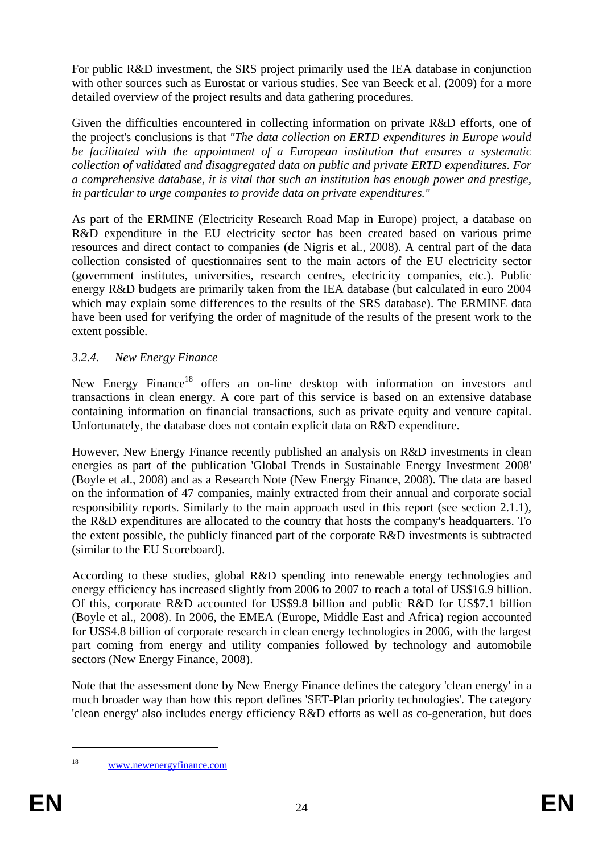For public R&D investment, the SRS project primarily used the IEA database in conjunction with other sources such as Eurostat or various studies. See van Beeck et al. (2009) for a more detailed overview of the project results and data gathering procedures.

Given the difficulties encountered in collecting information on private R&D efforts, one of the project's conclusions is that *"The data collection on ERTD expenditures in Europe would be facilitated with the appointment of a European institution that ensures a systematic collection of validated and disaggregated data on public and private ERTD expenditures. For a comprehensive database, it is vital that such an institution has enough power and prestige, in particular to urge companies to provide data on private expenditures."*

As part of the ERMINE (Electricity Research Road Map in Europe) project, a database on R&D expenditure in the EU electricity sector has been created based on various prime resources and direct contact to companies (de Nigris et al., 2008). A central part of the data collection consisted of questionnaires sent to the main actors of the EU electricity sector (government institutes, universities, research centres, electricity companies, etc.). Public energy R&D budgets are primarily taken from the IEA database (but calculated in euro 2004 which may explain some differences to the results of the SRS database). The ERMINE data have been used for verifying the order of magnitude of the results of the present work to the extent possible.

### *3.2.4. New Energy Finance*

New Energy Finance<sup>18</sup> offers an on-line desktop with information on investors and transactions in clean energy. A core part of this service is based on an extensive database containing information on financial transactions, such as private equity and venture capital. Unfortunately, the database does not contain explicit data on R&D expenditure.

However, New Energy Finance recently published an analysis on R&D investments in clean energies as part of the publication 'Global Trends in Sustainable Energy Investment 2008' (Boyle et al., 2008) and as a Research Note (New Energy Finance, 2008). The data are based on the information of 47 companies, mainly extracted from their annual and corporate social responsibility reports. Similarly to the main approach used in this report (see section 2.1.1), the R&D expenditures are allocated to the country that hosts the company's headquarters. To the extent possible, the publicly financed part of the corporate R&D investments is subtracted (similar to the EU Scoreboard).

According to these studies, global R&D spending into renewable energy technologies and energy efficiency has increased slightly from 2006 to 2007 to reach a total of US\$16.9 billion. Of this, corporate R&D accounted for US\$9.8 billion and public R&D for US\$7.1 billion (Boyle et al., 2008). In 2006, the EMEA (Europe, Middle East and Africa) region accounted for US\$4.8 billion of corporate research in clean energy technologies in 2006, with the largest part coming from energy and utility companies followed by technology and automobile sectors (New Energy Finance, 2008).

Note that the assessment done by New Energy Finance defines the category 'clean energy' in a much broader way than how this report defines 'SET-Plan priority technologies'. The category 'clean energy' also includes energy efficiency R&D efforts as well as co-generation, but does

<sup>18</sup> [www.newenergyfinance.com](http://www.newenergyfinance.com/)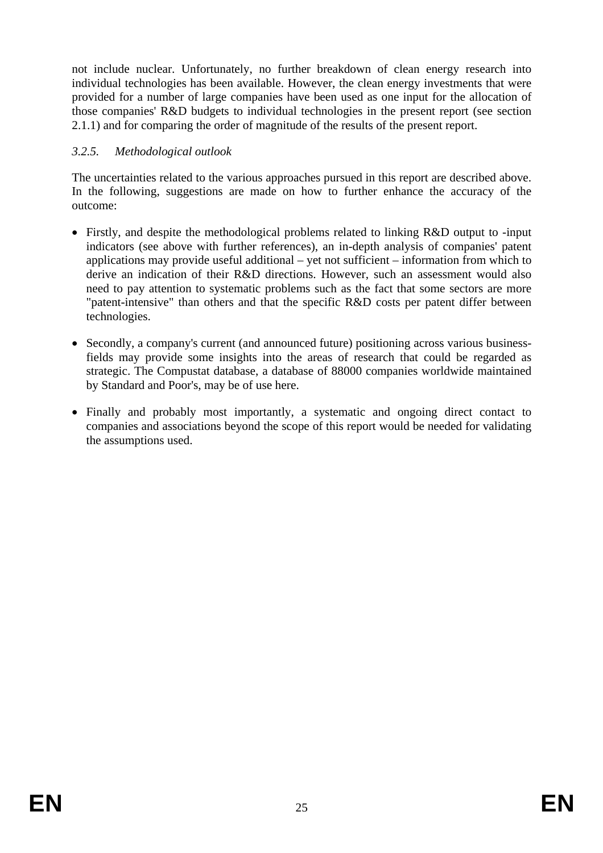not include nuclear. Unfortunately, no further breakdown of clean energy research into individual technologies has been available. However, the clean energy investments that were provided for a number of large companies have been used as one input for the allocation of those companies' R&D budgets to individual technologies in the present report (see section 2.1.1) and for comparing the order of magnitude of the results of the present report.

## *3.2.5. Methodological outlook*

The uncertainties related to the various approaches pursued in this report are described above. In the following, suggestions are made on how to further enhance the accuracy of the outcome:

- Firstly, and despite the methodological problems related to linking R&D output to -input indicators (see above with further references), an in-depth analysis of companies' patent applications may provide useful additional – yet not sufficient – information from which to derive an indication of their R&D directions. However, such an assessment would also need to pay attention to systematic problems such as the fact that some sectors are more "patent-intensive" than others and that the specific R&D costs per patent differ between technologies.
- Secondly, a company's current (and announced future) positioning across various businessfields may provide some insights into the areas of research that could be regarded as strategic. The Compustat database, a database of 88000 companies worldwide maintained by Standard and Poor's, may be of use here.
- Finally and probably most importantly, a systematic and ongoing direct contact to companies and associations beyond the scope of this report would be needed for validating the assumptions used.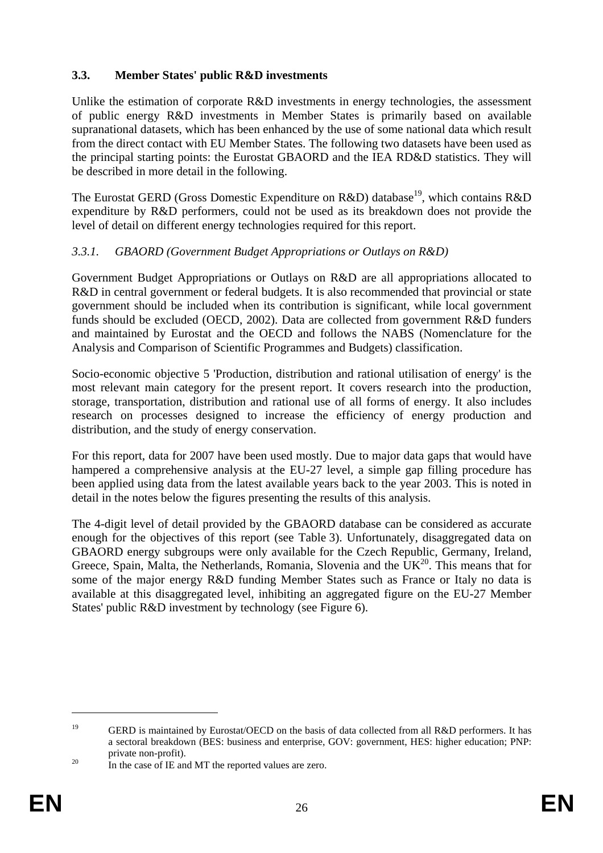## <span id="page-25-0"></span>**3.3. Member States' public R&D investments**

Unlike the estimation of corporate  $R&D$  investments in energy technologies, the assessment of public energy R&D investments in Member States is primarily based on available supranational datasets, which has been enhanced by the use of some national data which result from the direct contact with EU Member States. The following two datasets have been used as the principal starting points: the Eurostat GBAORD and the IEA RD&D statistics. They will be described in more detail in the following.

The Eurostat GERD (Gross Domestic Expenditure on  $R&D$ ) database<sup>19</sup>, which contains  $R&D$ expenditure by R&D performers, could not be used as its breakdown does not provide the level of detail on different energy technologies required for this report.

### *3.3.1. GBAORD (Government Budget Appropriations or Outlays on R&D)*

Government Budget Appropriations or Outlays on R&D are all appropriations allocated to R&D in central government or federal budgets. It is also recommended that provincial or state government should be included when its contribution is significant, while local government funds should be excluded (OECD, 2002). Data are collected from government R&D funders and maintained by Eurostat and the OECD and follows the NABS (Nomenclature for the Analysis and Comparison of Scientific Programmes and Budgets) classification.

Socio-economic objective 5 'Production, distribution and rational utilisation of energy' is the most relevant main category for the present report. It covers research into the production, storage, transportation, distribution and rational use of all forms of energy. It also includes research on processes designed to increase the efficiency of energy production and distribution, and the study of energy conservation.

For this report, data for 2007 have been used mostly. Due to major data gaps that would have hampered a comprehensive analysis at the EU-27 level, a simple gap filling procedure has been applied using data from the latest available years back to the year 2003. This is noted in detail in the notes below the figures presenting the results of this analysis.

The 4-digit level of detail provided by the GBAORD database can be considered as accurate enough for the objectives of this report (see [Table 3\)](#page-26-0). Unfortunately, disaggregated data on GBAORD energy subgroups were only available for the Czech Republic, Germany, Ireland, Greece, Spain, Malta, the Netherlands, Romania, Slovenia and the  $\overline{UK}^{20}$ . This means that for some of the major energy R&D funding Member States such as France or Italy no data is available at this disaggregated level, inhibiting an aggregated figure on the EU-27 Member States' public R&D investment by technology (se[e Figure 6\)](#page-26-1).

<sup>&</sup>lt;sup>19</sup> GERD is maintained by Eurostat/OECD on the basis of data collected from all R&D performers. It has a sectoral breakdown (BES: business and enterprise, GOV: government, HES: higher education; PNP: private non-profit).<br><sup>20</sup> In the case of IE and MT the reported values are zero.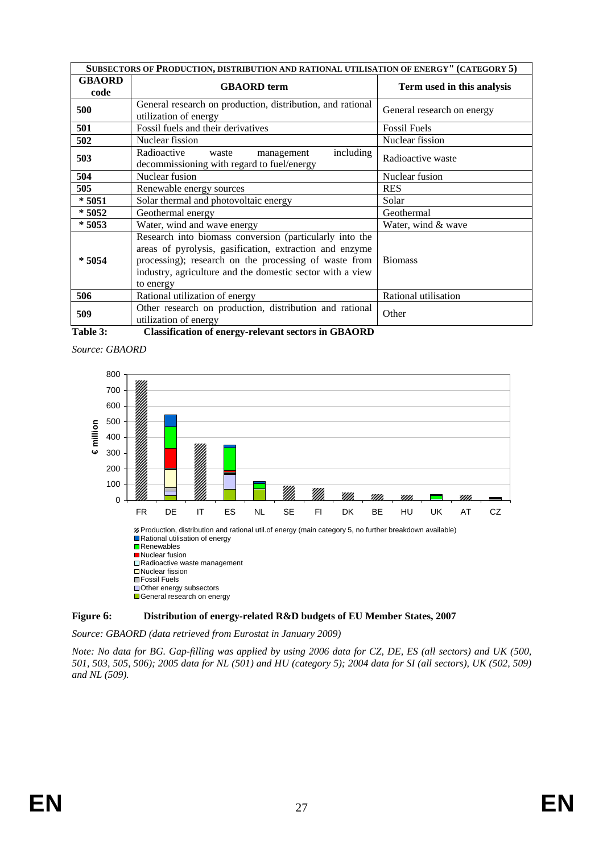|                       | SUBSECTORS OF PRODUCTION, DISTRIBUTION AND RATIONAL UTILISATION OF ENERGY" (CATEGORY 5)                                                                                                                                                                                                                                                                                                                                                                                                                                                                                        |                            |  |  |  |  |  |  |
|-----------------------|--------------------------------------------------------------------------------------------------------------------------------------------------------------------------------------------------------------------------------------------------------------------------------------------------------------------------------------------------------------------------------------------------------------------------------------------------------------------------------------------------------------------------------------------------------------------------------|----------------------------|--|--|--|--|--|--|
| <b>GBAORD</b><br>code | <b>GBAORD</b> term                                                                                                                                                                                                                                                                                                                                                                                                                                                                                                                                                             | Term used in this analysis |  |  |  |  |  |  |
| 500                   | General research on production, distribution, and rational<br>utilization of energy                                                                                                                                                                                                                                                                                                                                                                                                                                                                                            | General research on energy |  |  |  |  |  |  |
| 501                   | Fossil fuels and their derivatives                                                                                                                                                                                                                                                                                                                                                                                                                                                                                                                                             | <b>Fossil Fuels</b>        |  |  |  |  |  |  |
| 502                   | Nuclear fission                                                                                                                                                                                                                                                                                                                                                                                                                                                                                                                                                                | Nuclear fission            |  |  |  |  |  |  |
| 503                   | including<br>Radioactive<br>waste<br>management<br>decommissioning with regard to fuel/energy                                                                                                                                                                                                                                                                                                                                                                                                                                                                                  | Radioactive waste          |  |  |  |  |  |  |
| 504                   | Nuclear fusion                                                                                                                                                                                                                                                                                                                                                                                                                                                                                                                                                                 | Nuclear fusion             |  |  |  |  |  |  |
| 505                   | Renewable energy sources                                                                                                                                                                                                                                                                                                                                                                                                                                                                                                                                                       | <b>RES</b>                 |  |  |  |  |  |  |
| $*5051$               | Solar thermal and photovoltaic energy                                                                                                                                                                                                                                                                                                                                                                                                                                                                                                                                          | Solar                      |  |  |  |  |  |  |
| * 5052                | Geothermal energy                                                                                                                                                                                                                                                                                                                                                                                                                                                                                                                                                              | Geothermal                 |  |  |  |  |  |  |
| $*5053$               | Water, wind and wave energy                                                                                                                                                                                                                                                                                                                                                                                                                                                                                                                                                    | Water, wind & wave         |  |  |  |  |  |  |
| $*5054$               | Research into biomass conversion (particularly into the<br>areas of pyrolysis, gasification, extraction and enzyme<br>processing); research on the processing of waste from<br>industry, agriculture and the domestic sector with a view<br>to energy                                                                                                                                                                                                                                                                                                                          | <b>Biomass</b>             |  |  |  |  |  |  |
| 506                   | Rational utilization of energy                                                                                                                                                                                                                                                                                                                                                                                                                                                                                                                                                 | Rational utilisation       |  |  |  |  |  |  |
| 509<br>-----          | Other research on production, distribution and rational<br>utilization of energy<br>$\blacksquare$ $\blacksquare$ $\blacksquare$ $\blacksquare$ $\blacksquare$ $\blacksquare$ $\blacksquare$ $\blacksquare$ $\blacksquare$ $\blacksquare$ $\blacksquare$ $\blacksquare$ $\blacksquare$ $\blacksquare$ $\blacksquare$ $\blacksquare$ $\blacksquare$ $\blacksquare$ $\blacksquare$ $\blacksquare$ $\blacksquare$ $\blacksquare$ $\blacksquare$ $\blacksquare$ $\blacksquare$ $\blacksquare$ $\blacksquare$ $\blacksquare$ $\blacksquare$ $\blacksquare$ $\blacksquare$ $\blacks$ | Other                      |  |  |  |  |  |  |

<span id="page-26-0"></span>**Table 3: Classification of energy-relevant sectors in GBAORD** 





#### <span id="page-26-1"></span>**Figure 6: Distribution of energy-related R&D budgets of EU Member States, 2007**

*Source: GBAORD (data retrieved from Eurostat in January 2009)* 

*Note: No data for BG. Gap-filling was applied by using 2006 data for CZ, DE, ES (all sectors) and UK (500, 501, 503, 505, 506); 2005 data for NL (501) and HU (category 5); 2004 data for SI (all sectors), UK (502, 509) and NL (509).*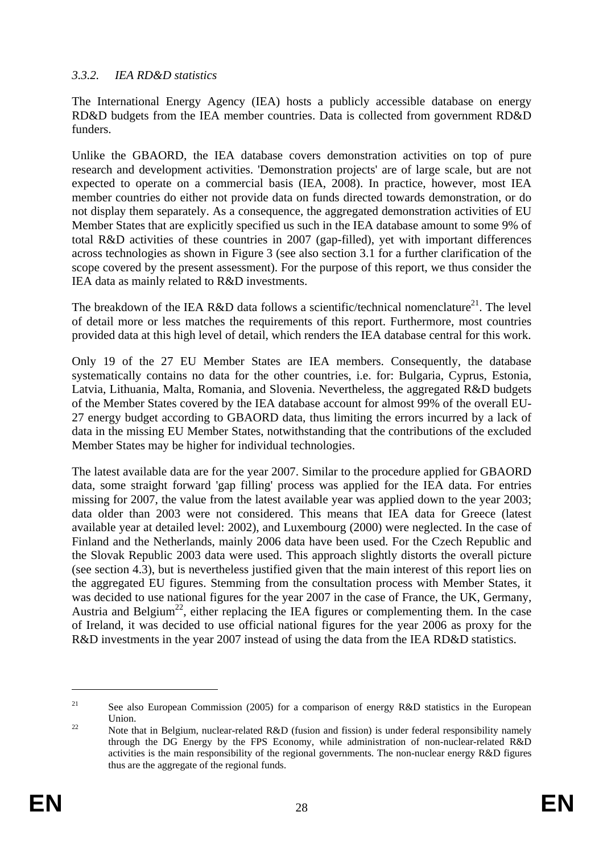## *3.3.2. IEA RD&D statistics*

The International Energy Agency (IEA) hosts a publicly accessible database on energy RD&D budgets from the IEA member countries. Data is collected from government RD&D funders.

Unlike the GBAORD, the IEA database covers demonstration activities on top of pure research and development activities. 'Demonstration projects' are of large scale, but are not expected to operate on a commercial basis (IEA, 2008). In practice, however, most IEA member countries do either not provide data on funds directed towards demonstration, or do not display them separately. As a consequence, the aggregated demonstration activities of EU Member States that are explicitly specified us such in the IEA database amount to some 9% of total R&D activities of these countries in 2007 (gap-filled), yet with important differences across technologies as shown in [Figure 3](#page-10-0) (see also section [3.1](#page-8-1) for a further clarification of the scope covered by the present assessment). For the purpose of this report, we thus consider the IEA data as mainly related to R&D investments.

The breakdown of the IEA R&D data follows a scientific/technical nomenclature<sup>21</sup>. The level of detail more or less matches the requirements of this report. Furthermore, most countries provided data at this high level of detail, which renders the IEA database central for this work.

Only 19 of the 27 EU Member States are IEA members. Consequently, the database systematically contains no data for the other countries, i.e. for: Bulgaria, Cyprus, Estonia, Latvia, Lithuania, Malta, Romania, and Slovenia. Nevertheless, the aggregated R&D budgets of the Member States covered by the IEA database account for almost 99% of the overall EU-27 energy budget according to GBAORD data, thus limiting the errors incurred by a lack of data in the missing EU Member States, notwithstanding that the contributions of the excluded Member States may be higher for individual technologies.

The latest available data are for the year 2007. Similar to the procedure applied for GBAORD data, some straight forward 'gap filling' process was applied for the IEA data. For entries missing for 2007, the value from the latest available year was applied down to the year 2003; data older than 2003 were not considered. This means that IEA data for Greece (latest available year at detailed level: 2002), and Luxembourg (2000) were neglected. In the case of Finland and the Netherlands, mainly 2006 data have been used. For the Czech Republic and the Slovak Republic 2003 data were used. This approach slightly distorts the overall picture (see sectio[n 4.3\)](#page-58-0), but is nevertheless justified given that the main interest of this report lies on the aggregated EU figures. Stemming from the consultation process with Member States, it was decided to use national figures for the year 2007 in the case of France, the UK, Germany, Austria and Belgium<sup>22</sup>, either replacing the IEA figures or complementing them. In the case of Ireland, it was decided to use official national figures for the year 2006 as proxy for the R&D investments in the year 2007 instead of using the data from the IEA RD&D statistics.

<span id="page-27-0"></span><sup>&</sup>lt;sup>21</sup> See also European Commission (2005) for a comparison of energy R&D statistics in the European Union.<br><sup>22</sup> Note that in Belgium, nuclear-related R&D (fusion and fission) is under federal responsibility namely

through the DG Energy by the FPS Economy, while administration of non-nuclear-related R&D activities is the main responsibility of the regional governments. The non-nuclear energy R&D figures thus are the aggregate of the regional funds.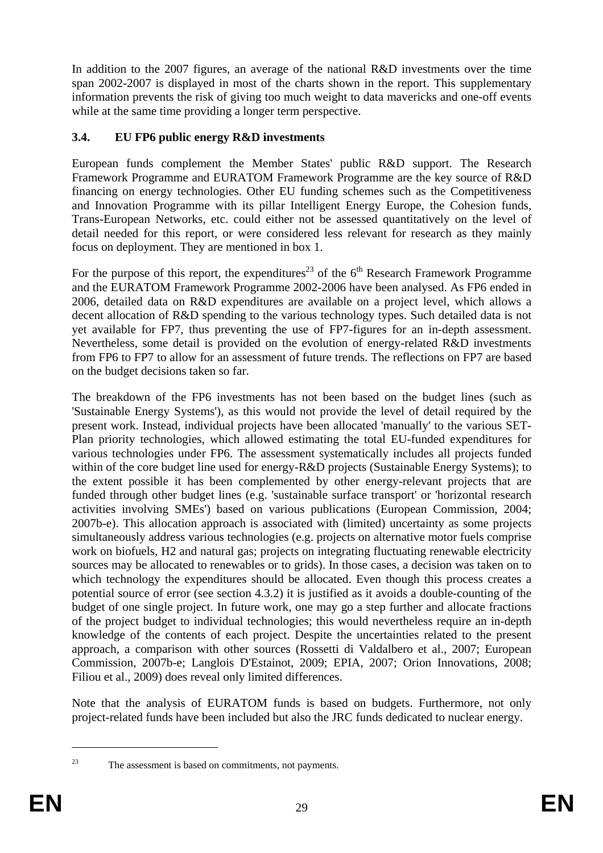In addition to the 2007 figures, an average of the national R&D investments over the time span 2002-2007 is displayed in most of the charts shown in the report. This supplementary information prevents the risk of giving too much weight to data mavericks and one-off events while at the same time providing a longer term perspective.

## <span id="page-28-0"></span>**3.4. EU FP6 public energy R&D investments**

European funds complement the Member States' public R&D support. The Research Framework Programme and EURATOM Framework Programme are the key source of R&D financing on energy technologies. Other EU funding schemes such as the Competitiveness and Innovation Programme with its pillar Intelligent Energy Europe, the Cohesion funds, Trans-European Networks, etc. could either not be assessed quantitatively on the level of detail needed for this report, or were considered less relevant for research as they mainly focus on deployment. They are mentioned in box 1.

For the purpose of this report, the expenditures<sup>23</sup> of the  $6<sup>th</sup>$  Research Framework Programme and the EURATOM Framework Programme 2002-2006 have been analysed. As FP6 ended in 2006, detailed data on R&D expenditures are available on a project level, which allows a decent allocation of R&D spending to the various technology types. Such detailed data is not yet available for FP7, thus preventing the use of FP7-figures for an in-depth assessment. Nevertheless, some detail is provided on the evolution of energy-related R&D investments from FP6 to FP7 to allow for an assessment of future trends. The reflections on FP7 are based on the budget decisions taken so far.

The breakdown of the FP6 investments has not been based on the budget lines (such as 'Sustainable Energy Systems'), as this would not provide the level of detail required by the present work. Instead, individual projects have been allocated 'manually' to the various SET-Plan priority technologies, which allowed estimating the total EU-funded expenditures for various technologies under FP6. The assessment systematically includes all projects funded within of the core budget line used for energy-R&D projects (Sustainable Energy Systems); to the extent possible it has been complemented by other energy-relevant projects that are funded through other budget lines (e.g. 'sustainable surface transport' or 'horizontal research activities involving SMEs') based on various publications (European Commission, 2004; 2007b-e). This allocation approach is associated with (limited) uncertainty as some projects simultaneously address various technologies (e.g. projects on alternative motor fuels comprise work on biofuels, H2 and natural gas; projects on integrating fluctuating renewable electricity sources may be allocated to renewables or to grids). In those cases, a decision was taken on to which technology the expenditures should be allocated. Even though this process creates a potential source of error (see sectio[n 4.3.2\)](#page-61-0) it is justified as it avoids a double-counting of the budget of one single project. In future work, one may go a step further and allocate fractions of the project budget to individual technologies; this would nevertheless require an in-depth knowledge of the contents of each project. Despite the uncertainties related to the present approach, a comparison with other sources (Rossetti di Valdalbero et al., 2007; European Commission, 2007b-e; Langlois D'Estainot, 2009; EPIA, 2007; Orion Innovations, 2008; Filiou et al., 2009) does reveal only limited differences.

Note that the analysis of EURATOM funds is based on budgets. Furthermore, not only project-related funds have been included but also the JRC funds dedicated to nuclear energy.

 $\overline{a}$ 

<sup>23</sup> The assessment is based on commitments, not payments.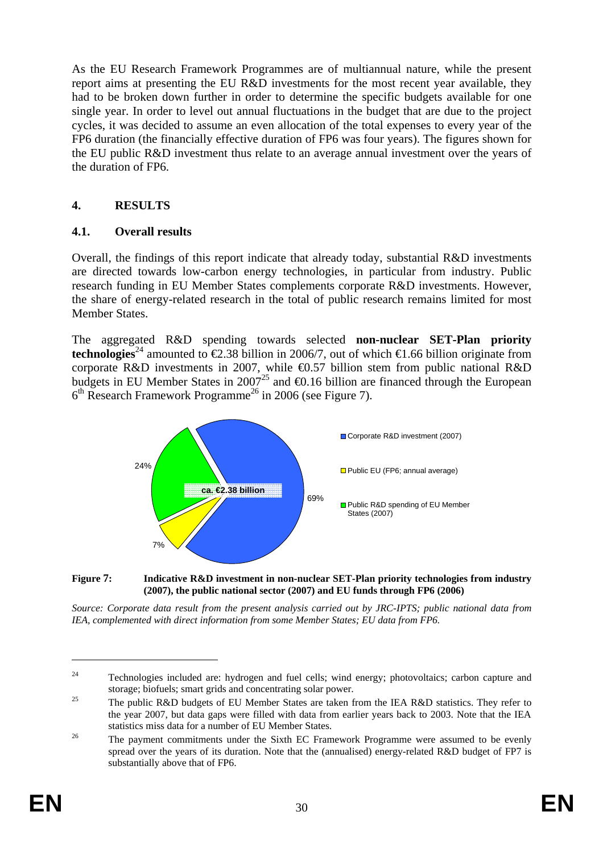As the EU Research Framework Programmes are of multiannual nature, while the present report aims at presenting the EU R&D investments for the most recent year available, they had to be broken down further in order to determine the specific budgets available for one single year. In order to level out annual fluctuations in the budget that are due to the project cycles, it was decided to assume an even allocation of the total expenses to every year of the FP6 duration (the financially effective duration of FP6 was four years). The figures shown for the EU public R&D investment thus relate to an average annual investment over the years of the duration of FP6.

## <span id="page-29-0"></span>**4. RESULTS**

### <span id="page-29-1"></span>**4.1. Overall results**

Overall, the findings of this report indicate that already today, substantial R&D investments are directed towards low-carbon energy technologies, in particular from industry. Public research funding in EU Member States complements corporate R&D investments. However, the share of energy-related research in the total of public research remains limited for most Member States.

The aggregated R&D spending towards selected **non-nuclear SET-Plan priority technologies**<sup>24</sup> amounted to €2.38 billion in 2006/7, out of which €1.66 billion originate from corporate R&D investments in 2007, while  $\Theta$ .57 billion stem from public national R&D budgets in EU Member States in 2007<sup>25</sup> and  $\bigoplus$ .16 billion are financed through the European  $6<sup>th</sup>$  Research Framework Programme<sup>26</sup> in 2006 (see [Figure 7\).](#page-29-2)



<span id="page-29-2"></span>**Figure 7: Indicative R&D investment in non-nuclear SET-Plan priority technologies from industry (2007), the public national sector (2007) and EU funds through FP6 (2006)** 

*Source: Corporate data result from the present analysis carried out by JRC-IPTS; public national data from IEA, complemented with direct information from some Member States; EU data from FP6.* 

<sup>&</sup>lt;sup>24</sup> Technologies included are: hydrogen and fuel cells; wind energy; photovoltaics; carbon capture and

storage; biofuels; smart grids and concentrating solar power.<br><sup>25</sup> The public R&D budgets of EU Member States are taken from the IEA R&D statistics. They refer to the year 2007, but data gaps were filled with data from earlier years back to 2003. Note that the IEA

statistics miss data for a number of EU Member States.<br><sup>26</sup> The payment commitments under the Sixth EC Framework Programme were assumed to be evenly spread over the years of its duration. Note that the (annualised) energy-related R&D budget of FP7 is substantially above that of FP6.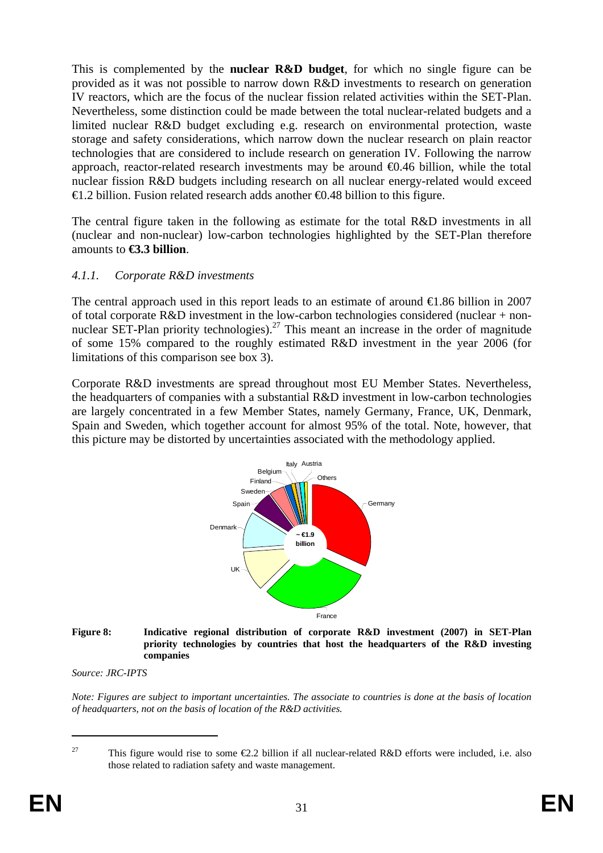This is complemented by the **nuclear R&D budget**, for which no single figure can be provided as it was not possible to narrow down R&D investments to research on generation IV reactors, which are the focus of the nuclear fission related activities within the SET-Plan. Nevertheless, some distinction could be made between the total nuclear-related budgets and a limited nuclear R&D budget excluding e.g. research on environmental protection, waste storage and safety considerations, which narrow down the nuclear research on plain reactor technologies that are considered to include research on generation IV. Following the narrow approach, reactor-related research investments may be around €0.46 billion, while the total nuclear fission R&D budgets including research on all nuclear energy-related would exceed  $\triangle$ 1.2 billion. Fusion related research adds another  $\triangle$ 0.48 billion to this figure.

The central figure taken in the following as estimate for the total R&D investments in all (nuclear and non-nuclear) low-carbon technologies highlighted by the SET-Plan therefore amounts to **€3.3 billion**.

### *4.1.1. Corporate R&D investments*

The central approach used in this report leads to an estimate of around €1.86 billion in 2007 of total corporate R&D investment in the low-carbon technologies considered (nuclear + nonnuclear SET-Plan priority technologies).<sup>27</sup> This meant an increase in the order of magnitude of some 15% compared to the roughly estimated R&D investment in the year 2006 (for limitations of this comparison see box 3).

Corporate R&D investments are spread throughout most EU Member States. Nevertheless, the headquarters of companies with a substantial R&D investment in low-carbon technologies are largely concentrated in a few Member States, namely Germany, France, UK, Denmark, Spain and Sweden, which together account for almost 95% of the total. Note, however, that this picture may be distorted by uncertainties associated with the methodology applied.



#### **Figure 8: Indicative regional distribution of corporate R&D investment (2007) in SET-Plan priority technologies by countries that host the headquarters of the R&D investing companies**

*Source: JRC-IPTS* 

*Note: Figures are subject to important uncertainties. The associate to countries is done at the basis of location of headquarters, not on the basis of location of the R&D activities.* 

<sup>&</sup>lt;sup>27</sup> This figure would rise to some  $\epsilon$ 2.2 billion if all nuclear-related R&D efforts were included, i.e. also those related to radiation safety and waste management.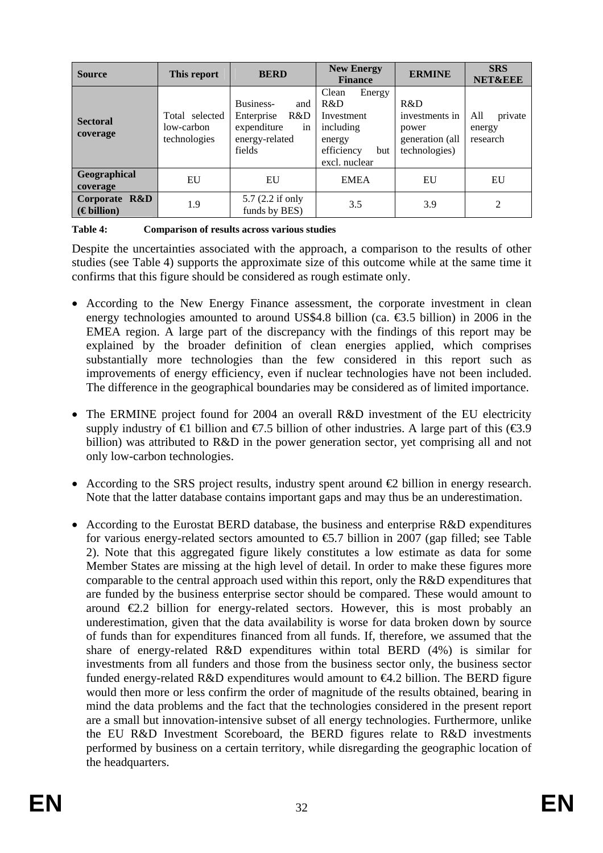| <b>Source</b><br>This report          |                                              | <b>BERD</b>                                                                            | <b>New Energy</b><br><b>Finance</b>                                                               | <b>ERMINE</b>                                                      | <b>SRS</b><br><b>NET&amp;EEE</b>     |  |
|---------------------------------------|----------------------------------------------|----------------------------------------------------------------------------------------|---------------------------------------------------------------------------------------------------|--------------------------------------------------------------------|--------------------------------------|--|
| <b>Sectoral</b><br>coverage           | Total selected<br>low-carbon<br>technologies | Business-<br>and<br>R&D<br>Enterprise<br>expenditure<br>1n<br>energy-related<br>fields | Clean<br>Energy<br>R&D<br>Investment<br>including<br>energy<br>efficiency<br>but<br>excl. nuclear | R&D<br>investments in<br>power<br>generation (all<br>technologies) | All<br>private<br>energy<br>research |  |
| Geographical<br>EU<br>coverage        |                                              | EU                                                                                     | <b>EMEA</b>                                                                                       | EU                                                                 | EU                                   |  |
| Corporate R&D<br>$(\epsilon)$ billion | 1.9                                          | 5.7 (2.2 if only<br>funds by BES)                                                      | 3.5                                                                                               | 3.9                                                                |                                      |  |

<span id="page-31-0"></span>**Table 4: Comparison of results across various studies** 

Despite the uncertainties associated with the approach, a comparison to the results of other studies (see [Table 4\)](#page-31-0) supports the approximate size of this outcome while at the same time it confirms that this figure should be considered as rough estimate only.

- According to the New Energy Finance assessment, the corporate investment in clean energy technologies amounted to around US\$4.8 billion (ca.  $\epsilon$ 3.5 billion) in 2006 in the EMEA region. A large part of the discrepancy with the findings of this report may be explained by the broader definition of clean energies applied, which comprises substantially more technologies than the few considered in this report such as improvements of energy efficiency, even if nuclear technologies have not been included. The difference in the geographical boundaries may be considered as of limited importance.
- The ERMINE project found for 2004 an overall R&D investment of the EU electricity supply industry of  $\in$  billion and  $\in$ 7.5 billion of other industries. A large part of this ( $\in$ 3.9 billion) was attributed to R&D in the power generation sector, yet comprising all and not only low-carbon technologies.
- According to the SRS project results, industry spent around €2 billion in energy research. Note that the latter database contains important gaps and may thus be an underestimation.
- According to the Eurostat BERD database, the business and enterprise R&D expenditures for various energy-related sectors amounted to  $\epsilon$ .7 billion in 2007 (gap filled; see Table 2). Note that this aggregated figure likely constitutes a low estimate as data for some Member States are missing at the high level of detail. In order to make these figures more comparable to the central approach used within this report, only the R&D expenditures that are funded by the business enterprise sector should be compared. These would amount to around  $E.2$  billion for energy-related sectors. However, this is most probably an underestimation, given that the data availability is worse for data broken down by source of funds than for expenditures financed from all funds. If, therefore, we assumed that the share of energy-related R&D expenditures within total BERD (4%) is similar for investments from all funders and those from the business sector only, the business sector funded energy-related R&D expenditures would amount to  $\epsilon 4.2$  billion. The BERD figure would then more or less confirm the order of magnitude of the results obtained, bearing in mind the data problems and the fact that the technologies considered in the present report are a small but innovation-intensive subset of all energy technologies. Furthermore, unlike the EU R&D Investment Scoreboard, the BERD figures relate to R&D investments performed by business on a certain territory, while disregarding the geographic location of the headquarters.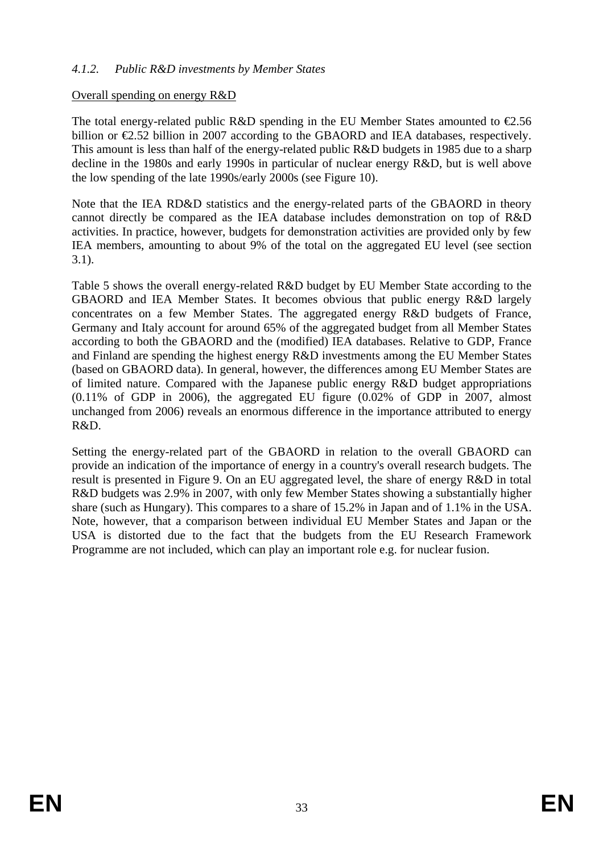### *4.1.2. Public R&D investments by Member States*

#### Overall spending on energy R&D

The total energy-related public R&D spending in the EU Member States amounted to  $\epsilon$ 2.56 billion or €2.52 billion in 2007 according to the GBAORD and IEA databases, respectively. This amount is less than half of the energy-related public R&D budgets in 1985 due to a sharp decline in the 1980s and early 1990s in particular of nuclear energy R&D, but is well above the low spending of the late 1990s/early 2000s (see [Figure 10\)](#page-35-0).

Note that the IEA RD&D statistics and the energy-related parts of the GBAORD in theory cannot directly be compared as the IEA database includes demonstration on top of R&D activities. In practice, however, budgets for demonstration activities are provided only by few IEA members, amounting to about 9% of the total on the aggregated EU level (see section [3.1\)](#page-8-1).

Table 5 shows the overall energy-related R&D budget by EU Member State according to the GBAORD and IEA Member States. It becomes obvious that public energy R&D largely concentrates on a few Member States. The aggregated energy R&D budgets of France, Germany and Italy account for around 65% of the aggregated budget from all Member States according to both the GBAORD and the (modified) IEA databases. Relative to GDP, France and Finland are spending the highest energy R&D investments among the EU Member States (based on GBAORD data). In general, however, the differences among EU Member States are of limited nature. Compared with the Japanese public energy R&D budget appropriations  $(0.11\%$  of GDP in 2006), the aggregated EU figure  $(0.02\%$  of GDP in 2007, almost unchanged from 2006) reveals an enormous difference in the importance attributed to energy R&D.

Setting the energy-related part of the GBAORD in relation to the overall GBAORD can provide an indication of the importance of energy in a country's overall research budgets. The result is presented in [Figure 9.](#page-33-0) On an EU aggregated level, the share of energy R&D in total R&D budgets was 2.9% in 2007, with only few Member States showing a substantially higher share (such as Hungary). This compares to a share of 15.2% in Japan and of 1.1% in the USA. Note, however, that a comparison between individual EU Member States and Japan or the USA is distorted due to the fact that the budgets from the EU Research Framework Programme are not included, which can play an important role e.g. for nuclear fusion.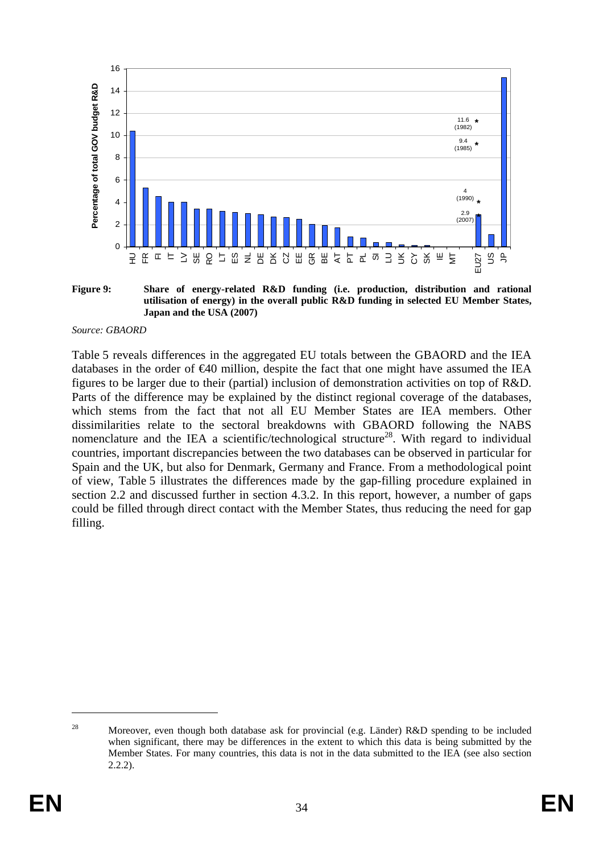

<span id="page-33-0"></span>**Figure 9: Share of energy-related R&D funding (i.e. production, distribution and rational utilisation of energy) in the overall public R&D funding in selected EU Member States, Japan and the USA (2007)** 

#### *Source: GBAORD*

[Table 5](#page-34-0) reveals differences in the aggregated EU totals between the GBAORD and the IEA databases in the order of  $\epsilon 40$  million, despite the fact that one might have assumed the IEA figures to be larger due to their (partial) inclusion of demonstration activities on top of R&D. Parts of the difference may be explained by the distinct regional coverage of the databases, which stems from the fact that not all EU Member States are IEA members. Other dissimilarities relate to the sectoral breakdowns with GBAORD following the NABS nomenclature and the IEA a scientific/technological structure<sup>28</sup>. With regard to individual countries, important discrepancies between the two databases can be observed in particular for Spain and the UK, but also for Denmark, Germany and France. From a methodological point of view, [Table 5](#page-34-0) illustrates the differences made by the gap-filling procedure explained in section 2.2 and discussed further in section [4.3.2.](#page-61-0) In this report, however, a number of gaps could be filled through direct contact with the Member States, thus reducing the need for gap filling.

<sup>&</sup>lt;sup>28</sup> Moreover, even though both database ask for provincial (e.g. Länder) R&D spending to be included when significant, there may be differences in the extent to which this data is being submitted by the Member States. For many countries, this data is not in the data submitted to the IEA (see also section 2.2.2).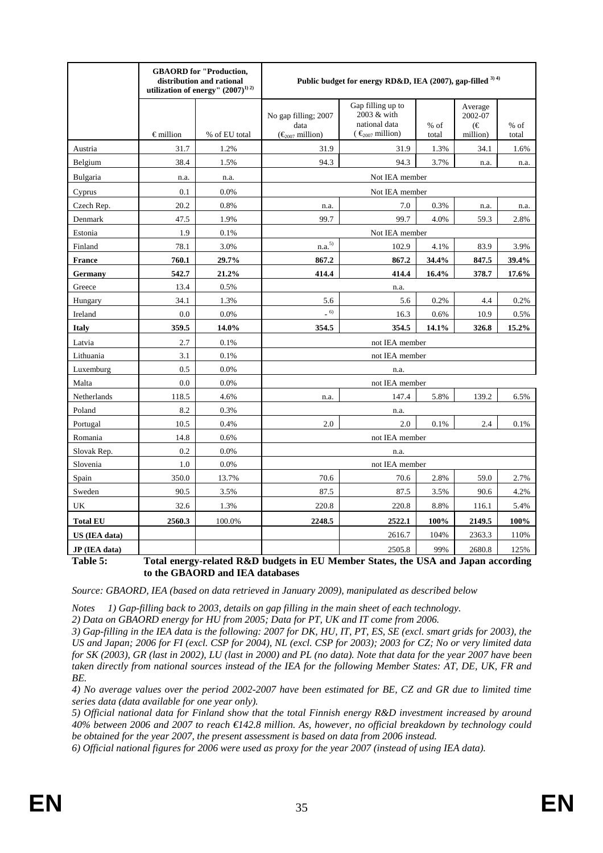|                 |                    | <b>GBAORD</b> for "Production,<br>distribution and rational<br>utilization of energy" $(2007)^{1/2}$ |                                                                                   | Public budget for energy RD&D, IEA (2007), gap-filled 3) 4)                    |        |                         |        |
|-----------------|--------------------|------------------------------------------------------------------------------------------------------|-----------------------------------------------------------------------------------|--------------------------------------------------------------------------------|--------|-------------------------|--------|
|                 |                    |                                                                                                      | No gap filling; 2007<br>data                                                      | Gap filling up to<br>2003 & with<br>national data<br>$\epsilon_{007}$ million) | $%$ of | Average<br>2002-07<br>∈ | $%$ of |
|                 | $\epsilon$ million | % of EU total                                                                                        | $(\epsilon_{2007}$ million)                                                       |                                                                                | total  | million)                | total  |
| Austria         | 31.7               | 1.2%                                                                                                 | 31.9                                                                              | 31.9                                                                           | 1.3%   | 34.1                    | 1.6%   |
| Belgium         | 38.4               | 1.5%                                                                                                 | 94.3                                                                              | 94.3                                                                           | 3.7%   | n.a.                    | n.a.   |
| Bulgaria        | n.a.               | n.a.                                                                                                 |                                                                                   | Not IEA member                                                                 |        |                         |        |
| Cyprus          | 0.1                | 0.0%                                                                                                 |                                                                                   | Not IEA member                                                                 |        |                         |        |
| Czech Rep.      | 20.2               | 0.8%                                                                                                 | n.a.                                                                              | 7.0                                                                            | 0.3%   | n.a.                    | n.a.   |
| Denmark         | 47.5               | 1.9%                                                                                                 | 99.7                                                                              | 99.7                                                                           | 4.0%   | 59.3                    | 2.8%   |
| Estonia         | 1.9                | 0.1%                                                                                                 |                                                                                   | Not IEA member                                                                 |        |                         |        |
| Finland         | 78.1               | 3.0%                                                                                                 | ${\rm n.a.}^{5)}$                                                                 | 102.9                                                                          | 4.1%   | 83.9                    | 3.9%   |
| <b>France</b>   | 760.1              | 29.7%                                                                                                | 867.2                                                                             | 867.2                                                                          | 34.4%  | 847.5                   | 39.4%  |
| Germany         | 542.7              | 21.2%                                                                                                | 414.4                                                                             | 414.4                                                                          | 16.4%  | 378.7                   | 17.6%  |
| Greece          | 13.4               | 0.5%                                                                                                 |                                                                                   | n.a.                                                                           |        |                         |        |
| Hungary         | 34.1               | 1.3%                                                                                                 | 5.6                                                                               | 5.6                                                                            | 0.2%   | 4.4                     | 0.2%   |
| Ireland         | 0.0                | 0.0%                                                                                                 | $-6$                                                                              | 16.3                                                                           | 0.6%   | 10.9                    | 0.5%   |
| <b>Italy</b>    | 359.5              | 14.0%                                                                                                | 354.5                                                                             | 354.5                                                                          | 14.1%  | 326.8                   | 15.2%  |
| Latvia          | 2.7                | 0.1%                                                                                                 |                                                                                   | not IEA member                                                                 |        |                         |        |
| Lithuania       | 3.1                | 0.1%                                                                                                 |                                                                                   | not IEA member                                                                 |        |                         |        |
| Luxemburg       | 0.5                | 0.0%                                                                                                 |                                                                                   | n.a.                                                                           |        |                         |        |
| Malta           | 0.0                | 0.0%                                                                                                 |                                                                                   | not IEA member                                                                 |        |                         |        |
| Netherlands     | 118.5              | 4.6%                                                                                                 | n.a.                                                                              | 147.4                                                                          | 5.8%   | 139.2                   | 6.5%   |
| Poland          | 8.2                | 0.3%                                                                                                 |                                                                                   | n.a.                                                                           |        |                         |        |
| Portugal        | 10.5               | 0.4%                                                                                                 | 2.0                                                                               | 2.0                                                                            | 0.1%   | 2.4                     | 0.1%   |
| Romania         | 14.8               | 0.6%                                                                                                 |                                                                                   | not IEA member                                                                 |        |                         |        |
| Slovak Rep.     | 0.2                | 0.0%                                                                                                 |                                                                                   | n.a.                                                                           |        |                         |        |
| Slovenia        | 1.0                | 0.0%                                                                                                 |                                                                                   | not IEA member                                                                 |        |                         |        |
| Spain           | 350.0              | 13.7%                                                                                                | 70.6                                                                              | 70.6                                                                           | 2.8%   | 59.0                    | 2.7%   |
| Sweden          | 90.5               | 3.5%                                                                                                 | 87.5                                                                              | 87.5                                                                           | 3.5%   | 90.6                    | 4.2%   |
| UK              | 32.6               | 1.3%                                                                                                 | 220.8<br>220.8<br>8.8%<br>116.1                                                   |                                                                                |        |                         | 5.4%   |
| <b>Total EU</b> | 2560.3             | 100.0%                                                                                               | 2248.5<br>100%<br>2149.5<br>2522.1                                                |                                                                                |        |                         | 100%   |
| US (IEA data)   |                    |                                                                                                      |                                                                                   | 2616.7                                                                         | 104%   | 2363.3                  | 110%   |
| JP (IEA data)   |                    |                                                                                                      |                                                                                   | 2505.8                                                                         | 99%    | 2680.8                  | 125%   |
| Table 5:        |                    |                                                                                                      | Total energy-related R&D budgets in EU Member States, the USA and Japan according |                                                                                |        |                         |        |

**to the GBAORD and IEA databases** 

<span id="page-34-0"></span>*Source: GBAORD, IEA (based on data retrieved in January 2009), manipulated as described below* 

*Notes 1) Gap-filling back to 2003, details on gap filling in the main sheet of each technology.* 

*2) Data on GBAORD energy for HU from 2005; Data for PT, UK and IT come from 2006.* 

*3) Gap-filling in the IEA data is the following: 2007 for DK, HU, IT, PT, ES, SE (excl. smart grids for 2003), the US and Japan; 2006 for FI (excl. CSP for 2004), NL (excl. CSP for 2003); 2003 for CZ; No or very limited data for SK (2003), GR (last in 2002), LU (last in 2000) and PL (no data). Note that data for the year 2007 have been taken directly from national sources instead of the IEA for the following Member States: AT, DE, UK, FR and BE.* 

*4) No average values over the period 2002-2007 have been estimated for BE, CZ and GR due to limited time series data (data available for one year only).* 

*5) Official national data for Finland show that the total Finnish energy R&D investment increased by around 40% between 2006 and 2007 to reach €142.8 million. As, however, no official breakdown by technology could be obtained for the year 2007, the present assessment is based on data from 2006 instead.* 

*6) Official national figures for 2006 were used as proxy for the year 2007 (instead of using IEA data).*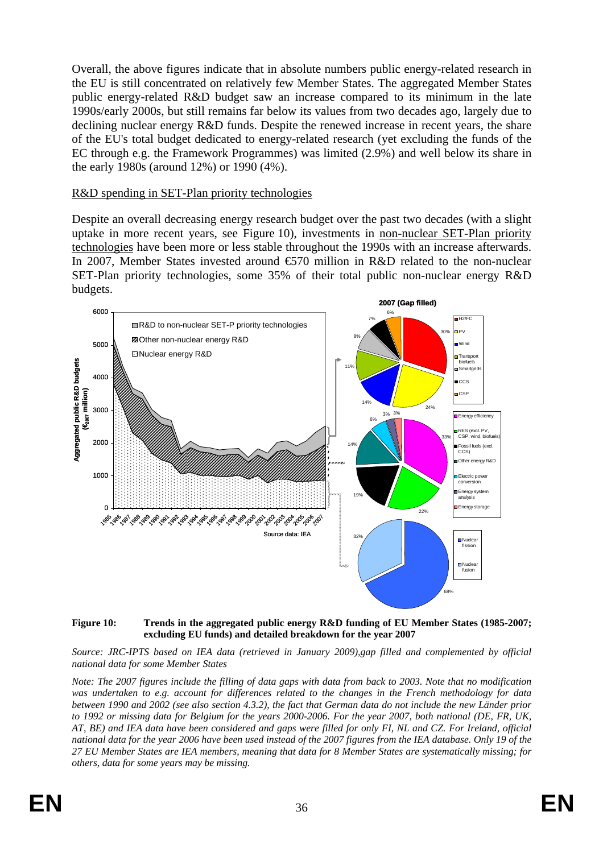Overall, the above figures indicate that in absolute numbers public energy-related research in the EU is still concentrated on relatively few Member States. The aggregated Member States public energy-related R&D budget saw an increase compared to its minimum in the late 1990s/early 2000s, but still remains far below its values from two decades ago, largely due to declining nuclear energy R&D funds. Despite the renewed increase in recent years, the share of the EU's total budget dedicated to energy-related research (yet excluding the funds of the EC through e.g. the Framework Programmes) was limited (2.9%) and well below its share in the early 1980s (around 12%) or 1990 (4%).

#### R&D spending in SET-Plan priority technologies

Despite an overall decreasing energy research budget over the past two decades (with a slight uptake in more recent years, see [Figure 10\)](#page-35-0), investments in non-nuclear SET-Plan priority technologies have been more or less stable throughout the 1990s with an increase afterwards. In 2007, Member States invested around  $\epsilon$ 570 million in R&D related to the non-nuclear SET-Plan priority technologies, some 35% of their total public non-nuclear energy R&D budgets.



#### <span id="page-35-0"></span>**Figure 10: Trends in the aggregated public energy R&D funding of EU Member States (1985-2007; excluding EU funds) and detailed breakdown for the year 2007**

*Source: JRC-IPTS based on IEA data (retrieved in January 2009),gap filled and complemented by official national data for some Member States* 

*Note: The 2007 figures include the filling of data gaps with data from back to 2003. Note that no modification was undertaken to e.g. account for differences related to the changes in the French methodology for data between 1990 and 2002 (see also section [4.3.2\),](#page-61-0) the fact that German data do not include the new Länder prior to 1992 or missing data for Belgium for the years 2000-2006. For the year 2007, both national (DE, FR, UK, AT, BE) and IEA data have been considered and gaps were filled for only FI, NL and CZ. For Ireland, official national data for the year 2006 have been used instead of the 2007 figures from the IEA database. Only 19 of the 27 EU Member States are IEA members, meaning that data for 8 Member States are systematically missing; for others, data for some years may be missing.*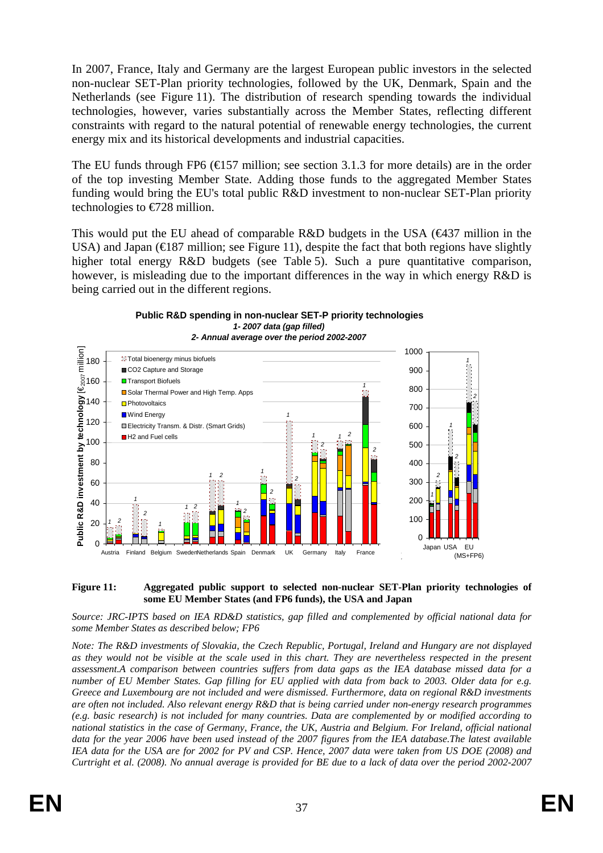In 2007, France, Italy and Germany are the largest European public investors in the selected non-nuclear SET-Plan priority technologies, followed by the UK, Denmark, Spain and the Netherlands (see [Figure 11\)](#page-36-0). The distribution of research spending towards the individual technologies, however, varies substantially across the Member States, reflecting different constraints with regard to the natural potential of renewable energy technologies, the current energy mix and its historical developments and industrial capacities.

The EU funds through FP6 ( $\bigoplus$  57 million; see section 3.1.3 for more details) are in the order of the top investing Member State. Adding those funds to the aggregated Member States funding would bring the EU's total public R&D investment to non-nuclear SET-Plan priority technologies to  $\epsilon$ 728 million.

This would put the EU ahead of comparable R&D budgets in the USA ( $\bigoplus$ 37 million in the USA) and Japan ( $\in$ 187 million; se[e Figure 11\)](#page-36-0), despite the fact that both regions have slightly higher total energy R&D budgets (see [Table 5\)](#page-34-0). Such a pure quantitative comparison, however, is misleading due to the important differences in the way in which energy R&D is being carried out in the different regions.





<span id="page-36-0"></span>

#### *Source: JRC-IPTS based on IEA RD&D statistics, gap filled and complemented by official national data for some Member States as described below; FP6*

*Note: The R&D investments of Slovakia, the Czech Republic, Portugal, Ireland and Hungary are not displayed as they would not be visible at the scale used in this chart. They are nevertheless respected in the present assessment.A comparison between countries suffers from data gaps as the IEA database missed data for a number of EU Member States. Gap filling for EU applied with data from back to 2003. Older data for e.g. Greece and Luxembourg are not included and were dismissed. Furthermore, data on regional R&D investments are often not included. Also relevant energy R&D that is being carried under non-energy research programmes (e.g. basic research) is not included for many countries. Data are complemented by or modified according to national statistics in the case of Germany, France, the UK, Austria and Belgium. For Ireland, official national data for the year 2006 have been used instead of the 2007 figures from the IEA database.The latest available IEA data for the USA are for 2002 for PV and CSP. Hence, 2007 data were taken from US DOE (2008) and Curtright et al. (2008). No annual average is provided for BE due to a lack of data over the period 2002-2007*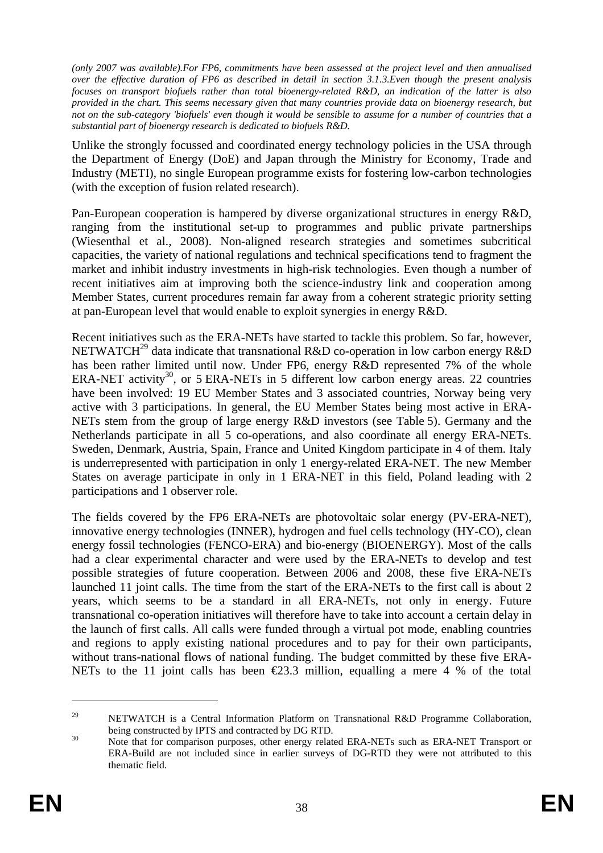*(only 2007 was available).For FP6, commitments have been assessed at the project level and then annualised over the effective duration of FP6 as described in detail in section 3.1.3.Even though the present analysis focuses on transport biofuels rather than total bioenergy-related R&D, an indication of the latter is also provided in the chart. This seems necessary given that many countries provide data on bioenergy research, but not on the sub-category 'biofuels' even though it would be sensible to assume for a number of countries that a substantial part of bioenergy research is dedicated to biofuels R&D.* 

Unlike the strongly focussed and coordinated energy technology policies in the USA through the Department of Energy (DoE) and Japan through the Ministry for Economy, Trade and Industry (METI), no single European programme exists for fostering low-carbon technologies (with the exception of fusion related research).

Pan-European cooperation is hampered by diverse organizational structures in energy R&D, ranging from the institutional set-up to programmes and public private partnerships (Wiesenthal et al., 2008). Non-aligned research strategies and sometimes subcritical capacities, the variety of national regulations and technical specifications tend to fragment the market and inhibit industry investments in high-risk technologies. Even though a number of recent initiatives aim at improving both the science-industry link and cooperation among Member States, current procedures remain far away from a coherent strategic priority setting at pan-European level that would enable to exploit synergies in energy R&D.

Recent initiatives such as the ERA-NETs have started to tackle this problem. So far, however, NETWATCH<sup>29</sup> data indicate that transnational R&D co-operation in low carbon energy R&D has been rather limited until now. Under FP6, energy R&D represented 7% of the whole ERA-NET activity<sup>30</sup>, or 5 ERA-NETs in 5 different low carbon energy areas. 22 countries have been involved: 19 EU Member States and 3 associated countries, Norway being very active with 3 participations. In general, the EU Member States being most active in ERA-NETs stem from the group of large energy R&D investors (see [Table 5\)](#page-34-0). Germany and the Netherlands participate in all 5 co-operations, and also coordinate all energy ERA-NETs. Sweden, Denmark, Austria, Spain, France and United Kingdom participate in 4 of them. Italy is underrepresented with participation in only 1 energy-related ERA-NET. The new Member States on average participate in only in 1 ERA-NET in this field, Poland leading with 2 participations and 1 observer role.

The fields covered by the FP6 ERA-NETs are photovoltaic solar energy (PV-ERA-NET), innovative energy technologies (INNER), hydrogen and fuel cells technology (HY-CO), clean energy fossil technologies (FENCO-ERA) and bio-energy (BIOENERGY). Most of the calls had a clear experimental character and were used by the ERA-NETs to develop and test possible strategies of future cooperation. Between 2006 and 2008, these five ERA-NETs launched 11 joint calls. The time from the start of the ERA-NETs to the first call is about 2 years, which seems to be a standard in all ERA-NETs, not only in energy. Future transnational co-operation initiatives will therefore have to take into account a certain delay in the launch of first calls. All calls were funded through a virtual pot mode, enabling countries and regions to apply existing national procedures and to pay for their own participants, without trans-national flows of national funding. The budget committed by these five ERA-NETs to the 11 joint calls has been  $\epsilon$ 23.3 million, equalling a mere 4 % of the total

<sup>&</sup>lt;sup>29</sup> NETWATCH is a Central Information Platform on Transnational R&D Programme Collaboration, being constructed by IPTS and contracted by DG RTD.<br><sup>30</sup> Note that for comparison purposes, other energy related ERA-NETs such as ERA-NET Transport or

ERA-Build are not included since in earlier surveys of DG-RTD they were not attributed to this thematic field.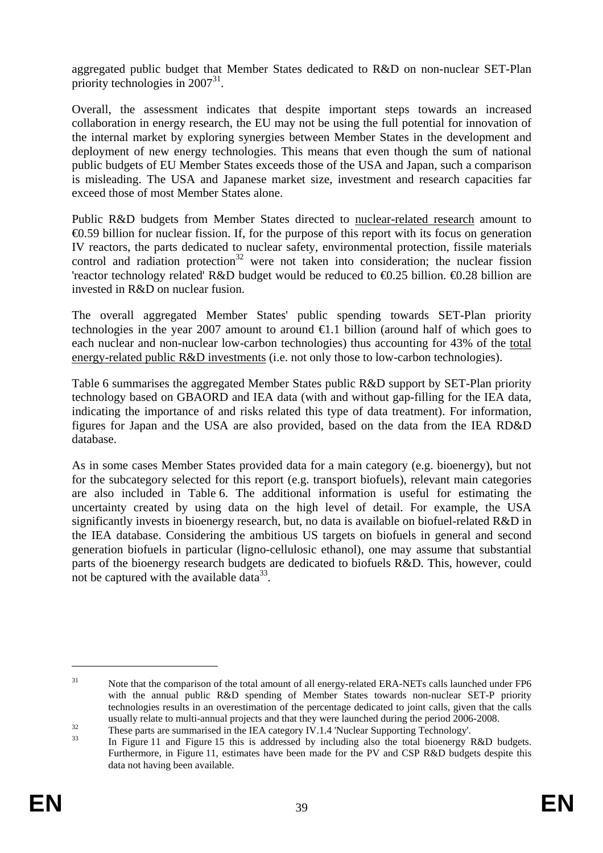aggregated public budget that Member States dedicated to R&D on non-nuclear SET-Plan priority technologies in  $2007^{31}$ .

Overall, the assessment indicates that despite important steps towards an increased collaboration in energy research, the EU may not be using the full potential for innovation of the internal market by exploring synergies between Member States in the development and deployment of new energy technologies. This means that even though the sum of national public budgets of EU Member States exceeds those of the USA and Japan, such a comparison is misleading. The USA and Japanese market size, investment and research capacities far exceed those of most Member States alone.

Public R&D budgets from Member States directed to nuclear-related research amount to €0.59 billion for nuclear fission. If, for the purpose of this report with its focus on generation IV reactors, the parts dedicated to nuclear safety, environmental protection, fissile materials control and radiation protection<sup>32</sup> were not taken into consideration; the nuclear fission 'reactor technology related' R&D budget would be reduced to  $\Theta$ .25 billion.  $\Theta$ .28 billion are invested in R&D on nuclear fusion.

The overall aggregated Member States' public spending towards SET-Plan priority technologies in the year 2007 amount to around  $\epsilon$ 1.1 billion (around half of which goes to each nuclear and non-nuclear low-carbon technologies) thus accounting for 43% of the total energy-related public R&D investments (i.e. not only those to low-carbon technologies).

[Table 6](#page-39-0) summarises the aggregated Member States public R&D support by SET-Plan priority technology based on GBAORD and IEA data (with and without gap-filling for the IEA data, indicating the importance of and risks related this type of data treatment). For information, figures for Japan and the USA are also provided, based on the data from the IEA RD&D database.

As in some cases Member States provided data for a main category (e.g. bioenergy), but not for the subcategory selected for this report (e.g. transport biofuels), relevant main categories are also included in [Table 6.](#page-39-0) The additional information is useful for estimating the uncertainty created by using data on the high level of detail. For example, the USA significantly invests in bioenergy research, but, no data is available on biofuel-related R&D in the IEA database. Considering the ambitious US targets on biofuels in general and second generation biofuels in particular (ligno-cellulosic ethanol), one may assume that substantial parts of the bioenergy research budgets are dedicated to biofuels R&D. This, however, could not be captured with the available data<sup>33</sup>.

<sup>&</sup>lt;sup>31</sup> Note that the comparison of the total amount of all energy-related ERA-NETs calls launched under FP6 with the annual public R&D spending of Member States towards non-nuclear SET-P priority technologies results in an overestimation of the percentage dedicated to joint calls, given that the calls usually relate to multi-annual projects and that they were launched during the period 2006-2008.<br>T[hese parts ar](#page-36-0)e su[mmarised in](#page-48-0) the IEA category IV.1.4 'Nuclear Supporting Technology'.<br>In [Figure 11](#page-36-0) and [Figure 15](#page-48-0) this is add

Furthermore, in [Figure 11,](#page-36-0) estimates have been made for the PV and CSP R&D budgets despite this data not having been available.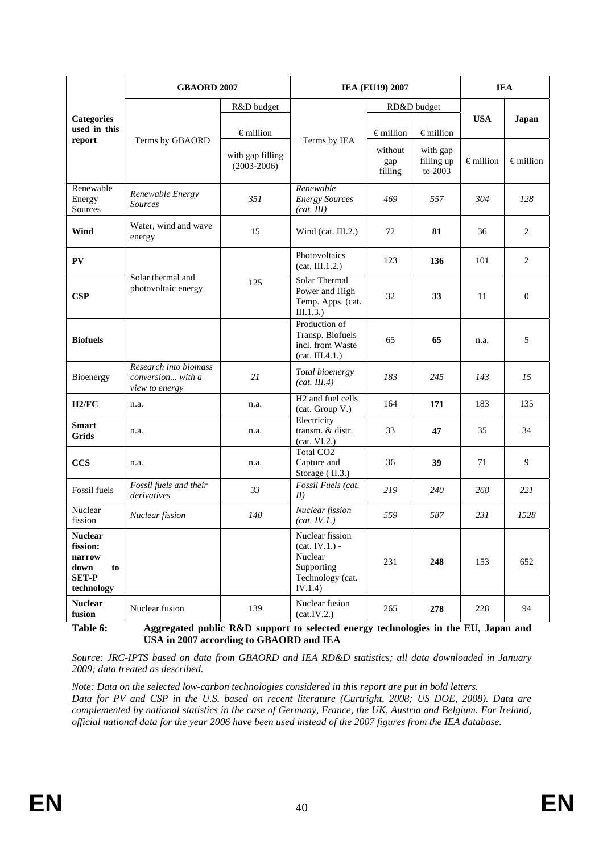|                                                                                  | <b>GBAORD 2007</b>                                           |                                     | <b>IEA (EU19) 2007</b>                                                                      |                           |                                   | <b>IEA</b>         |                    |
|----------------------------------------------------------------------------------|--------------------------------------------------------------|-------------------------------------|---------------------------------------------------------------------------------------------|---------------------------|-----------------------------------|--------------------|--------------------|
| <b>Categories</b><br>used in this<br>report                                      |                                                              | R&D budget                          |                                                                                             | RD&D budget               |                                   |                    |                    |
|                                                                                  | Terms by GBAORD                                              | $\epsilon$ million                  | Terms by IEA                                                                                | $\epsilon$ million        | $\epsilon$ million                | <b>USA</b>         | Japan              |
|                                                                                  |                                                              | with gap filling<br>$(2003 - 2006)$ |                                                                                             | without<br>gap<br>filling | with gap<br>filling up<br>to 2003 | $\epsilon$ million | $\epsilon$ million |
| Renewable<br>Energy<br>Sources                                                   | Renewable Energy<br><b>Sources</b>                           | 351                                 | Renewable<br><b>Energy Sources</b><br>(cat. III)                                            | 469                       | 557                               | 304                | 128                |
| Wind                                                                             | Water, wind and wave<br>energy                               | 15                                  | Wind (cat. $III.2$ .)                                                                       | 72                        | 81                                | 36                 | 2                  |
| <b>PV</b>                                                                        |                                                              |                                     | Photovoltaics<br>(cat. III.1.2.)                                                            | 123                       | 136                               | 101                | 2                  |
| <b>CSP</b>                                                                       | Solar thermal and<br>photovoltaic energy                     | 125                                 | Solar Thermal<br>Power and High<br>Temp. Apps. (cat.<br>III.1.3.)                           | 32                        | 33                                | 11                 | $\mathbf{0}$       |
| <b>Biofuels</b>                                                                  |                                                              |                                     | Production of<br>Transp. Biofuels<br>incl. from Waste<br>(cat. III.4.1.)                    | 65                        | 65                                | n.a.               | 5                  |
| Bioenergy                                                                        | Research into biomass<br>conversion with a<br>view to energy | 21                                  | Total bioenergy<br>(cat. III.4)                                                             | 183                       | 245                               | 143                | 15                 |
| H2/FC                                                                            | n.a.                                                         | n.a.                                | H <sub>2</sub> and fuel cells<br>(cat. Group V.)                                            | 164                       | 171                               | 183                | 135                |
| <b>Smart</b><br>Grids                                                            | n.a.                                                         | n.a.                                | Electricity<br>transm. & distr.<br>(cat. VI.2.)                                             | 33                        | 47                                | 35                 | 34                 |
| <b>CCS</b>                                                                       | n.a.                                                         | n.a.                                | Total CO <sub>2</sub><br>Capture and<br>Storage (II.3.)                                     | 36                        | 39                                | 71                 | 9                  |
| Fossil fuels                                                                     | Fossil fuels and their<br>derivatives                        | 33                                  | Fossil Fuels (cat.<br>II                                                                    | 219                       | 240                               | 268                | 221                |
| Nuclear<br>fission                                                               | Nuclear fission                                              | 140                                 | Nuclear fission<br>(cat. IV.1.)                                                             | 559                       | 587                               | 231                | 1528               |
| <b>Nuclear</b><br>fission:<br>narrow<br>down<br>to<br><b>SET-P</b><br>technology |                                                              |                                     | Nuclear fission<br>$(cat. IV.1.) -$<br>Nuclear<br>Supporting<br>Technology (cat.<br>IV.1.4) | 231                       | 248                               | 153                | 652                |
| <b>Nuclear</b><br>fusion                                                         | Nuclear fusion                                               | 139                                 | Nuclear fusion<br>(cat.IV.2.)                                                               | 265                       | 278                               | 228                | 94                 |

<span id="page-39-0"></span>**Table 6: Aggregated public R&D support to selected energy technologies in the EU, Japan and USA in 2007 according to GBAORD and IEA** 

*Source: JRC-IPTS based on data from GBAORD and IEA RD&D statistics; all data downloaded in January 2009; data treated as described.* 

*Note: Data on the selected low-carbon technologies considered in this report are put in bold letters. Data for PV and CSP in the U.S. based on recent literature (Curtright, 2008; US DOE, 2008). Data are complemented by national statistics in the case of Germany, France, the UK, Austria and Belgium. For Ireland, official national data for the year 2006 have been used instead of the 2007 figures from the IEA database.*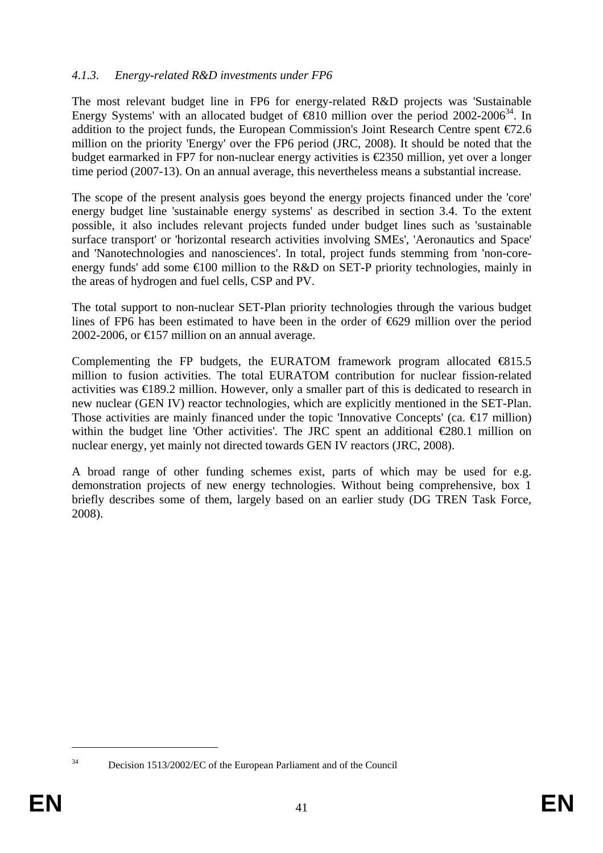### *4.1.3. Energy-related R&D investments under FP6*

The most relevant budget line in FP6 for energy-related R&D projects was 'Sustainable Energy Systems' with an allocated budget of  $\bigoplus$  10 million over the period 2002-2006<sup>34</sup>. In addition to the project funds, the European Commission's Joint Research Centre spent  $\epsilon$ 72.6 million on the priority 'Energy' over the FP6 period (JRC, 2008). It should be noted that the budget earmarked in FP7 for non-nuclear energy activities is  $\epsilon$ 2350 million, yet over a longer time period (2007-13). On an annual average, this nevertheless means a substantial increase.

The scope of the present analysis goes beyond the energy projects financed under the 'core' energy budget line 'sustainable energy systems' as described in section [3.4.](#page-28-0) To the extent possible, it also includes relevant projects funded under budget lines such as 'sustainable surface transport' or 'horizontal research activities involving SMEs', 'Aeronautics and Space' and 'Nanotechnologies and nanosciences'. In total, project funds stemming from 'non-coreenergy funds' add some  $\epsilon 100$  million to the R&D on SET-P priority technologies, mainly in the areas of hydrogen and fuel cells, CSP and PV.

The total support to non-nuclear SET-Plan priority technologies through the various budget lines of FP6 has been estimated to have been in the order of €629 million over the period 2002-2006, or  $\text{\textsterling}157$  million on an annual average.

Complementing the FP budgets, the EURATOM framework program allocated  $\bigoplus$ 15.5 million to fusion activities. The total EURATOM contribution for nuclear fission-related activities was €189.2 million. However, only a smaller part of this is dedicated to research in new nuclear (GEN IV) reactor technologies, which are explicitly mentioned in the SET-Plan. Those activities are mainly financed under the topic 'Innovative Concepts' (ca.  $\epsilon$ 17 million) within the budget line 'Other activities'. The JRC spent an additional  $\epsilon$ 280.1 million on nuclear energy, yet mainly not directed towards GEN IV reactors (JRC, 2008).

A broad range of other funding schemes exist, parts of which may be used for e.g. demonstration projects of new energy technologies. Without being comprehensive, box 1 briefly describes some of them, largely based on an earlier study (DG TREN Task Force, 2008).

 $\overline{a}$ 

<sup>34</sup> Decision 1513/2002/EC of the European Parliament and of the Council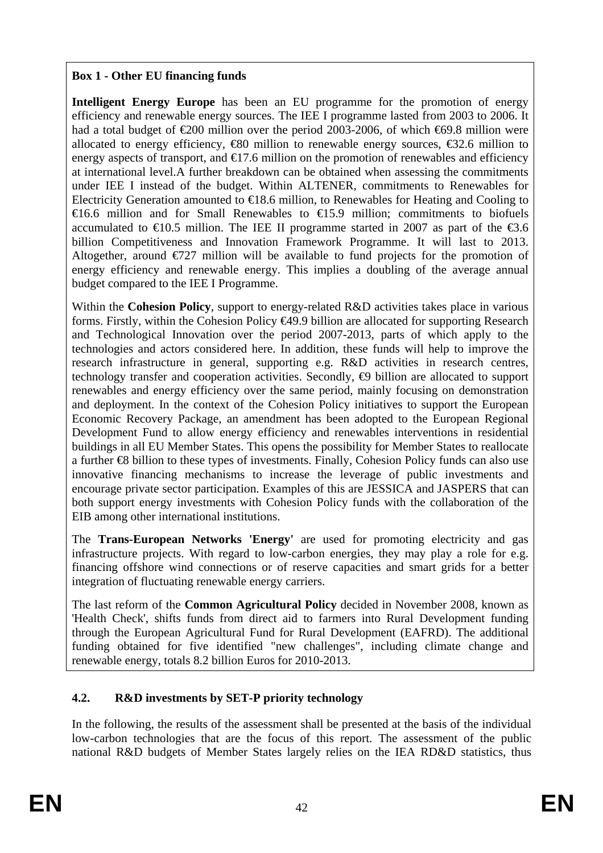## **Box 1 - Other EU financing funds**

**Intelligent Energy Europe** has been an EU programme for the promotion of energy efficiency and renewable energy sources. The IEE I programme lasted from 2003 to 2006. It had a total budget of  $\epsilon 200$  million over the period 2003-2006, of which  $\epsilon 69.8$  million were allocated to energy efficiency,  $\bigoplus$  million to renewable energy sources,  $\bigoplus$ 2.6 million to energy aspects of transport, and  $\bigoplus$  7.6 million on the promotion of renewables and efficiency at international level.A further breakdown can be obtained when assessing the commitments under IEE I instead of the budget. Within ALTENER, commitments to Renewables for Electricity Generation amounted to  $\in$ 18.6 million, to Renewables for Heating and Cooling to €16.6 million and for Small Renewables to €15.9 million; commitments to biofuels accumulated to  $\in$  0.5 million. The IEE II programme started in 2007 as part of the  $\in$ 3.6 billion Competitiveness and Innovation Framework Programme. It will last to 2013. Altogether, around  $\epsilon$ 727 million will be available to fund projects for the promotion of energy efficiency and renewable energy. This implies a doubling of the average annual budget compared to the IEE I Programme.

Within the **Cohesion Policy**, support to energy-related R&D activities takes place in various forms. Firstly, within the Cohesion Policy €49.9 billion are allocated for supporting Research and Technological Innovation over the period 2007-2013, parts of which apply to the technologies and actors considered here. In addition, these funds will help to improve the research infrastructure in general, supporting e.g. R&D activities in research centres, technology transfer and cooperation activities. Secondly,  $\oplus$  billion are allocated to support renewables and energy efficiency over the same period, mainly focusing on demonstration and deployment. In the context of the Cohesion Policy initiatives to support the European Economic Recovery Package, an amendment has been adopted to the European Regional Development Fund to allow energy efficiency and renewables interventions in residential buildings in all EU Member States. This opens the possibility for Member States to reallocate a further €8 billion to these types of investments. Finally, Cohesion Policy funds can also use innovative financing mechanisms to increase the leverage of public investments and encourage private sector participation. Examples of this are JESSICA and JASPERS that can both support energy investments with Cohesion Policy funds with the collaboration of the EIB among other international institutions.

The **Trans-European Networks 'Energy'** are used for promoting electricity and gas infrastructure projects. With regard to low-carbon energies, they may play a role for e.g. financing offshore wind connections or of reserve capacities and smart grids for a better integration of fluctuating renewable energy carriers.

The last reform of the **Common Agricultural Policy** decided in November 2008, known as 'Health Check', shifts funds from direct aid to farmers into Rural Development funding through the European Agricultural Fund for Rural Development (EAFRD). The additional funding obtained for five identified "new challenges", including climate change and renewable energy, totals 8.2 billion Euros for 2010-2013.

# **4.2. R&D investments by SET-P priority technology**

In the following, the results of the assessment shall be presented at the basis of the individual low-carbon technologies that are the focus of this report. The assessment of the public national R&D budgets of Member States largely relies on the IEA RD&D statistics, thus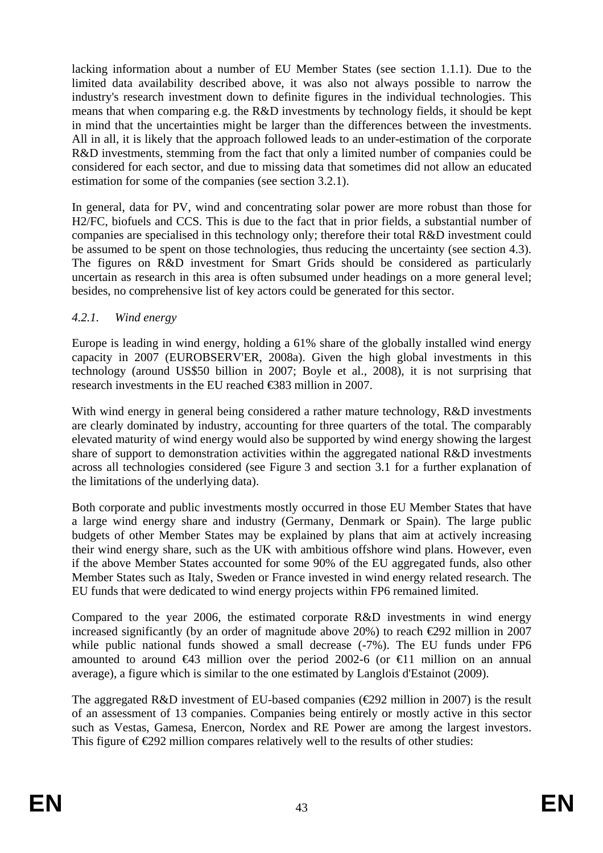lacking information about a number of EU Member States (see section [1.1.1\)](#page-27-0). Due to the limited data availability described above, it was also not always possible to narrow the industry's research investment down to definite figures in the individual technologies. This means that when comparing e.g. the R&D investments by technology fields, it should be kept in mind that the uncertainties might be larger than the differences between the investments. All in all, it is likely that the approach followed leads to an under-estimation of the corporate R&D investments, stemming from the fact that only a limited number of companies could be considered for each sector, and due to missing data that sometimes did not allow an educated estimation for some of the companies (see section [3.2.1\)](#page-11-0).

In general, data for PV, wind and concentrating solar power are more robust than those for H2/FC, biofuels and CCS. This is due to the fact that in prior fields, a substantial number of companies are specialised in this technology only; therefore their total R&D investment could be assumed to be spent on those technologies, thus reducing the uncertainty (see sectio[n 4.3\)](#page-58-0). The figures on R&D investment for Smart Grids should be considered as particularly uncertain as research in this area is often subsumed under headings on a more general level; besides, no comprehensive list of key actors could be generated for this sector.

## *4.2.1. Wind energy*

Europe is leading in wind energy, holding a 61% share of the globally installed wind energy capacity in 2007 (EUROBSERV'ER, 2008a). Given the high global investments in this technology (around US\$50 billion in 2007; Boyle et al., 2008), it is not surprising that research investments in the EU reached €383 million in 2007.

With wind energy in general being considered a rather mature technology, R&D investments are clearly dominated by industry, accounting for three quarters of the total. The comparably elevated maturity of wind energy would also be supported by wind energy showing the largest share of support to demonstration activities within the aggregated national R&D investments across all technologies considered (see [Figure 3](#page-10-0) and section [3.1](#page-8-0) for a further explanation of the limitations of the underlying data).

Both corporate and public investments mostly occurred in those EU Member States that have a large wind energy share and industry (Germany, Denmark or Spain). The large public budgets of other Member States may be explained by plans that aim at actively increasing their wind energy share, such as the UK with ambitious offshore wind plans. However, even if the above Member States accounted for some 90% of the EU aggregated funds, also other Member States such as Italy, Sweden or France invested in wind energy related research. The EU funds that were dedicated to wind energy projects within FP6 remained limited.

Compared to the year 2006, the estimated corporate R&D investments in wind energy increased significantly (by an order of magnitude above 20%) to reach  $\epsilon$ 292 million in 2007 while public national funds showed a small decrease (-7%). The EU funds under FP6 amounted to around  $\bigoplus$  and  $\bigoplus$  million over the period 2002-6 (or  $\bigoplus$  1 million on an annual average), a figure which is similar to the one estimated by Langlois d'Estainot (2009).

The aggregated R&D investment of EU-based companies ( $\epsilon$ 292 million in 2007) is the result of an assessment of 13 companies. Companies being entirely or mostly active in this sector such as Vestas, Gamesa, Enercon, Nordex and RE Power are among the largest investors. This figure of  $\epsilon$ 292 million compares relatively well to the results of other studies: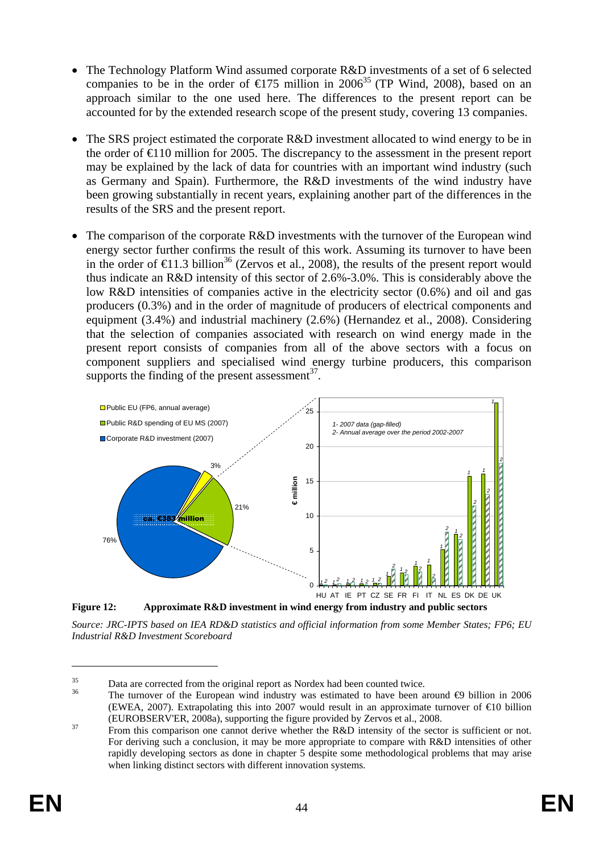- The Technology Platform Wind assumed corporate R&D investments of a set of 6 selected companies to be in the order of  $\epsilon$ 175 million in 2006<sup>35</sup> (TP Wind, 2008), based on an approach similar to the one used here. The differences to the present report can be accounted for by the extended research scope of the present study, covering 13 companies.
- The SRS project estimated the corporate R&D investment allocated to wind energy to be in the order of  $\epsilon$ 10 million for 2005. The discrepancy to the assessment in the present report may be explained by the lack of data for countries with an important wind industry (such as Germany and Spain). Furthermore, the R&D investments of the wind industry have been growing substantially in recent years, explaining another part of the differences in the results of the SRS and the present report.
- The comparison of the corporate R&D investments with the turnover of the European wind energy sector further confirms the result of this work. Assuming its turnover to have been in the order of  $\epsilon$ 1.3 billion<sup>36</sup> (Zervos et al., 2008), the results of the present report would thus indicate an R&D intensity of this sector of 2.6%-3.0%. This is considerably above the low R&D intensities of companies active in the electricity sector (0.6%) and oil and gas producers (0.3%) and in the order of magnitude of producers of electrical components and equipment (3.4%) and industrial machinery (2.6%) (Hernandez et al., 2008). Considering that the selection of companies associated with research on wind energy made in the present report consists of companies from all of the above sectors with a focus on component suppliers and specialised wind energy turbine producers, this comparison supports the finding of the present assessment $^{37}$ .



*Source: JRC-IPTS based on IEA RD&D statistics and official information from some Member States; FP6; EU Industrial R&D Investment Scoreboard* 

Data are corrected from the original report as Nordex had been counted twice.<br><sup>36</sup> The turnover of the European wind industry was estimated to have been around  $\bigoplus$  billion in 2006 (EWEA, 2007). Extrapolating this into 2007 would result in an approximate turnover of €10 billion

<sup>(</sup>EUROBSERV'ER, 2008a), supporting the figure provided by Zervos et al., 2008.<br><sup>37</sup> From this comparison one cannot derive whether the R&D intensity of the sector is sufficient or not. For deriving such a conclusion, it may be more appropriate to compare with R&D intensities of other rapidly developing sectors as done in chapter [5](#page-65-0) despite some methodological problems that may arise when linking distinct sectors with different innovation systems.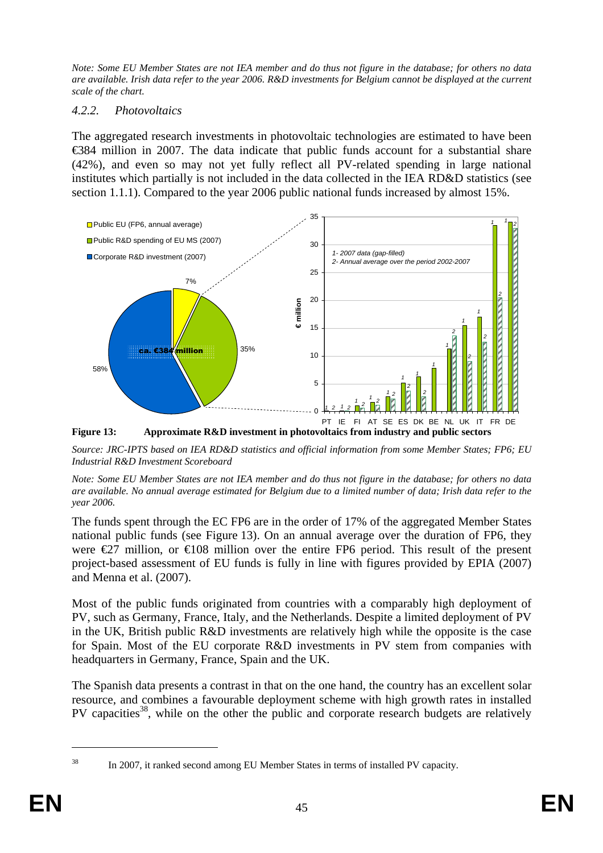*Note: Some EU Member States are not IEA member and do thus not figure in the database; for others no data are available. Irish data refer to the year 2006. R&D investments for Belgium cannot be displayed at the current scale of the chart.* 

### *4.2.2. Photovoltaics*

The aggregated research investments in photovoltaic technologies are estimated to have been €384 million in 2007. The data indicate that public funds account for a substantial share (42%), and even so may not yet fully reflect all PV-related spending in large national institutes which partially is not included in the data collected in the IEA RD&D statistics (see sectio[n 1.1.1\)](#page-27-0). Compared to the year 2006 public national funds increased by almost 15%.



<span id="page-44-0"></span>*Source: JRC-IPTS based on IEA RD&D statistics and official information from some Member States; FP6; EU Industrial R&D Investment Scoreboard* 

*Note: Some EU Member States are not IEA member and do thus not figure in the database; for others no data are available. No annual average estimated for Belgium due to a limited number of data; Irish data refer to the year 2006.* 

The funds spent through the EC FP6 are in the order of 17% of the aggregated Member States national public funds (see [Figure 13\)](#page-44-0). On an annual average over the duration of FP6, they were  $\epsilon$  27 million, or  $\epsilon$  108 million over the entire FP6 period. This result of the present project-based assessment of EU funds is fully in line with figures provided by EPIA (2007) and Menna et al. (2007).

Most of the public funds originated from countries with a comparably high deployment of PV, such as Germany, France, Italy, and the Netherlands. Despite a limited deployment of PV in the UK, British public R&D investments are relatively high while the opposite is the case for Spain. Most of the EU corporate R&D investments in PV stem from companies with headquarters in Germany, France, Spain and the UK.

The Spanish data presents a contrast in that on the one hand, the country has an excellent solar resource, and combines a favourable deployment scheme with high growth rates in installed PV capacities<sup>38</sup>, while on the other the public and corporate research budgets are relatively

 $\overline{a}$ 

<sup>&</sup>lt;sup>38</sup> In 2007, it ranked second among EU Member States in terms of installed PV capacity.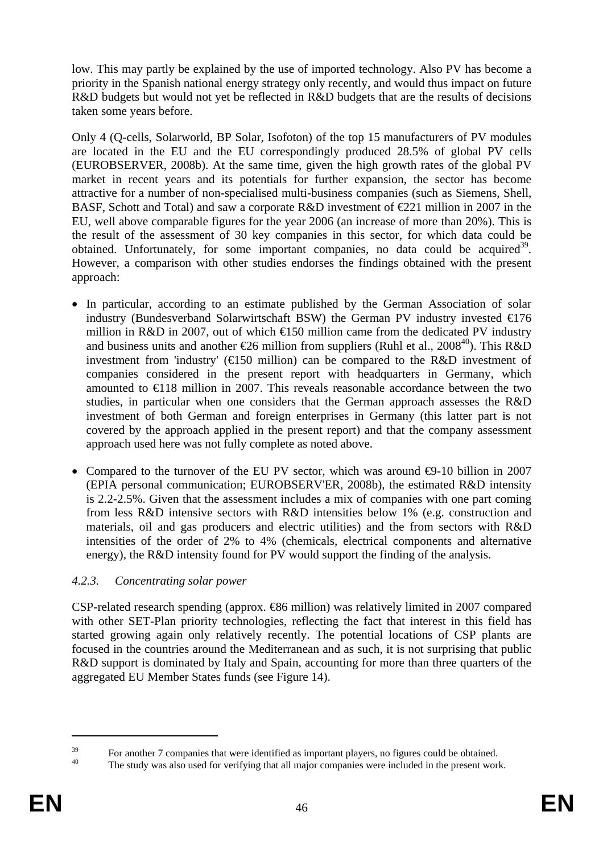low. This may partly be explained by the use of imported technology. Also PV has become a priority in the Spanish national energy strategy only recently, and would thus impact on future R&D budgets but would not yet be reflected in R&D budgets that are the results of decisions taken some years before.

Only 4 (Q-cells, Solarworld, BP Solar, Isofoton) of the top 15 manufacturers of PV modules are located in the EU and the EU correspondingly produced 28.5% of global PV cells (EUROBSERVER, 2008b). At the same time, given the high growth rates of the global PV market in recent years and its potentials for further expansion, the sector has become attractive for a number of non-specialised multi-business companies (such as Siemens, Shell, BASF, Schott and Total) and saw a corporate R&D investment of  $\epsilon$ 221 million in 2007 in the EU, well above comparable figures for the year 2006 (an increase of more than 20%). This is the result of the assessment of 30 key companies in this sector, for which data could be obtained. Unfortunately, for some important companies, no data could be acquired<sup>39</sup>. However, a comparison with other studies endorses the findings obtained with the present approach:

- In particular, according to an estimate published by the German Association of solar industry (Bundesverband Solarwirtschaft BSW) the German PV industry invested  $\epsilon$ 176 million in R&D in 2007, out of which  $\bigoplus$  50 million came from the dedicated PV industry and business units and another  $\epsilon$ 26 million from suppliers (Ruhl et al., 2008<sup>40</sup>). This R&D investment from 'industry' ( $\in$ 150 million) can be compared to the R&D investment of companies considered in the present report with headquarters in Germany, which amounted to  $\in$  18 million in 2007. This reveals reasonable accordance between the two studies, in particular when one considers that the German approach assesses the R&D investment of both German and foreign enterprises in Germany (this latter part is not covered by the approach applied in the present report) and that the company assessment approach used here was not fully complete as noted above.
- Compared to the turnover of the EU PV sector, which was around  $\bigoplus$ -10 billion in 2007 (EPIA personal communication; EUROBSERV'ER, 2008b), the estimated R&D intensity is 2.2-2.5%. Given that the assessment includes a mix of companies with one part coming from less R&D intensive sectors with R&D intensities below 1% (e.g. construction and materials, oil and gas producers and electric utilities) and the from sectors with R&D intensities of the order of 2% to 4% (chemicals, electrical components and alternative energy), the R&D intensity found for PV would support the finding of the analysis.

# *4.2.3. Concentrating solar power*

CSP-related research spending (approx. €86 million) was relatively limited in 2007 compared with other SET-Plan priority technologies, reflecting the fact that interest in this field has started growing again only relatively recently. The potential locations of CSP plants are focused in the countries around the Mediterranean and as such, it is not surprising that public R&D support is dominated by Italy and Spain, accounting for more than three quarters of the aggregated EU Member States funds (se[e Figure 14\)](#page-46-0).

<sup>&</sup>lt;sup>39</sup> For another 7 companies that were identified as important players, no figures could be obtained.

The study was also used for verifying that all major companies were included in the present work.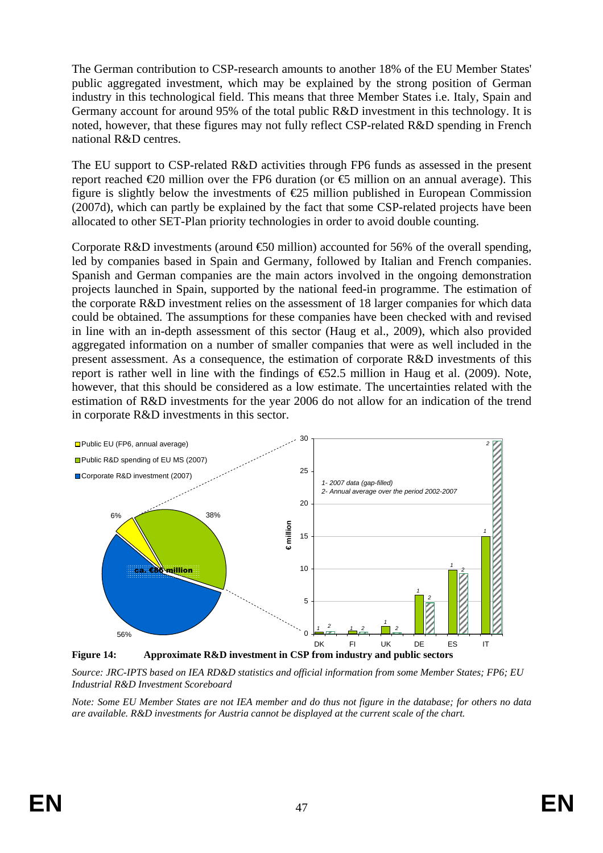The German contribution to CSP-research amounts to another 18% of the EU Member States' public aggregated investment, which may be explained by the strong position of German industry in this technological field. This means that three Member States i.e. Italy, Spain and Germany account for around 95% of the total public R&D investment in this technology. It is noted, however, that these figures may not fully reflect CSP-related R&D spending in French national R&D centres.

The EU support to CSP-related R&D activities through FP6 funds as assessed in the present report reached  $\epsilon$ 20 million over the FP6 duration (or  $\epsilon$ 5 million on an annual average). This figure is slightly below the investments of  $E$ 5 million published in European Commission (2007d), which can partly be explained by the fact that some CSP-related projects have been allocated to other SET-Plan priority technologies in order to avoid double counting.

Corporate R&D investments (around  $\epsilon$ 50 million) accounted for 56% of the overall spending, led by companies based in Spain and Germany, followed by Italian and French companies. Spanish and German companies are the main actors involved in the ongoing demonstration projects launched in Spain, supported by the national feed-in programme. The estimation of the corporate R&D investment relies on the assessment of 18 larger companies for which data could be obtained. The assumptions for these companies have been checked with and revised in line with an in-depth assessment of this sector (Haug et al., 2009), which also provided aggregated information on a number of smaller companies that were as well included in the present assessment. As a consequence, the estimation of corporate R&D investments of this report is rather well in line with the findings of  $\epsilon$ 52.5 million in Haug et al. (2009). Note, however, that this should be considered as a low estimate. The uncertainties related with the estimation of R&D investments for the year 2006 do not allow for an indication of the trend in corporate R&D investments in this sector.



<span id="page-46-0"></span>*Source: JRC-IPTS based on IEA RD&D statistics and official information from some Member States; FP6; EU Industrial R&D Investment Scoreboard* 

*Note: Some EU Member States are not IEA member and do thus not figure in the database; for others no data are available. R&D investments for Austria cannot be displayed at the current scale of the chart.*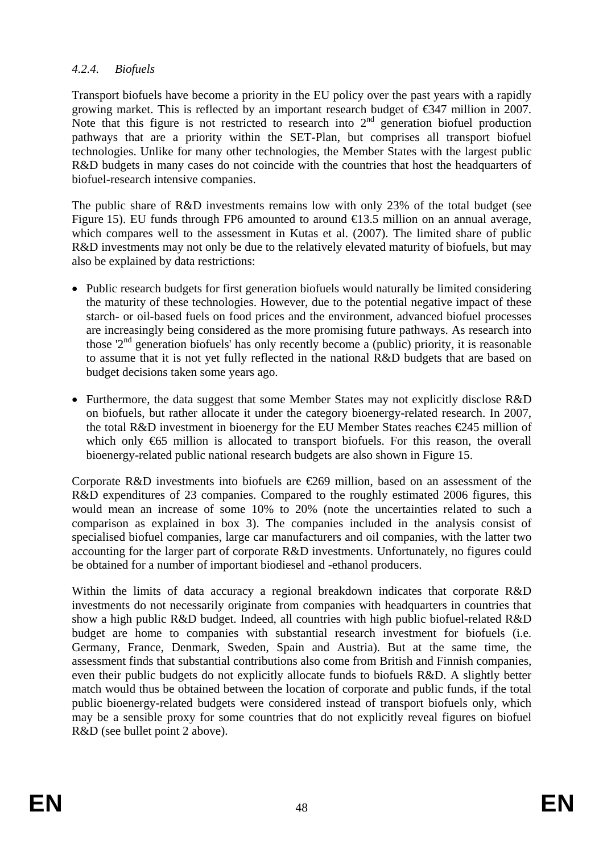## *4.2.4. Biofuels*

Transport biofuels have become a priority in the EU policy over the past years with a rapidly growing market. This is reflected by an important research budget of €347 million in 2007. Note that this figure is not restricted to research into  $2<sup>nd</sup>$  generation biofuel production pathways that are a priority within the SET-Plan, but comprises all transport biofuel technologies. Unlike for many other technologies, the Member States with the largest public R&D budgets in many cases do not coincide with the countries that host the headquarters of biofuel-research intensive companies.

The public share of R&D investments remains low with only 23% of the total budget (see [Figure 15\)](#page-48-0). EU funds through FP6 amounted to around  $\bigoplus$  3.5 million on an annual average, which compares well to the assessment in Kutas et al. (2007). The limited share of public R&D investments may not only be due to the relatively elevated maturity of biofuels, but may also be explained by data restrictions:

- Public research budgets for first generation biofuels would naturally be limited considering the maturity of these technologies. However, due to the potential negative impact of these starch- or oil-based fuels on food prices and the environment, advanced biofuel processes are increasingly being considered as the more promising future pathways. As research into those ' $2<sup>nd</sup>$  generation biofuels' has only recently become a (public) priority, it is reasonable to assume that it is not yet fully reflected in the national R&D budgets that are based on budget decisions taken some years ago.
- Furthermore, the data suggest that some Member States may not explicitly disclose R&D on biofuels, but rather allocate it under the category bioenergy-related research. In 2007, the total R&D investment in bioenergy for the EU Member States reaches  $\epsilon$ 245 million of which only €65 million is allocated to transport biofuels. For this reason, the overall bioenergy-related public national research budgets are also shown i[n Figure 15.](#page-48-0)

Corporate R&D investments into biofuels are  $E$ 69 million, based on an assessment of the R&D expenditures of 23 companies. Compared to the roughly estimated 2006 figures, this would mean an increase of some 10% to 20% (note the uncertainties related to such a comparison as explained in box 3). The companies included in the analysis consist of specialised biofuel companies, large car manufacturers and oil companies, with the latter two accounting for the larger part of corporate R&D investments. Unfortunately, no figures could be obtained for a number of important biodiesel and -ethanol producers.

Within the limits of data accuracy a regional breakdown indicates that corporate R&D investments do not necessarily originate from companies with headquarters in countries that show a high public R&D budget. Indeed, all countries with high public biofuel-related R&D budget are home to companies with substantial research investment for biofuels (i.e. Germany, France, Denmark, Sweden, Spain and Austria). But at the same time, the assessment finds that substantial contributions also come from British and Finnish companies, even their public budgets do not explicitly allocate funds to biofuels R&D. A slightly better match would thus be obtained between the location of corporate and public funds, if the total public bioenergy-related budgets were considered instead of transport biofuels only, which may be a sensible proxy for some countries that do not explicitly reveal figures on biofuel R&D (see bullet point 2 above).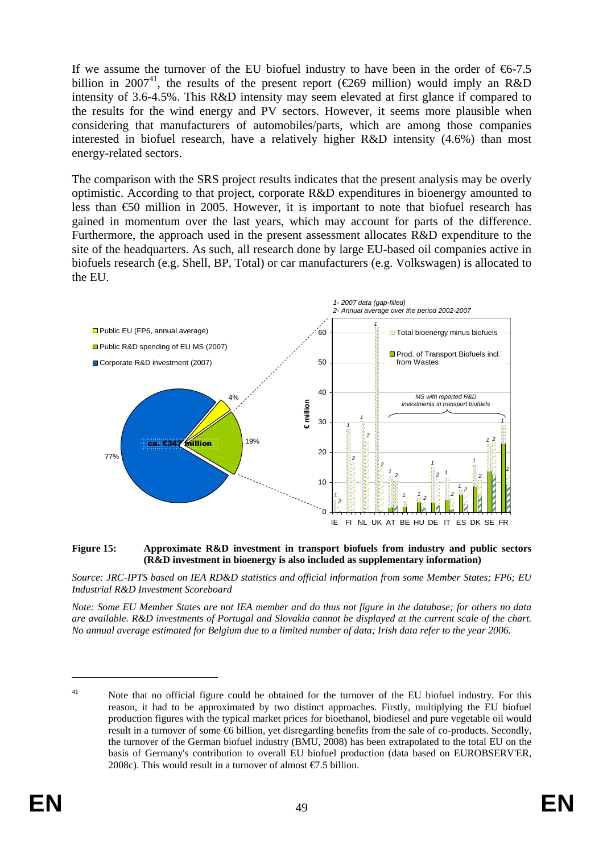If we assume the turnover of the EU biofuel industry to have been in the order of  $66-7.5$ billion in 2007<sup>41</sup>, the results of the present report ( $\epsilon$ 269 million) would imply an R&D intensity of 3.6-4.5%. This R&D intensity may seem elevated at first glance if compared to the results for the wind energy and PV sectors. However, it seems more plausible when considering that manufacturers of automobiles/parts, which are among those companies interested in biofuel research, have a relatively higher R&D intensity (4.6%) than most energy-related sectors.

The comparison with the SRS project results indicates that the present analysis may be overly optimistic. According to that project, corporate R&D expenditures in bioenergy amounted to less than €50 million in 2005. However, it is important to note that biofuel research has gained in momentum over the last years, which may account for parts of the difference. Furthermore, the approach used in the present assessment allocates R&D expenditure to the site of the headquarters. As such, all research done by large EU-based oil companies active in biofuels research (e.g. Shell, BP, Total) or car manufacturers (e.g. Volkswagen) is allocated to the EU.



#### <span id="page-48-0"></span>**Figure 15: Approximate R&D investment in transport biofuels from industry and public sectors (R&D investment in bioenergy is also included as supplementary information)**

*Source: JRC-IPTS based on IEA RD&D statistics and official information from some Member States; FP6; EU Industrial R&D Investment Scoreboard* 

*Note: Some EU Member States are not IEA member and do thus not figure in the database; for others no data are available. R&D investments of Portugal and Slovakia cannot be displayed at the current scale of the chart. No annual average estimated for Belgium due to a limited number of data; Irish data refer to the year 2006.* 

<sup>&</sup>lt;sup>41</sup> Note that no official figure could be obtained for the turnover of the EU biofuel industry. For this reason, it had to be approximated by two distinct approaches. Firstly, multiplying the EU biofuel production figures with the typical market prices for bioethanol, biodiesel and pure vegetable oil would result in a turnover of some €6 billion, yet disregarding benefits from the sale of co-products. Secondly, the turnover of the German biofuel industry (BMU, 2008) has been extrapolated to the total EU on the basis of Germany's contribution to overall EU biofuel production (data based on EUROBSERV'ER, 2008c). This would result in a turnover of almost  $\epsilon$ 7.5 billion.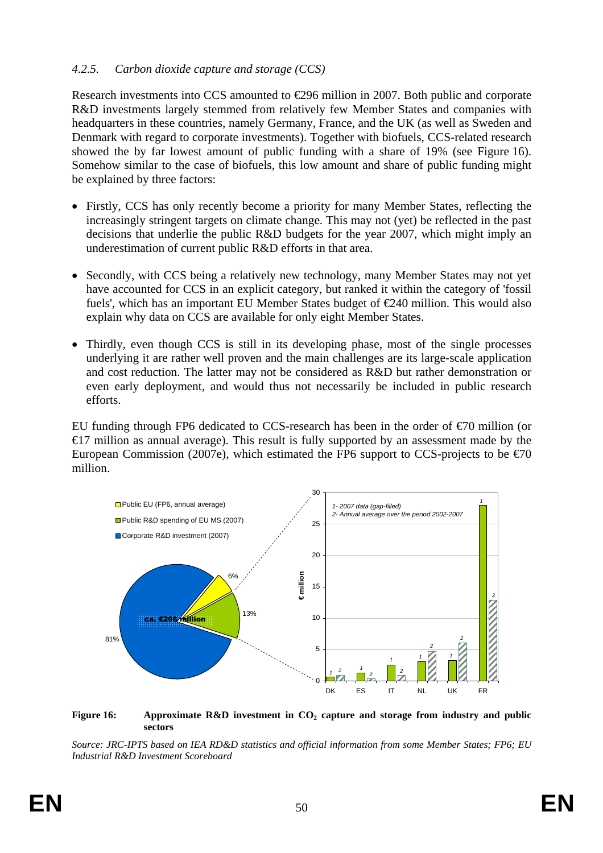### *4.2.5. Carbon dioxide capture and storage (CCS)*

Research investments into CCS amounted to €296 million in 2007. Both public and corporate R&D investments largely stemmed from relatively few Member States and companies with headquarters in these countries, namely Germany, France, and the UK (as well as Sweden and Denmark with regard to corporate investments). Together with biofuels, CCS-related research showed the by far lowest amount of public funding with a share of 19% (see [Figure 16\)](#page-49-0). Somehow similar to the case of biofuels, this low amount and share of public funding might be explained by three factors:

- Firstly, CCS has only recently become a priority for many Member States, reflecting the increasingly stringent targets on climate change. This may not (yet) be reflected in the past decisions that underlie the public R&D budgets for the year 2007, which might imply an underestimation of current public R&D efforts in that area.
- Secondly, with CCS being a relatively new technology, many Member States may not yet have accounted for CCS in an explicit category, but ranked it within the category of 'fossil fuels', which has an important EU Member States budget of  $E$ 40 million. This would also explain why data on CCS are available for only eight Member States.
- Thirdly, even though CCS is still in its developing phase, most of the single processes underlying it are rather well proven and the main challenges are its large-scale application and cost reduction. The latter may not be considered as R&D but rather demonstration or even early deployment, and would thus not necessarily be included in public research efforts.

EU funding through FP6 dedicated to CCS-research has been in the order of  $\epsilon$ 70 million (or  $\epsilon$ 17 million as annual average). This result is fully supported by an assessment made by the European Commission (2007e), which estimated the FP6 support to CCS-projects to be  $\epsilon$  0 million.



<span id="page-49-0"></span>Figure 16: Approximate R&D investment in CO<sub>2</sub> capture and storage from industry and public **sectors** 

*Source: JRC-IPTS based on IEA RD&D statistics and official information from some Member States; FP6; EU Industrial R&D Investment Scoreboard*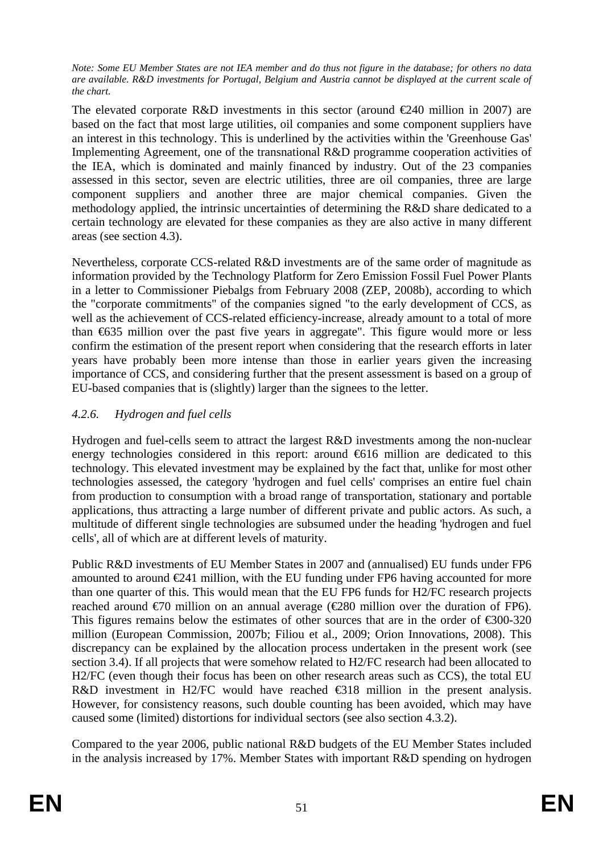*Note: Some EU Member States are not IEA member and do thus not figure in the database; for others no data are available. R&D investments for Portugal, Belgium and Austria cannot be displayed at the current scale of the chart.* 

The elevated corporate R&D investments in this sector (around  $\epsilon$ 240 million in 2007) are based on the fact that most large utilities, oil companies and some component suppliers have an interest in this technology. This is underlined by the activities within the 'Greenhouse Gas' Implementing Agreement, one of the transnational R&D programme cooperation activities of the IEA, which is dominated and mainly financed by industry. Out of the 23 companies assessed in this sector, seven are electric utilities, three are oil companies, three are large component suppliers and another three are major chemical companies. Given the methodology applied, the intrinsic uncertainties of determining the R&D share dedicated to a certain technology are elevated for these companies as they are also active in many different areas (see section [4.3\)](#page-58-0).

Nevertheless, corporate CCS-related R&D investments are of the same order of magnitude as information provided by the Technology Platform for Zero Emission Fossil Fuel Power Plants in a letter to Commissioner Piebalgs from February 2008 (ZEP, 2008b), according to which the "corporate commitments" of the companies signed "to the early development of CCS, as well as the achievement of CCS-related efficiency-increase, already amount to a total of more than €635 million over the past five years in aggregate". This figure would more or less confirm the estimation of the present report when considering that the research efforts in later years have probably been more intense than those in earlier years given the increasing importance of CCS, and considering further that the present assessment is based on a group of EU-based companies that is (slightly) larger than the signees to the letter.

## *4.2.6. Hydrogen and fuel cells*

Hydrogen and fuel-cells seem to attract the largest R&D investments among the non-nuclear energy technologies considered in this report: around  $6616$  million are dedicated to this technology. This elevated investment may be explained by the fact that, unlike for most other technologies assessed, the category 'hydrogen and fuel cells' comprises an entire fuel chain from production to consumption with a broad range of transportation, stationary and portable applications, thus attracting a large number of different private and public actors. As such, a multitude of different single technologies are subsumed under the heading 'hydrogen and fuel cells', all of which are at different levels of maturity.

Public R&D investments of EU Member States in 2007 and (annualised) EU funds under FP6 amounted to around  $E$ 41 million, with the EU funding under FP6 having accounted for more than one quarter of this. This would mean that the EU FP6 funds for H2/FC research projects reached around  $\epsilon$ 70 million on an annual average ( $\epsilon$ 280 million over the duration of FP6). This figures remains below the estimates of other sources that are in the order of  $\epsilon$ 300-320 million (European Commission, 2007b; Filiou et al., 2009; Orion Innovations, 2008). This discrepancy can be explained by the allocation process undertaken in the present work (see sectio[n 3.4\)](#page-28-0). If all projects that were somehow related to H2/FC research had been allocated to H2/FC (even though their focus has been on other research areas such as CCS), the total EU R&D investment in H2/FC would have reached  $\epsilon$ 318 million in the present analysis. However, for consistency reasons, such double counting has been avoided, which may have caused some (limited) distortions for individual sectors (see also sectio[n 4.3.2\)](#page-61-0).

Compared to the year 2006, public national R&D budgets of the EU Member States included in the analysis increased by 17%. Member States with important R&D spending on hydrogen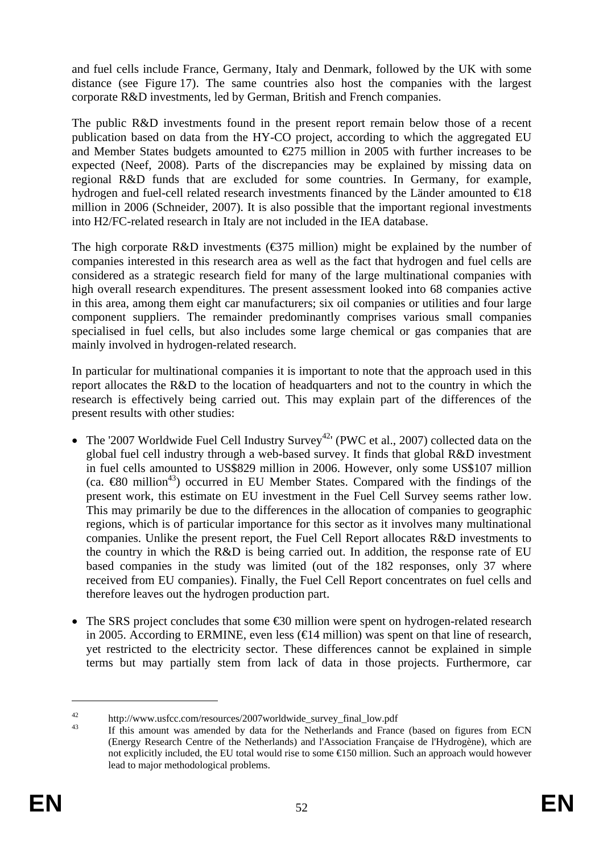and fuel cells include France, Germany, Italy and Denmark, followed by the UK with some distance (see [Figure 17\)](#page-52-0). The same countries also host the companies with the largest corporate R&D investments, led by German, British and French companies.

The public R&D investments found in the present report remain below those of a recent publication based on data from the HY-CO project, according to which the aggregated EU and Member States budgets amounted to  $\epsilon$ 275 million in 2005 with further increases to be expected (Neef, 2008). Parts of the discrepancies may be explained by missing data on regional R&D funds that are excluded for some countries. In Germany, for example, hydrogen and fuel-cell related research investments financed by the Länder amounted to €18 million in 2006 (Schneider, 2007). It is also possible that the important regional investments into H2/FC-related research in Italy are not included in the IEA database.

The high corporate R&D investments ( $\epsilon$ 375 million) might be explained by the number of companies interested in this research area as well as the fact that hydrogen and fuel cells are considered as a strategic research field for many of the large multinational companies with high overall research expenditures. The present assessment looked into 68 companies active in this area, among them eight car manufacturers; six oil companies or utilities and four large component suppliers. The remainder predominantly comprises various small companies specialised in fuel cells, but also includes some large chemical or gas companies that are mainly involved in hydrogen-related research.

In particular for multinational companies it is important to note that the approach used in this report allocates the R&D to the location of headquarters and not to the country in which the research is effectively being carried out. This may explain part of the differences of the present results with other studies:

- The '2007 Worldwide Fuel Cell Industry Survey<sup>42</sup>' (PWC et al., 2007) collected data on the global fuel cell industry through a web-based survey. It finds that global R&D investment in fuel cells amounted to US\$829 million in 2006. However, only some US\$107 million (ca.  $\bigoplus$  million<sup>43</sup>) occurred in EU Member States. Compared with the findings of the present work, this estimate on EU investment in the Fuel Cell Survey seems rather low. This may primarily be due to the differences in the allocation of companies to geographic regions, which is of particular importance for this sector as it involves many multinational companies. Unlike the present report, the Fuel Cell Report allocates R&D investments to the country in which the R&D is being carried out. In addition, the response rate of EU based companies in the study was limited (out of the 182 responses, only 37 where received from EU companies). Finally, the Fuel Cell Report concentrates on fuel cells and therefore leaves out the hydrogen production part.
- The SRS project concludes that some  $\epsilon$ 30 million were spent on hydrogen-related research in 2005. According to ERMINE, even less ( $\in$ 14 million) was spent on that line of research, yet restricted to the electricity sector. These differences cannot be explained in simple terms but may partially stem from lack of data in those projects. Furthermore, car

<sup>&</sup>lt;sup>42</sup> http://www.usfcc.com/resources/2007worldwide\_survey\_final\_low.pdf<br><sup>43</sup> If this amount was amended by data for the Netherlands and France (based on figures from ECN (Energy Research Centre of the Netherlands) and l'Association Française de l'Hydrogène), which are not explicitly included, the EU total would rise to some €150 million. Such an approach would however lead to major methodological problems.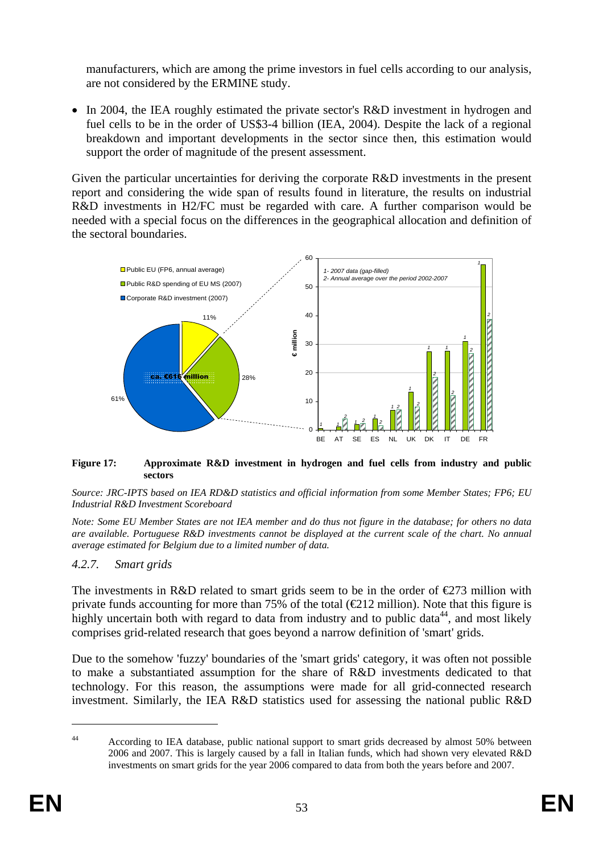manufacturers, which are among the prime investors in fuel cells according to our analysis, are not considered by the ERMINE study.

• In 2004, the IEA roughly estimated the private sector's R&D investment in hydrogen and fuel cells to be in the order of US\$3-4 billion (IEA, 2004). Despite the lack of a regional breakdown and important developments in the sector since then, this estimation would support the order of magnitude of the present assessment.

Given the particular uncertainties for deriving the corporate R&D investments in the present report and considering the wide span of results found in literature, the results on industrial R&D investments in H2/FC must be regarded with care. A further comparison would be needed with a special focus on the differences in the geographical allocation and definition of the sectoral boundaries.



#### <span id="page-52-0"></span>**Figure 17: Approximate R&D investment in hydrogen and fuel cells from industry and public sectors**

#### *Source: JRC-IPTS based on IEA RD&D statistics and official information from some Member States; FP6; EU Industrial R&D Investment Scoreboard*

*Note: Some EU Member States are not IEA member and do thus not figure in the database; for others no data are available. Portuguese R&D investments cannot be displayed at the current scale of the chart. No annual average estimated for Belgium due to a limited number of data.* 

## *4.2.7. Smart grids*

The investments in R&D related to smart grids seem to be in the order of  $\epsilon$ 273 million with private funds accounting for more than 75% of the total ( $\bigoplus$ 12 million). Note that this figure is highly uncertain both with regard to data from industry and to public data<sup>44</sup>, and most likely comprises grid-related research that goes beyond a narrow definition of 'smart' grids.

Due to the somehow 'fuzzy' boundaries of the 'smart grids' category, it was often not possible to make a substantiated assumption for the share of R&D investments dedicated to that technology. For this reason, the assumptions were made for all grid-connected research investment. Similarly, the IEA R&D statistics used for assessing the national public R&D

<sup>&</sup>lt;sup>44</sup> According to IEA database, public national support to smart grids decreased by almost 50% between 2006 and 2007. This is largely caused by a fall in Italian funds, which had shown very elevated R&D investments on smart grids for the year 2006 compared to data from both the years before and 2007.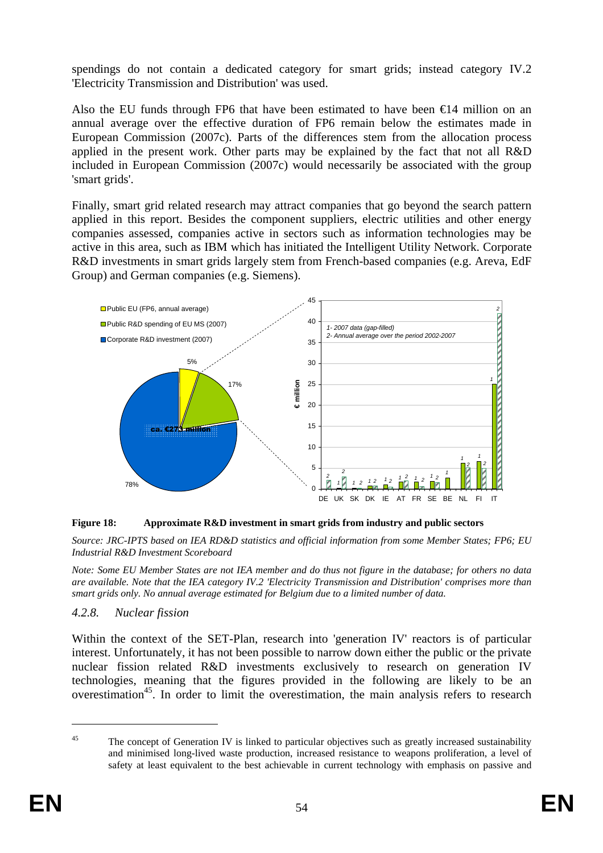spendings do not contain a dedicated category for smart grids; instead category IV.2 'Electricity Transmission and Distribution' was used.

Also the EU funds through FP6 that have been estimated to have been  $\epsilon 14$  million on an annual average over the effective duration of FP6 remain below the estimates made in European Commission (2007c). Parts of the differences stem from the allocation process applied in the present work. Other parts may be explained by the fact that not all R&D included in European Commission (2007c) would necessarily be associated with the group 'smart grids'.

Finally, smart grid related research may attract companies that go beyond the search pattern applied in this report. Besides the component suppliers, electric utilities and other energy companies assessed, companies active in sectors such as information technologies may be active in this area, such as IBM which has initiated the Intelligent Utility Network. Corporate R&D investments in smart grids largely stem from French-based companies (e.g. Areva, EdF Group) and German companies (e.g. Siemens).





*Source: JRC-IPTS based on IEA RD&D statistics and official information from some Member States; FP6; EU Industrial R&D Investment Scoreboard* 

*Note: Some EU Member States are not IEA member and do thus not figure in the database; for others no data are available. Note that the IEA category IV.2 'Electricity Transmission and Distribution' comprises more than smart grids only. No annual average estimated for Belgium due to a limited number of data.* 

## *4.2.8. Nuclear fission*

Within the context of the SET-Plan, research into 'generation IV' reactors is of particular interest. Unfortunately, it has not been possible to narrow down either the public or the private nuclear fission related R&D investments exclusively to research on generation IV technologies, meaning that the figures provided in the following are likely to be an overestimation<sup>45</sup>. In order to limit the overestimation, the main analysis refers to research

<sup>&</sup>lt;sup>45</sup> The concept of Generation IV is linked to particular objectives such as greatly increased sustainability and minimised long-lived waste production, increased resistance to weapons proliferation, a level of safety at least equivalent to the best achievable in current technology with emphasis on passive and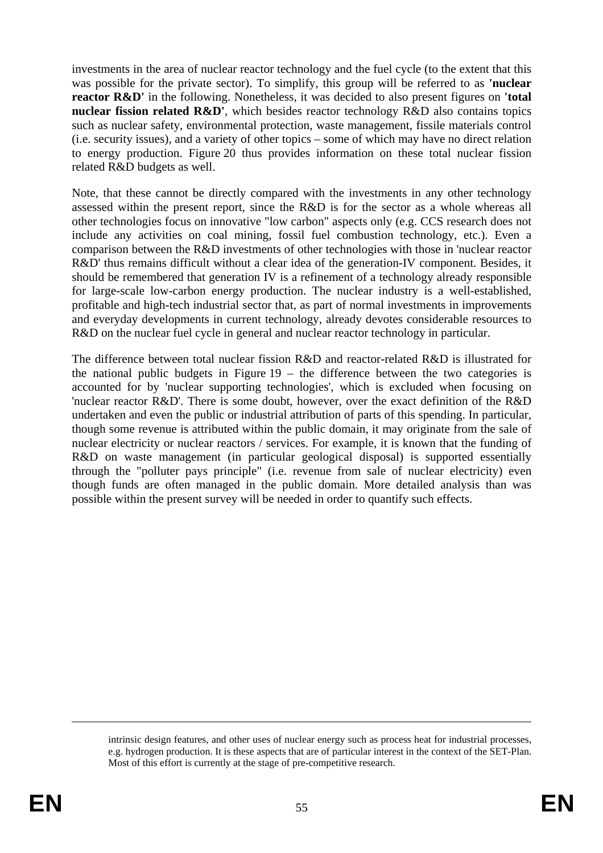investments in the area of nuclear reactor technology and the fuel cycle (to the extent that this was possible for the private sector). To simplify, this group will be referred to as **'nuclear reactor R&D'** in the following. Nonetheless, it was decided to also present figures on **'total nuclear fission related R&D'**, which besides reactor technology R&D also contains topics such as nuclear safety, environmental protection, waste management, fissile materials control (i.e. security issues), and a variety of other topics – some of which may have no direct relation to energy production. [Figure 20](#page-56-0) thus provides information on these total nuclear fission related R&D budgets as well.

Note, that these cannot be directly compared with the investments in any other technology assessed within the present report, since the R&D is for the sector as a whole whereas all other technologies focus on innovative "low carbon" aspects only (e.g. CCS research does not include any activities on coal mining, fossil fuel combustion technology, etc.). Even a comparison between the R&D investments of other technologies with those in 'nuclear reactor R&D' thus remains difficult without a clear idea of the generation-IV component. Besides, it should be remembered that generation IV is a refinement of a technology already responsible for large-scale low-carbon energy production. The nuclear industry is a well-established, profitable and high-tech industrial sector that, as part of normal investments in improvements and everyday developments in current technology, already devotes considerable resources to R&D on the nuclear fuel cycle in general and nuclear reactor technology in particular.

The difference between total nuclear fission R&D and reactor-related R&D is illustrated for the national public budgets in Figure  $19 -$  the difference between the two categories is accounted for by 'nuclear supporting technologies', which is excluded when focusing on 'nuclear reactor R&D'. There is some doubt, however, over the exact definition of the R&D undertaken and even the public or industrial attribution of parts of this spending. In particular, though some revenue is attributed within the public domain, it may originate from the sale of nuclear electricity or nuclear reactors / services. For example, it is known that the funding of R&D on waste management (in particular geological disposal) is supported essentially through the "polluter pays principle" (i.e. revenue from sale of nuclear electricity) even though funds are often managed in the public domain. More detailed analysis than was possible within the present survey will be needed in order to quantify such effects.

intrinsic design features, and other uses of nuclear energy such as process heat for industrial processes, e.g. hydrogen production. It is these aspects that are of particular interest in the context of the SET-Plan. Most of this effort is currently at the stage of pre-competitive research.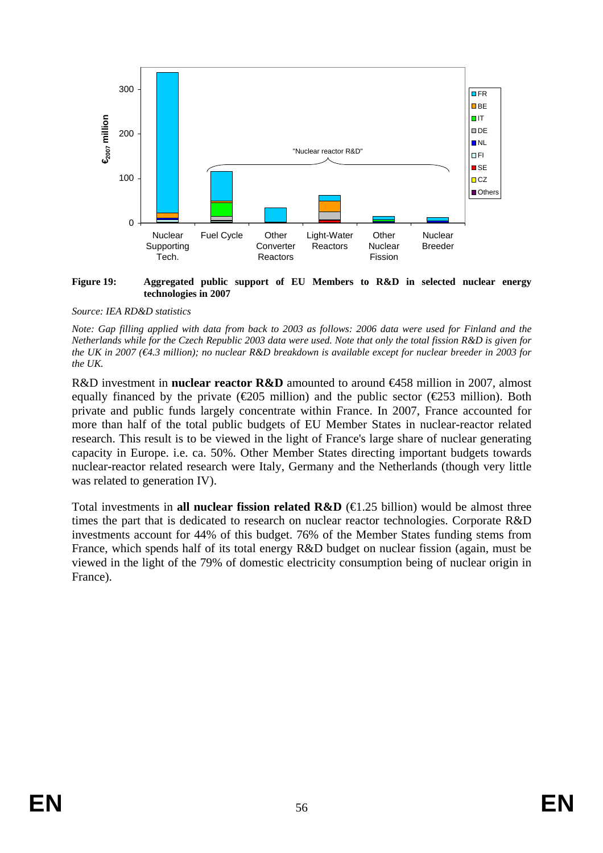

#### <span id="page-55-0"></span>**Figure 19: Aggregated public support of EU Members to R&D in selected nuclear energy technologies in 2007**

#### *Source: IEA RD&D statistics*

R&D investment in **nuclear reactor R&D** amounted to around €458 million in 2007, almost equally financed by the private ( $\epsilon$ 205 million) and the public sector ( $\epsilon$ 253 million). Both private and public funds largely concentrate within France. In 2007, France accounted for more than half of the total public budgets of EU Member States in nuclear-reactor related research. This result is to be viewed in the light of France's large share of nuclear generating capacity in Europe. i.e. ca. 50%. Other Member States directing important budgets towards nuclear-reactor related research were Italy, Germany and the Netherlands (though very little was related to generation IV).

Total investments in **all nuclear fission related R&D** ( $\in$ 1.25 billion) would be almost three times the part that is dedicated to research on nuclear reactor technologies. Corporate R&D investments account for 44% of this budget. 76% of the Member States funding stems from France, which spends half of its total energy R&D budget on nuclear fission (again, must be viewed in the light of the 79% of domestic electricity consumption being of nuclear origin in France).

*Note: Gap filling applied with data from back to 2003 as follows: 2006 data were used for Finland and the Netherlands while for the Czech Republic 2003 data were used. Note that only the total fission R&D is given for the UK in 2007 (€4.3 million); no nuclear R&D breakdown is available except for nuclear breeder in 2003 for the UK.*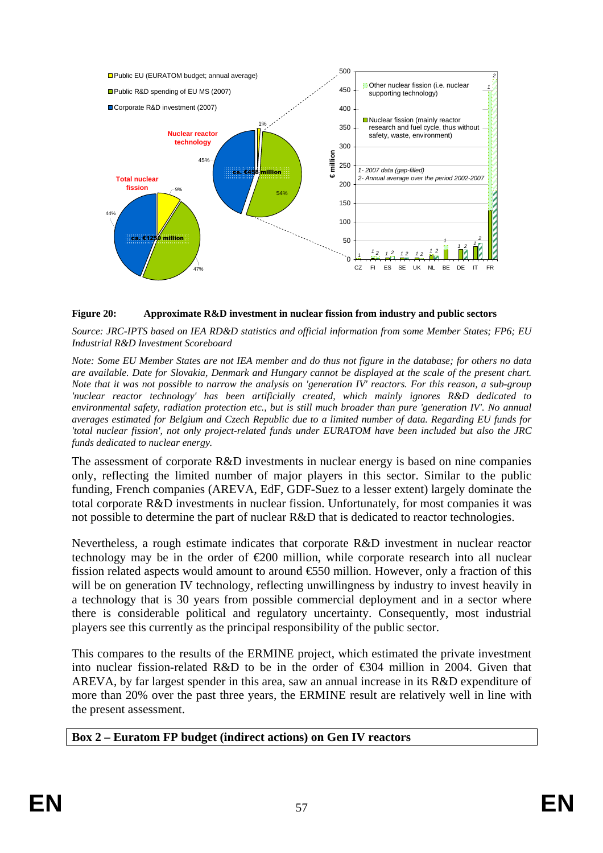

#### <span id="page-56-0"></span>**Figure 20: Approximate R&D investment in nuclear fission from industry and public sectors**

*Source: JRC-IPTS based on IEA RD&D statistics and official information from some Member States; FP6; EU Industrial R&D Investment Scoreboard* 

*Note: Some EU Member States are not IEA member and do thus not figure in the database; for others no data are available. Date for Slovakia, Denmark and Hungary cannot be displayed at the scale of the present chart. Note that it was not possible to narrow the analysis on 'generation IV' reactors. For this reason, a sub-group 'nuclear reactor technology' has been artificially created, which mainly ignores R&D dedicated to environmental safety, radiation protection etc., but is still much broader than pure 'generation IV'. No annual averages estimated for Belgium and Czech Republic due to a limited number of data. Regarding EU funds for 'total nuclear fission', not only project-related funds under EURATOM have been included but also the JRC funds dedicated to nuclear energy.* 

The assessment of corporate R&D investments in nuclear energy is based on nine companies only, reflecting the limited number of major players in this sector. Similar to the public funding, French companies (AREVA, EdF, GDF-Suez to a lesser extent) largely dominate the total corporate R&D investments in nuclear fission. Unfortunately, for most companies it was not possible to determine the part of nuclear R&D that is dedicated to reactor technologies.

Nevertheless, a rough estimate indicates that corporate R&D investment in nuclear reactor technology may be in the order of  $\epsilon$ 200 million, while corporate research into all nuclear fission related aspects would amount to around  $\epsilon$ 550 million. However, only a fraction of this will be on generation IV technology, reflecting unwillingness by industry to invest heavily in a technology that is 30 years from possible commercial deployment and in a sector where there is considerable political and regulatory uncertainty. Consequently, most industrial players see this currently as the principal responsibility of the public sector.

This compares to the results of the ERMINE project, which estimated the private investment into nuclear fission-related R&D to be in the order of  $\epsilon$ 304 million in 2004. Given that AREVA, by far largest spender in this area, saw an annual increase in its R&D expenditure of more than 20% over the past three years, the ERMINE result are relatively well in line with the present assessment.

#### **Box 2 – Euratom FP budget (indirect actions) on Gen IV reactors**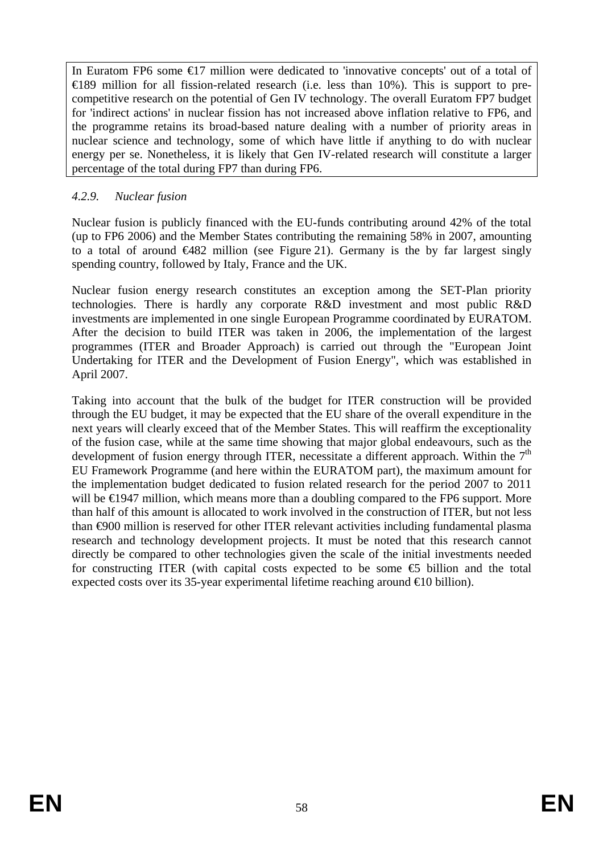In Euratom FP6 some €17 million were dedicated to 'innovative concepts' out of a total of  $\triangle$  489 million for all fission-related research (i.e. less than 10%). This is support to precompetitive research on the potential of Gen IV technology. The overall Euratom FP7 budget for 'indirect actions' in nuclear fission has not increased above inflation relative to FP6, and the programme retains its broad-based nature dealing with a number of priority areas in nuclear science and technology, some of which have little if anything to do with nuclear energy per se. Nonetheless, it is likely that Gen IV-related research will constitute a larger percentage of the total during FP7 than during FP6.

## *4.2.9. Nuclear fusion*

Nuclear fusion is publicly financed with the EU-funds contributing around 42% of the total (up to FP6 2006) and the Member States contributing the remaining 58% in 2007, amounting to a total of around  $\bigoplus$   $\bigoplus$   $\bigoplus$  million (see [Figure 21\)](#page-58-1). Germany is the by far largest singly spending country, followed by Italy, France and the UK.

Nuclear fusion energy research constitutes an exception among the SET-Plan priority technologies. There is hardly any corporate R&D investment and most public R&D investments are implemented in one single European Programme coordinated by EURATOM. After the decision to build ITER was taken in 2006, the implementation of the largest programmes (ITER and Broader Approach) is carried out through the "European Joint Undertaking for ITER and the Development of Fusion Energy", which was established in April 2007.

Taking into account that the bulk of the budget for ITER construction will be provided through the EU budget, it may be expected that the EU share of the overall expenditure in the next years will clearly exceed that of the Member States. This will reaffirm the exceptionality of the fusion case, while at the same time showing that major global endeavours, such as the development of fusion energy through ITER, necessitate a different approach. Within the  $7<sup>th</sup>$ EU Framework Programme (and here within the EURATOM part), the maximum amount for the implementation budget dedicated to fusion related research for the period 2007 to 2011 will be  $\in$  947 million, which means more than a doubling compared to the FP6 support. More than half of this amount is allocated to work involved in the construction of ITER, but not less than €900 million is reserved for other ITER relevant activities including fundamental plasma research and technology development projects. It must be noted that this research cannot directly be compared to other technologies given the scale of the initial investments needed for constructing ITER (with capital costs expected to be some  $\epsilon$  billion and the total expected costs over its 35-year experimental lifetime reaching around  $\in$  0 billion).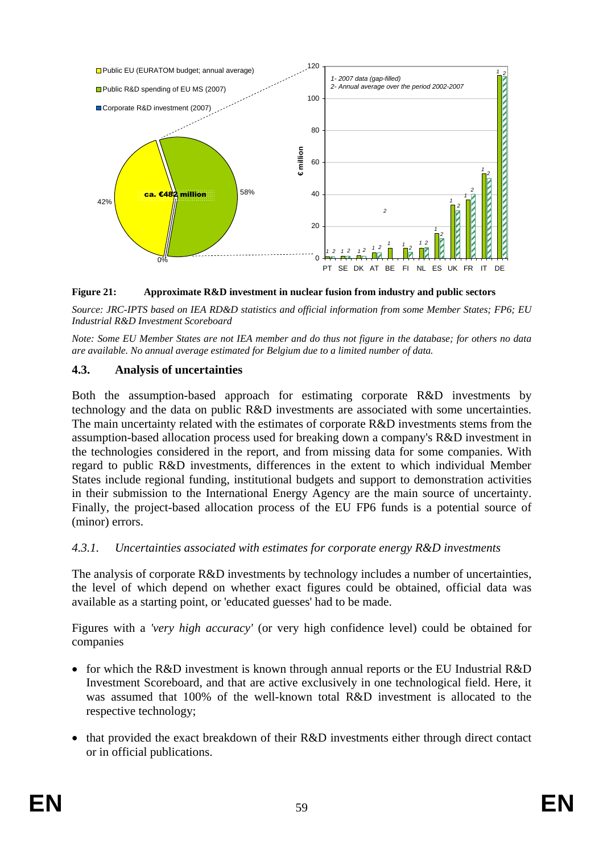

<span id="page-58-1"></span>**Figure 21: Approximate R&D investment in nuclear fusion from industry and public sectors** 

*Source: JRC-IPTS based on IEA RD&D statistics and official information from some Member States; FP6; EU Industrial R&D Investment Scoreboard* 

*Note: Some EU Member States are not IEA member and do thus not figure in the database; for others no data are available. No annual average estimated for Belgium due to a limited number of data.* 

### <span id="page-58-0"></span>**4.3. Analysis of uncertainties**

Both the assumption-based approach for estimating corporate R&D investments by technology and the data on public R&D investments are associated with some uncertainties. The main uncertainty related with the estimates of corporate R&D investments stems from the assumption-based allocation process used for breaking down a company's R&D investment in the technologies considered in the report, and from missing data for some companies. With regard to public R&D investments, differences in the extent to which individual Member States include regional funding, institutional budgets and support to demonstration activities in their submission to the International Energy Agency are the main source of uncertainty. Finally, the project-based allocation process of the EU FP6 funds is a potential source of (minor) errors.

## *4.3.1. Uncertainties associated with estimates for corporate energy R&D investments*

The analysis of corporate R&D investments by technology includes a number of uncertainties, the level of which depend on whether exact figures could be obtained, official data was available as a starting point, or 'educated guesses' had to be made.

Figures with a *'very high accuracy'* (or very high confidence level) could be obtained for companies

- for which the R&D investment is known through annual reports or the EU Industrial R&D Investment Scoreboard, and that are active exclusively in one technological field. Here, it was assumed that 100% of the well-known total R&D investment is allocated to the respective technology;
- that provided the exact breakdown of their R&D investments either through direct contact or in official publications.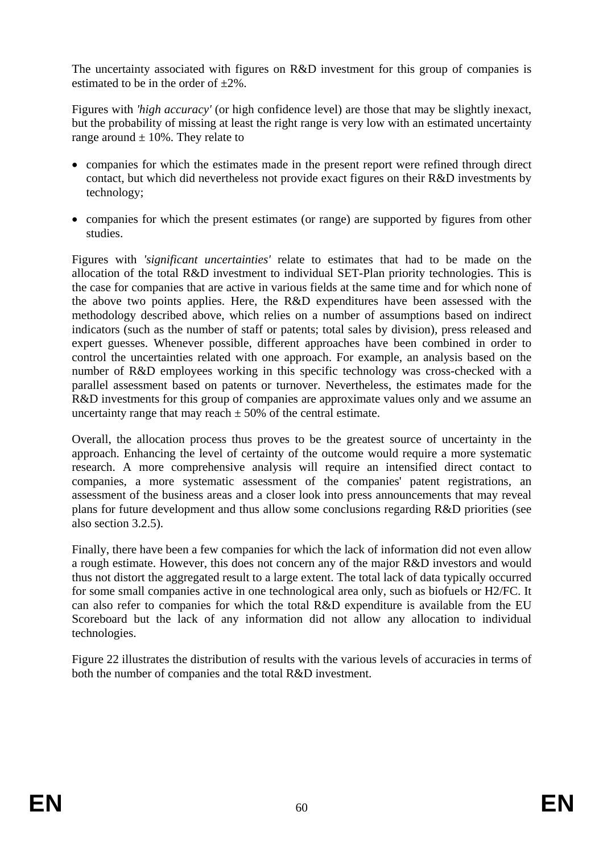The uncertainty associated with figures on R&D investment for this group of companies is estimated to be in the order of  $+2\%$ .

Figures with *'high accuracy'* (or high confidence level) are those that may be slightly inexact, but the probability of missing at least the right range is very low with an estimated uncertainty range around  $\pm$  10%. They relate to

- companies for which the estimates made in the present report were refined through direct contact, but which did nevertheless not provide exact figures on their R&D investments by technology;
- companies for which the present estimates (or range) are supported by figures from other studies.

Figures with *'significant uncertainties'* relate to estimates that had to be made on the allocation of the total R&D investment to individual SET-Plan priority technologies. This is the case for companies that are active in various fields at the same time and for which none of the above two points applies. Here, the R&D expenditures have been assessed with the methodology described above, which relies on a number of assumptions based on indirect indicators (such as the number of staff or patents; total sales by division), press released and expert guesses. Whenever possible, different approaches have been combined in order to control the uncertainties related with one approach. For example, an analysis based on the number of R&D employees working in this specific technology was cross-checked with a parallel assessment based on patents or turnover. Nevertheless, the estimates made for the R&D investments for this group of companies are approximate values only and we assume an uncertainty range that may reach  $\pm$  50% of the central estimate.

Overall, the allocation process thus proves to be the greatest source of uncertainty in the approach. Enhancing the level of certainty of the outcome would require a more systematic research. A more comprehensive analysis will require an intensified direct contact to companies, a more systematic assessment of the companies' patent registrations, an assessment of the business areas and a closer look into press announcements that may reveal plans for future development and thus allow some conclusions regarding R&D priorities (see also sectio[n 3.2.5\)](#page-24-0).

Finally, there have been a few companies for which the lack of information did not even allow a rough estimate. However, this does not concern any of the major R&D investors and would thus not distort the aggregated result to a large extent. The total lack of data typically occurred for some small companies active in one technological area only, such as biofuels or H2/FC. It can also refer to companies for which the total R&D expenditure is available from the EU Scoreboard but the lack of any information did not allow any allocation to individual technologies.

[Figure 22](#page-60-0) illustrates the distribution of results with the various levels of accuracies in terms of both the number of companies and the total R&D investment.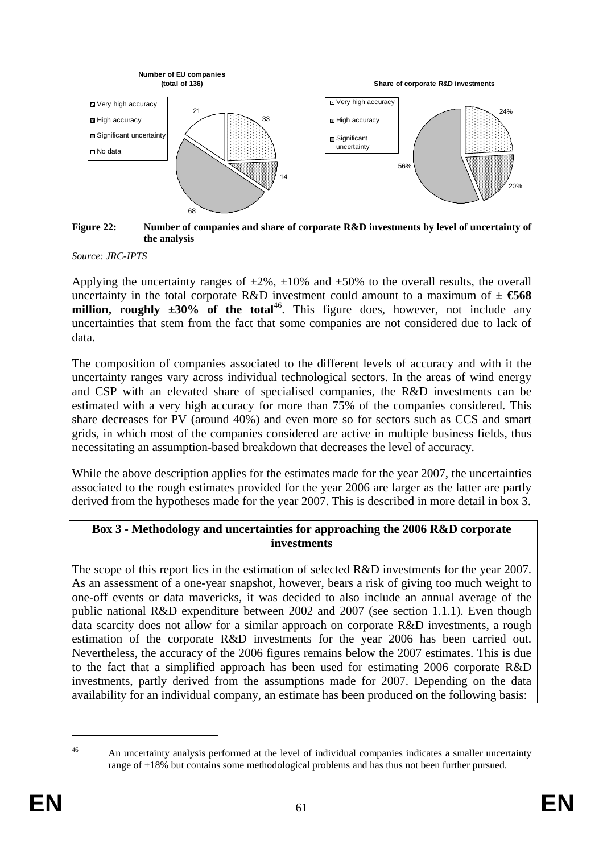

<span id="page-60-0"></span>**Figure 22: Number of companies and share of corporate R&D investments by level of uncertainty of the analysis** 

*Source: JRC-IPTS* 

Applying the uncertainty ranges of  $\pm 2\%$ ,  $\pm 10\%$  and  $\pm 50\%$  to the overall results, the overall uncertainty in the total corporate R&D investment could amount to a maximum of  $\pm$  6568 **million, roughly**  $\pm 30\%$  **of the total<sup>46</sup>. This figure does, however, not include any** uncertainties that stem from the fact that some companies are not considered due to lack of data.

The composition of companies associated to the different levels of accuracy and with it the uncertainty ranges vary across individual technological sectors. In the areas of wind energy and CSP with an elevated share of specialised companies, the R&D investments can be estimated with a very high accuracy for more than 75% of the companies considered. This share decreases for PV (around 40%) and even more so for sectors such as CCS and smart grids, in which most of the companies considered are active in multiple business fields, thus necessitating an assumption-based breakdown that decreases the level of accuracy.

While the above description applies for the estimates made for the year 2007, the uncertainties associated to the rough estimates provided for the year 2006 are larger as the latter are partly derived from the hypotheses made for the year 2007. This is described in more detail in box 3.

## **Box 3 - Methodology and uncertainties for approaching the 2006 R&D corporate investments**

The scope of this report lies in the estimation of selected R&D investments for the year 2007. As an assessment of a one-year snapshot, however, bears a risk of giving too much weight to one-off events or data mavericks, it was decided to also include an annual average of the public national R&D expenditure between 2002 and 2007 (see section [1.1.1\)](#page-27-0). Even though data scarcity does not allow for a similar approach on corporate R&D investments, a rough estimation of the corporate R&D investments for the year 2006 has been carried out. Nevertheless, the accuracy of the 2006 figures remains below the 2007 estimates. This is due to the fact that a simplified approach has been used for estimating 2006 corporate R&D investments, partly derived from the assumptions made for 2007. Depending on the data availability for an individual company, an estimate has been produced on the following basis:

<sup>&</sup>lt;sup>46</sup> An uncertainty analysis performed at the level of individual companies indicates a smaller uncertainty range of ±18% but contains some methodological problems and has thus not been further pursued.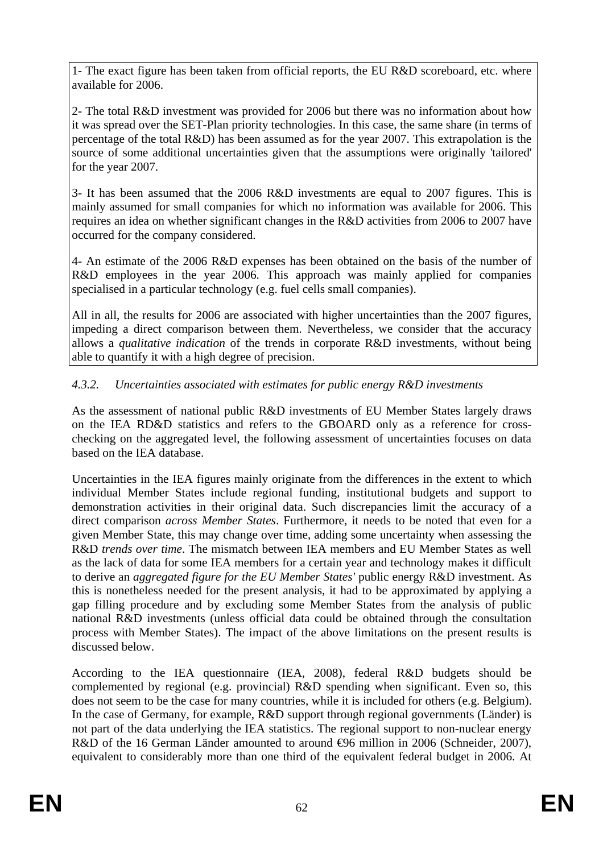1- The exact figure has been taken from official reports, the EU R&D scoreboard, etc. where available for 2006.

2- The total R&D investment was provided for 2006 but there was no information about how it was spread over the SET-Plan priority technologies. In this case, the same share (in terms of percentage of the total R&D) has been assumed as for the year 2007. This extrapolation is the source of some additional uncertainties given that the assumptions were originally 'tailored' for the year 2007.

3- It has been assumed that the 2006 R&D investments are equal to 2007 figures. This is mainly assumed for small companies for which no information was available for 2006. This requires an idea on whether significant changes in the R&D activities from 2006 to 2007 have occurred for the company considered.

4- An estimate of the 2006 R&D expenses has been obtained on the basis of the number of R&D employees in the year 2006. This approach was mainly applied for companies specialised in a particular technology (e.g. fuel cells small companies).

All in all, the results for 2006 are associated with higher uncertainties than the 2007 figures, impeding a direct comparison between them. Nevertheless, we consider that the accuracy allows a *qualitative indication* of the trends in corporate R&D investments, without being able to quantify it with a high degree of precision.

# <span id="page-61-0"></span>*4.3.2. Uncertainties associated with estimates for public energy R&D investments*

As the assessment of national public R&D investments of EU Member States largely draws on the IEA RD&D statistics and refers to the GBOARD only as a reference for crosschecking on the aggregated level, the following assessment of uncertainties focuses on data based on the IEA database.

Uncertainties in the IEA figures mainly originate from the differences in the extent to which individual Member States include regional funding, institutional budgets and support to demonstration activities in their original data. Such discrepancies limit the accuracy of a direct comparison *across Member States*. Furthermore, it needs to be noted that even for a given Member State, this may change over time, adding some uncertainty when assessing the R&D *trends over time*. The mismatch between IEA members and EU Member States as well as the lack of data for some IEA members for a certain year and technology makes it difficult to derive an *aggregated figure for the EU Member States'* public energy R&D investment. As this is nonetheless needed for the present analysis, it had to be approximated by applying a gap filling procedure and by excluding some Member States from the analysis of public national R&D investments (unless official data could be obtained through the consultation process with Member States). The impact of the above limitations on the present results is discussed below.

According to the IEA questionnaire (IEA, 2008), federal R&D budgets should be complemented by regional (e.g. provincial) R&D spending when significant. Even so, this does not seem to be the case for many countries, while it is included for others (e.g. Belgium). In the case of Germany, for example, R&D support through regional governments (Länder) is not part of the data underlying the IEA statistics. The regional support to non-nuclear energy R&D of the 16 German Länder amounted to around ⊕6 million in 2006 (Schneider, 2007), equivalent to considerably more than one third of the equivalent federal budget in 2006. At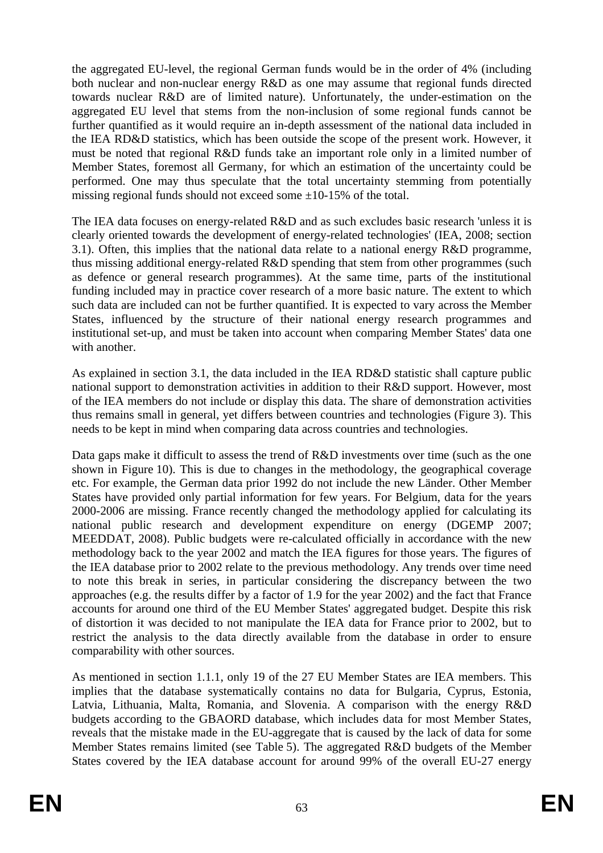the aggregated EU-level, the regional German funds would be in the order of 4% (including both nuclear and non-nuclear energy R&D as one may assume that regional funds directed towards nuclear R&D are of limited nature). Unfortunately, the under-estimation on the aggregated EU level that stems from the non-inclusion of some regional funds cannot be further quantified as it would require an in-depth assessment of the national data included in the IEA RD&D statistics, which has been outside the scope of the present work. However, it must be noted that regional R&D funds take an important role only in a limited number of Member States, foremost all Germany, for which an estimation of the uncertainty could be performed. One may thus speculate that the total uncertainty stemming from potentially missing regional funds should not exceed some  $\pm 10$ -15% of the total.

The IEA data focuses on energy-related R&D and as such excludes basic research 'unless it is clearly oriented towards the development of energy-related technologies' (IEA, 2008; section [3.1\)](#page-8-0). Often, this implies that the national data relate to a national energy R&D programme, thus missing additional energy-related R&D spending that stem from other programmes (such as defence or general research programmes). At the same time, parts of the institutional funding included may in practice cover research of a more basic nature. The extent to which such data are included can not be further quantified. It is expected to vary across the Member States, influenced by the structure of their national energy research programmes and institutional set-up, and must be taken into account when comparing Member States' data one with another.

As explained in section [3.1,](#page-8-0) the data included in the IEA RD&D statistic shall capture public national support to demonstration activities in addition to their R&D support. However, most of the IEA members do not include or display this data. The share of demonstration activities thus remains small in general, yet differs between countries and technologies [\(Figure 3\)](#page-10-0). This needs to be kept in mind when comparing data across countries and technologies.

Data gaps make it difficult to assess the trend of R&D investments over time (such as the one shown in [Figure 10\)](#page-35-0). This is due to changes in the methodology, the geographical coverage etc. For example, the German data prior 1992 do not include the new Länder. Other Member States have provided only partial information for few years. For Belgium, data for the years 2000-2006 are missing. France recently changed the methodology applied for calculating its national public research and development expenditure on energy (DGEMP 2007; MEEDDAT, 2008). Public budgets were re-calculated officially in accordance with the new methodology back to the year 2002 and match the IEA figures for those years. The figures of the IEA database prior to 2002 relate to the previous methodology. Any trends over time need to note this break in series, in particular considering the discrepancy between the two approaches (e.g. the results differ by a factor of 1.9 for the year 2002) and the fact that France accounts for around one third of the EU Member States' aggregated budget. Despite this risk of distortion it was decided to not manipulate the IEA data for France prior to 2002, but to restrict the analysis to the data directly available from the database in order to ensure comparability with other sources.

As mentioned in section [1.1.1,](#page-27-0) only 19 of the 27 EU Member States are IEA members. This implies that the database systematically contains no data for Bulgaria, Cyprus, Estonia, Latvia, Lithuania, Malta, Romania, and Slovenia. A comparison with the energy R&D budgets according to the GBAORD database, which includes data for most Member States, reveals that the mistake made in the EU-aggregate that is caused by the lack of data for some Member States remains limited (see [Table 5\)](#page-34-0). The aggregated R&D budgets of the Member States covered by the IEA database account for around 99% of the overall EU-27 energy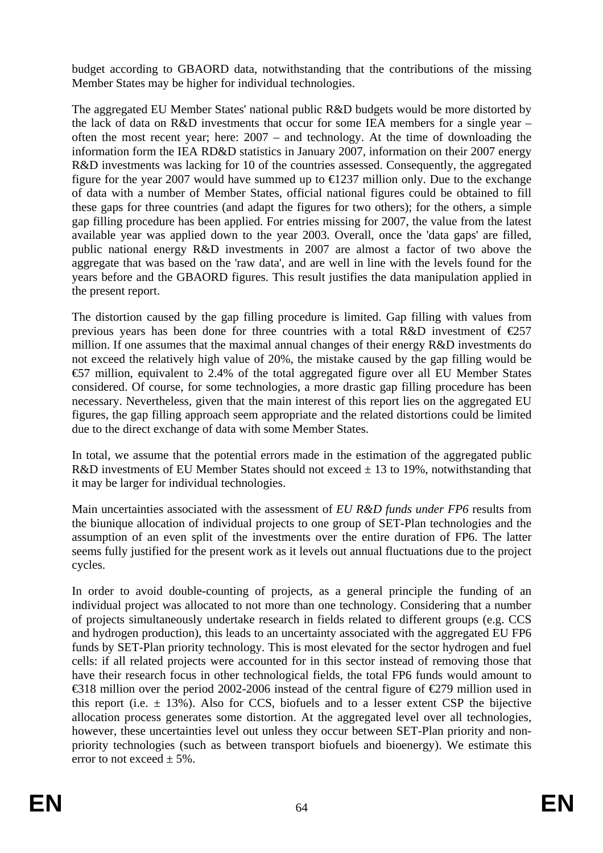budget according to GBAORD data, notwithstanding that the contributions of the missing Member States may be higher for individual technologies.

The aggregated EU Member States' national public R&D budgets would be more distorted by the lack of data on R&D investments that occur for some IEA members for a single year – often the most recent year; here: 2007 – and technology. At the time of downloading the information form the IEA RD&D statistics in January 2007, information on their 2007 energy R&D investments was lacking for 10 of the countries assessed. Consequently, the aggregated figure for the year 2007 would have summed up to  $\epsilon$ 1237 million only. Due to the exchange of data with a number of Member States, official national figures could be obtained to fill these gaps for three countries (and adapt the figures for two others); for the others, a simple gap filling procedure has been applied. For entries missing for 2007, the value from the latest available year was applied down to the year 2003. Overall, once the 'data gaps' are filled, public national energy R&D investments in 2007 are almost a factor of two above the aggregate that was based on the 'raw data', and are well in line with the levels found for the years before and the GBAORD figures. This result justifies the data manipulation applied in the present report.

The distortion caused by the gap filling procedure is limited. Gap filling with values from previous years has been done for three countries with a total R&D investment of  $\epsilon$ 257 million. If one assumes that the maximal annual changes of their energy R&D investments do not exceed the relatively high value of 20%, the mistake caused by the gap filling would be €57 million, equivalent to 2.4% of the total aggregated figure over all EU Member States considered. Of course, for some technologies, a more drastic gap filling procedure has been necessary. Nevertheless, given that the main interest of this report lies on the aggregated EU figures, the gap filling approach seem appropriate and the related distortions could be limited due to the direct exchange of data with some Member States.

In total, we assume that the potential errors made in the estimation of the aggregated public R&D investments of EU Member States should not exceed  $\pm$  13 to 19%, notwithstanding that it may be larger for individual technologies.

Main uncertainties associated with the assessment of *EU R&D funds under FP6* results from the biunique allocation of individual projects to one group of SET-Plan technologies and the assumption of an even split of the investments over the entire duration of FP6. The latter seems fully justified for the present work as it levels out annual fluctuations due to the project cycles.

In order to avoid double-counting of projects, as a general principle the funding of an individual project was allocated to not more than one technology. Considering that a number of projects simultaneously undertake research in fields related to different groups (e.g. CCS and hydrogen production), this leads to an uncertainty associated with the aggregated EU FP6 funds by SET-Plan priority technology. This is most elevated for the sector hydrogen and fuel cells: if all related projects were accounted for in this sector instead of removing those that have their research focus in other technological fields, the total FP6 funds would amount to €318 million over the period 2002-2006 instead of the central figure of €279 million used in this report (i.e.  $\pm$  13%). Also for CCS, biofuels and to a lesser extent CSP the bijective allocation process generates some distortion. At the aggregated level over all technologies, however, these uncertainties level out unless they occur between SET-Plan priority and nonpriority technologies (such as between transport biofuels and bioenergy). We estimate this error to not exceed  $\pm$  5%.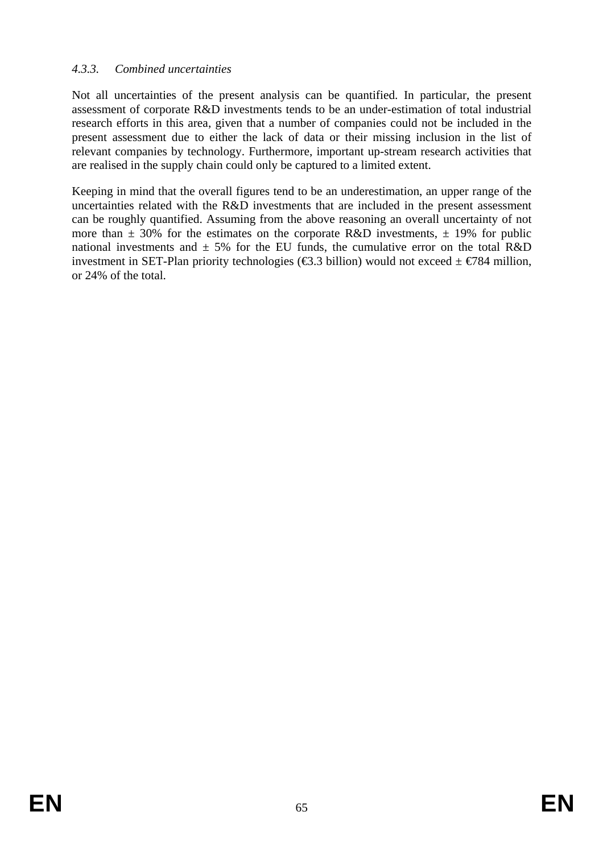## *4.3.3. Combined uncertainties*

Not all uncertainties of the present analysis can be quantified. In particular, the present assessment of corporate R&D investments tends to be an under-estimation of total industrial research efforts in this area, given that a number of companies could not be included in the present assessment due to either the lack of data or their missing inclusion in the list of relevant companies by technology. Furthermore, important up-stream research activities that are realised in the supply chain could only be captured to a limited extent.

Keeping in mind that the overall figures tend to be an underestimation, an upper range of the uncertainties related with the R&D investments that are included in the present assessment can be roughly quantified. Assuming from the above reasoning an overall uncertainty of not more than  $\pm$  30% for the estimates on the corporate R&D investments,  $\pm$  19% for public national investments and  $\pm$  5% for the EU funds, the cumulative error on the total R&D investment in SET-Plan priority technologies ( $\epsilon$ 3.3 billion) would not exceed  $\pm \epsilon$ 784 million, or 24% of the total.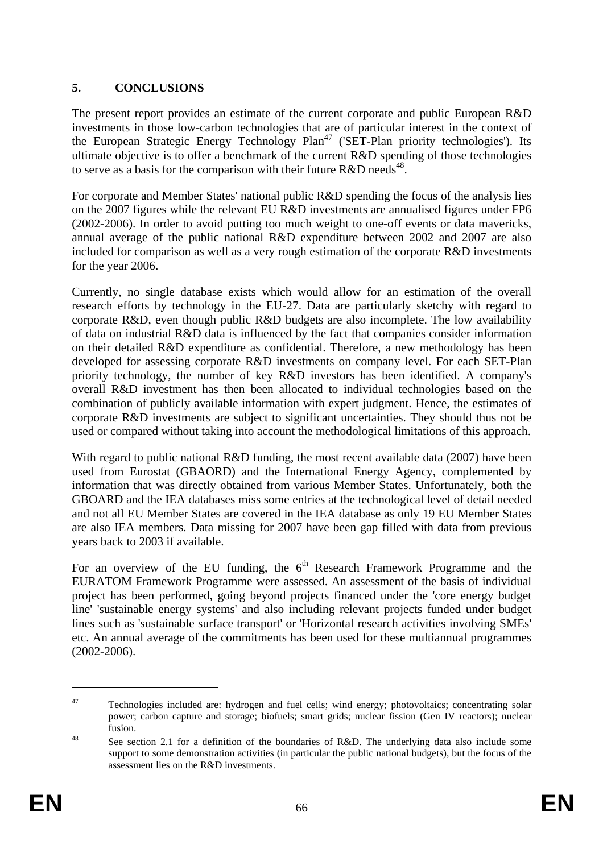# <span id="page-65-0"></span>**5. CONCLUSIONS**

The present report provides an estimate of the current corporate and public European R&D investments in those low-carbon technologies that are of particular interest in the context of the European Strategic Energy Technology Plan<sup>47</sup> ('SET-Plan priority technologies'). Its ultimate objective is to offer a benchmark of the current R&D spending of those technologies to serve as a basis for the comparison with their future  $R&D$  needs<sup>48</sup>.

For corporate and Member States' national public R&D spending the focus of the analysis lies on the 2007 figures while the relevant EU R&D investments are annualised figures under FP6 (2002-2006). In order to avoid putting too much weight to one-off events or data mavericks, annual average of the public national R&D expenditure between 2002 and 2007 are also included for comparison as well as a very rough estimation of the corporate R&D investments for the year 2006.

Currently, no single database exists which would allow for an estimation of the overall research efforts by technology in the EU-27. Data are particularly sketchy with regard to corporate R&D, even though public R&D budgets are also incomplete. The low availability of data on industrial R&D data is influenced by the fact that companies consider information on their detailed R&D expenditure as confidential. Therefore, a new methodology has been developed for assessing corporate R&D investments on company level. For each SET-Plan priority technology, the number of key R&D investors has been identified. A company's overall R&D investment has then been allocated to individual technologies based on the combination of publicly available information with expert judgment. Hence, the estimates of corporate R&D investments are subject to significant uncertainties. They should thus not be used or compared without taking into account the methodological limitations of this approach.

With regard to public national R&D funding, the most recent available data (2007) have been used from Eurostat (GBAORD) and the International Energy Agency, complemented by information that was directly obtained from various Member States. Unfortunately, both the GBOARD and the IEA databases miss some entries at the technological level of detail needed and not all EU Member States are covered in the IEA database as only 19 EU Member States are also IEA members. Data missing for 2007 have been gap filled with data from previous years back to 2003 if available.

For an overview of the EU funding, the  $6<sup>th</sup>$  Research Framework Programme and the EURATOM Framework Programme were assessed. An assessment of the basis of individual project has been performed, going beyond projects financed under the 'core energy budget line' 'sustainable energy systems' and also including relevant projects funded under budget lines such as 'sustainable surface transport' or 'Horizontal research activities involving SMEs' etc. An annual average of the commitments has been used for these multiannual programmes (2002-2006).

<sup>&</sup>lt;sup>47</sup> Technologies included are: hydrogen and fuel cells; wind energy; photovoltaics; concentrating solar power; carbon capture and storage; biofuels; smart grids; nuclear fission (Gen IV reactors); nuclear fusion.<br><sup>48</sup> See section 2.1 for a definition of the boundaries of R&D. The underlying data also include some

support to some demonstration activities (in particular the public national budgets), but the focus of the assessment lies on the R&D investments.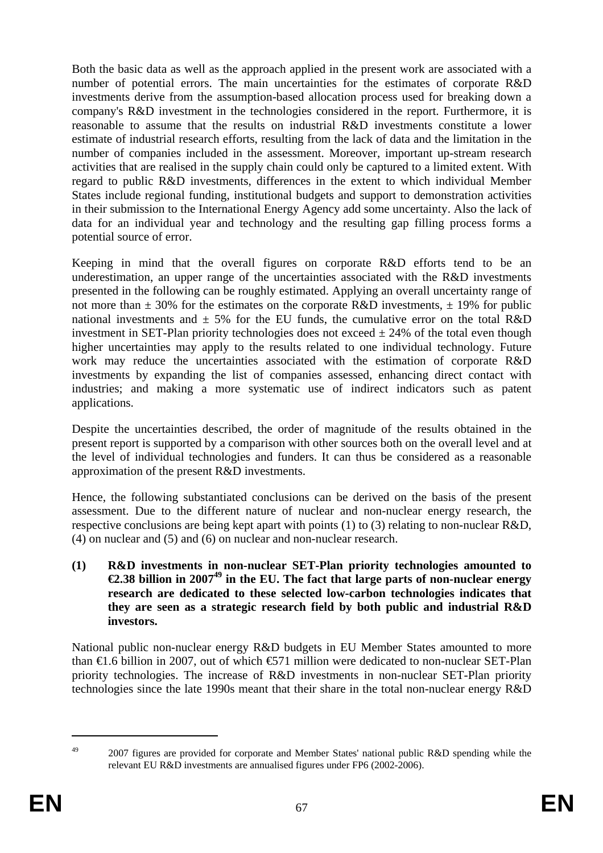Both the basic data as well as the approach applied in the present work are associated with a number of potential errors. The main uncertainties for the estimates of corporate R&D investments derive from the assumption-based allocation process used for breaking down a company's R&D investment in the technologies considered in the report. Furthermore, it is reasonable to assume that the results on industrial R&D investments constitute a lower estimate of industrial research efforts, resulting from the lack of data and the limitation in the number of companies included in the assessment. Moreover, important up-stream research activities that are realised in the supply chain could only be captured to a limited extent. With regard to public R&D investments, differences in the extent to which individual Member States include regional funding, institutional budgets and support to demonstration activities in their submission to the International Energy Agency add some uncertainty. Also the lack of data for an individual year and technology and the resulting gap filling process forms a potential source of error.

Keeping in mind that the overall figures on corporate R&D efforts tend to be an underestimation, an upper range of the uncertainties associated with the R&D investments presented in the following can be roughly estimated. Applying an overall uncertainty range of not more than  $\pm$  30% for the estimates on the corporate R&D investments,  $\pm$  19% for public national investments and  $\pm$  5% for the EU funds, the cumulative error on the total R&D investment in SET-Plan priority technologies does not exceed  $\pm$  24% of the total even though higher uncertainties may apply to the results related to one individual technology. Future work may reduce the uncertainties associated with the estimation of corporate R&D investments by expanding the list of companies assessed, enhancing direct contact with industries; and making a more systematic use of indirect indicators such as patent applications.

Despite the uncertainties described, the order of magnitude of the results obtained in the present report is supported by a comparison with other sources both on the overall level and at the level of individual technologies and funders. It can thus be considered as a reasonable approximation of the present R&D investments.

Hence, the following substantiated conclusions can be derived on the basis of the present assessment. Due to the different nature of nuclear and non-nuclear energy research, the respective conclusions are being kept apart with points (1) to (3) relating to non-nuclear R&D, (4) on nuclear and (5) and (6) on nuclear and non-nuclear research.

**(1) R&D investments in non-nuclear SET-Plan priority technologies amounted to €2.38 billion in 200749 in the EU. The fact that large parts of non-nuclear energy research are dedicated to these selected low-carbon technologies indicates that they are seen as a strategic research field by both public and industrial R&D investors.** 

National public non-nuclear energy R&D budgets in EU Member States amounted to more than  $\epsilon$ 1.6 billion in 2007, out of which  $\epsilon$ 571 million were dedicated to non-nuclear SET-Plan priority technologies. The increase of R&D investments in non-nuclear SET-Plan priority technologies since the late 1990s meant that their share in the total non-nuclear energy R&D

<sup>&</sup>lt;sup>49</sup> 2007 figures are provided for corporate and Member States' national public R&D spending while the relevant EU R&D investments are annualised figures under FP6 (2002-2006).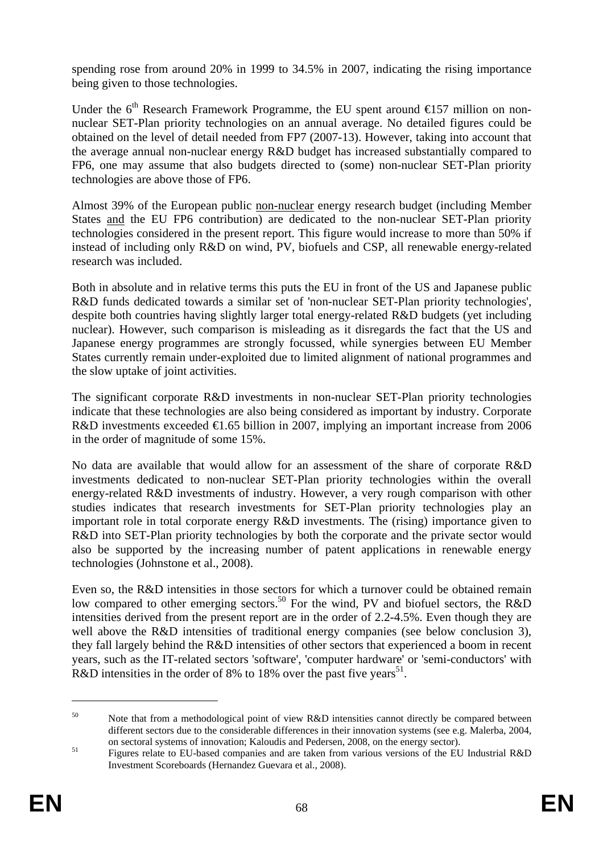spending rose from around 20% in 1999 to 34.5% in 2007, indicating the rising importance being given to those technologies.

Under the 6<sup>th</sup> Research Framework Programme, the EU spent around  $\epsilon$ 157 million on nonnuclear SET-Plan priority technologies on an annual average. No detailed figures could be obtained on the level of detail needed from FP7 (2007-13). However, taking into account that the average annual non-nuclear energy R&D budget has increased substantially compared to FP6, one may assume that also budgets directed to (some) non-nuclear SET-Plan priority technologies are above those of FP6.

Almost 39% of the European public non-nuclear energy research budget (including Member States and the EU FP6 contribution) are dedicated to the non-nuclear SET-Plan priority technologies considered in the present report. This figure would increase to more than 50% if instead of including only R&D on wind, PV, biofuels and CSP, all renewable energy-related research was included.

Both in absolute and in relative terms this puts the EU in front of the US and Japanese public R&D funds dedicated towards a similar set of 'non-nuclear SET-Plan priority technologies', despite both countries having slightly larger total energy-related R&D budgets (yet including nuclear). However, such comparison is misleading as it disregards the fact that the US and Japanese energy programmes are strongly focussed, while synergies between EU Member States currently remain under-exploited due to limited alignment of national programmes and the slow uptake of joint activities.

The significant corporate R&D investments in non-nuclear SET-Plan priority technologies indicate that these technologies are also being considered as important by industry. Corporate R&D investments exceeded  $\in$ 1.65 billion in 2007, implying an important increase from 2006 in the order of magnitude of some 15%.

No data are available that would allow for an assessment of the share of corporate R&D investments dedicated to non-nuclear SET-Plan priority technologies within the overall energy-related R&D investments of industry. However, a very rough comparison with other studies indicates that research investments for SET-Plan priority technologies play an important role in total corporate energy R&D investments. The (rising) importance given to R&D into SET-Plan priority technologies by both the corporate and the private sector would also be supported by the increasing number of patent applications in renewable energy technologies (Johnstone et al., 2008).

Even so, the R&D intensities in those sectors for which a turnover could be obtained remain low compared to other emerging sectors.<sup>50</sup> For the wind, PV and biofuel sectors, the R&D intensities derived from the present report are in the order of 2.2-4.5%. Even though they are well above the R&D intensities of traditional energy companies (see below conclusion 3), they fall largely behind the R&D intensities of other sectors that experienced a boom in recent years, such as the IT-related sectors 'software', 'computer hardware' or 'semi-conductors' with R&D intensities in the order of 8% to 18% over the past five years<sup>51</sup>.

<sup>&</sup>lt;sup>50</sup> Note that from a methodological point of view R&D intensities cannot directly be compared between different sectors due to the considerable differences in their innovation systems (see e.g. Malerba, 2004,

on sectoral systems of innovation; Kaloudis and Pedersen, 2008, on the energy sector).<br>
Figures relate to EU-based companies and are taken from various versions of the EU Industrial R&D Investment Scoreboards (Hernandez Guevara et al., 2008).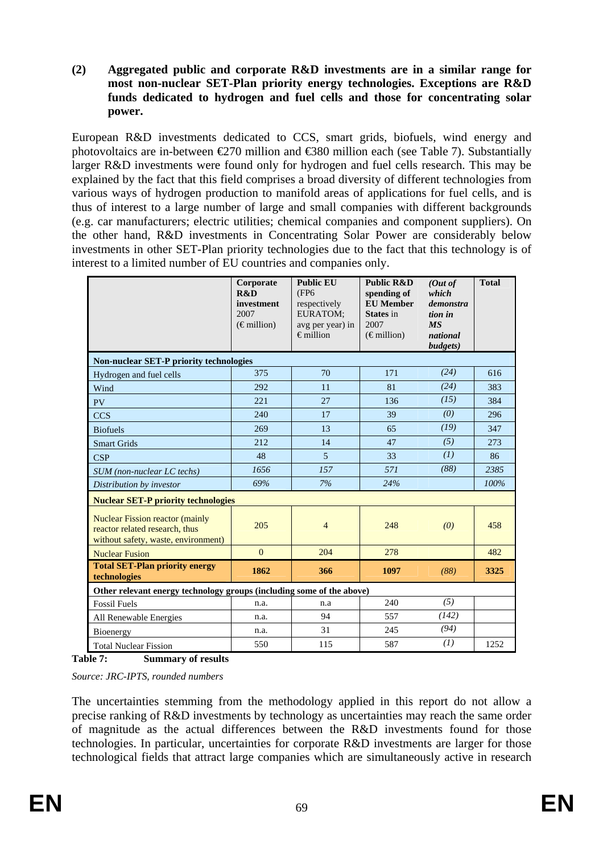**(2) Aggregated public and corporate R&D investments are in a similar range for most non-nuclear SET-Plan priority energy technologies. Exceptions are R&D funds dedicated to hydrogen and fuel cells and those for concentrating solar power.** 

European R&D investments dedicated to CCS, smart grids, biofuels, wind energy and photovoltaics are in-between €270 million and €380 million each (see [Table 7\)](#page-68-0). Substantially larger R&D investments were found only for hydrogen and fuel cells research. This may be explained by the fact that this field comprises a broad diversity of different technologies from various ways of hydrogen production to manifold areas of applications for fuel cells, and is thus of interest to a large number of large and small companies with different backgrounds (e.g. car manufacturers; electric utilities; chemical companies and component suppliers). On the other hand, R&D investments in Concentrating Solar Power are considerably below investments in other SET-Plan priority technologies due to the fact that this technology is of interest to a limited number of EU countries and companies only.

|                                                                                                                 | Corporate<br>R&D<br>investment<br>2007<br>$(\epsilon$ million) | <b>Public EU</b><br>(FP <sub>6</sub><br>respectively<br>EURATOM;<br>avg per year) in<br>$\epsilon$ million | <b>Public R&amp;D</b><br>spending of<br><b>EU</b> Member<br><b>States</b> in<br>2007<br>$(\epsilon$ million) | (Out of<br>which<br>demonstra<br>tion in<br>MS<br>national<br>budgets) | <b>Total</b> |  |  |  |  |  |  |  |
|-----------------------------------------------------------------------------------------------------------------|----------------------------------------------------------------|------------------------------------------------------------------------------------------------------------|--------------------------------------------------------------------------------------------------------------|------------------------------------------------------------------------|--------------|--|--|--|--|--|--|--|
| <b>Non-nuclear SET-P priority technologies</b>                                                                  |                                                                |                                                                                                            |                                                                                                              |                                                                        |              |  |  |  |  |  |  |  |
| Hydrogen and fuel cells                                                                                         | 375                                                            | 70                                                                                                         | 171                                                                                                          | (24)                                                                   | 616          |  |  |  |  |  |  |  |
| Wind                                                                                                            | 292                                                            | 11                                                                                                         | 81                                                                                                           | (24)                                                                   | 383          |  |  |  |  |  |  |  |
| <b>PV</b>                                                                                                       | 221                                                            | 27                                                                                                         | 136                                                                                                          | (15)                                                                   | 384          |  |  |  |  |  |  |  |
| <b>CCS</b>                                                                                                      | 240                                                            | 17                                                                                                         | 39                                                                                                           | (0)                                                                    | 296          |  |  |  |  |  |  |  |
| <b>Biofuels</b>                                                                                                 | 269                                                            | 13                                                                                                         | 65                                                                                                           | (19)                                                                   | 347          |  |  |  |  |  |  |  |
| <b>Smart Grids</b>                                                                                              | 212                                                            | 14                                                                                                         | 47                                                                                                           | (5)                                                                    | 273          |  |  |  |  |  |  |  |
| CSP                                                                                                             | 48                                                             | $\overline{5}$                                                                                             | 33                                                                                                           | (I)                                                                    | 86           |  |  |  |  |  |  |  |
| SUM (non-nuclear LC techs)                                                                                      | 1656                                                           | 157                                                                                                        | 571                                                                                                          | (88)                                                                   | 2385         |  |  |  |  |  |  |  |
| Distribution by investor                                                                                        | 69%                                                            | 7%                                                                                                         | 24%                                                                                                          |                                                                        | 100%         |  |  |  |  |  |  |  |
| <b>Nuclear SET-P priority technologies</b>                                                                      |                                                                |                                                                                                            |                                                                                                              |                                                                        |              |  |  |  |  |  |  |  |
| <b>Nuclear Fission reactor (mainly</b><br>reactor related research, thus<br>without safety, waste, environment) | 205                                                            | $\overline{4}$                                                                                             | 248                                                                                                          | (0)                                                                    | 458          |  |  |  |  |  |  |  |
| <b>Nuclear Fusion</b>                                                                                           | $\Omega$                                                       | 204                                                                                                        | 278                                                                                                          |                                                                        | 482          |  |  |  |  |  |  |  |
| <b>Total SET-Plan priority energy</b><br>technologies                                                           | 1862                                                           | 366                                                                                                        | 1097                                                                                                         | (88)                                                                   | 3325         |  |  |  |  |  |  |  |
| Other relevant energy technology groups (including some of the above)                                           |                                                                |                                                                                                            |                                                                                                              |                                                                        |              |  |  |  |  |  |  |  |
| <b>Fossil Fuels</b>                                                                                             | n.a.                                                           | n.a                                                                                                        | 240                                                                                                          | (5)                                                                    |              |  |  |  |  |  |  |  |
| All Renewable Energies                                                                                          | n.a.                                                           | 94                                                                                                         | 557                                                                                                          | (142)                                                                  |              |  |  |  |  |  |  |  |
| Bioenergy                                                                                                       | n.a.                                                           | 31                                                                                                         | 245                                                                                                          | (94)                                                                   |              |  |  |  |  |  |  |  |
| <b>Total Nuclear Fission</b>                                                                                    | 550                                                            | 115                                                                                                        | 587                                                                                                          | (I)                                                                    | 1252         |  |  |  |  |  |  |  |

<span id="page-68-0"></span>**Table 7: Summary of results** 

*Source: JRC-IPTS, rounded numbers* 

The uncertainties stemming from the methodology applied in this report do not allow a precise ranking of R&D investments by technology as uncertainties may reach the same order of magnitude as the actual differences between the R&D investments found for those technologies. In particular, uncertainties for corporate R&D investments are larger for those technological fields that attract large companies which are simultaneously active in research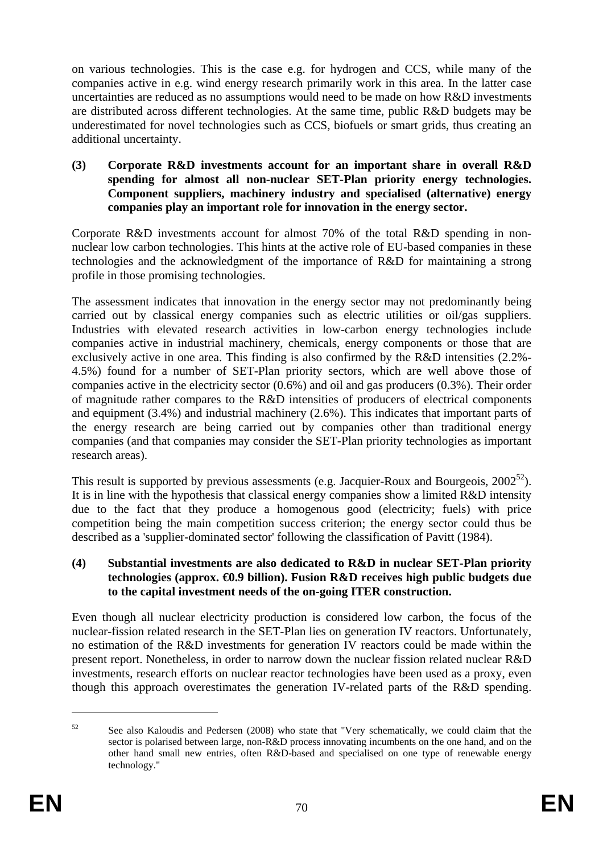on various technologies. This is the case e.g. for hydrogen and CCS, while many of the companies active in e.g. wind energy research primarily work in this area. In the latter case uncertainties are reduced as no assumptions would need to be made on how R&D investments are distributed across different technologies. At the same time, public R&D budgets may be underestimated for novel technologies such as CCS, biofuels or smart grids, thus creating an additional uncertainty.

### **(3) Corporate R&D investments account for an important share in overall R&D spending for almost all non-nuclear SET-Plan priority energy technologies. Component suppliers, machinery industry and specialised (alternative) energy companies play an important role for innovation in the energy sector.**

Corporate R&D investments account for almost 70% of the total R&D spending in nonnuclear low carbon technologies. This hints at the active role of EU-based companies in these technologies and the acknowledgment of the importance of R&D for maintaining a strong profile in those promising technologies.

The assessment indicates that innovation in the energy sector may not predominantly being carried out by classical energy companies such as electric utilities or oil/gas suppliers. Industries with elevated research activities in low-carbon energy technologies include companies active in industrial machinery, chemicals, energy components or those that are exclusively active in one area. This finding is also confirmed by the R&D intensities (2.2%- 4.5%) found for a number of SET-Plan priority sectors, which are well above those of companies active in the electricity sector (0.6%) and oil and gas producers (0.3%). Their order of magnitude rather compares to the R&D intensities of producers of electrical components and equipment (3.4%) and industrial machinery (2.6%). This indicates that important parts of the energy research are being carried out by companies other than traditional energy companies (and that companies may consider the SET-Plan priority technologies as important research areas).

This result is supported by previous assessments (e.g. Jacquier-Roux and Bourgeois,  $2002^{52}$ ). It is in line with the hypothesis that classical energy companies show a limited R&D intensity due to the fact that they produce a homogenous good (electricity; fuels) with price competition being the main competition success criterion; the energy sector could thus be described as a 'supplier-dominated sector' following the classification of Pavitt (1984).

### **(4) Substantial investments are also dedicated to R&D in nuclear SET-Plan priority technologies (approx. €0.9 billion). Fusion R&D receives high public budgets due to the capital investment needs of the on-going ITER construction.**

Even though all nuclear electricity production is considered low carbon, the focus of the nuclear-fission related research in the SET-Plan lies on generation IV reactors. Unfortunately, no estimation of the R&D investments for generation IV reactors could be made within the present report. Nonetheless, in order to narrow down the nuclear fission related nuclear R&D investments, research efforts on nuclear reactor technologies have been used as a proxy, even though this approach overestimates the generation IV-related parts of the R&D spending.

<sup>&</sup>lt;sup>52</sup> See also Kaloudis and Pedersen (2008) who state that "Very schematically, we could claim that the sector is polarised between large, non-R&D process innovating incumbents on the one hand, and on the other hand small new entries, often R&D-based and specialised on one type of renewable energy technology."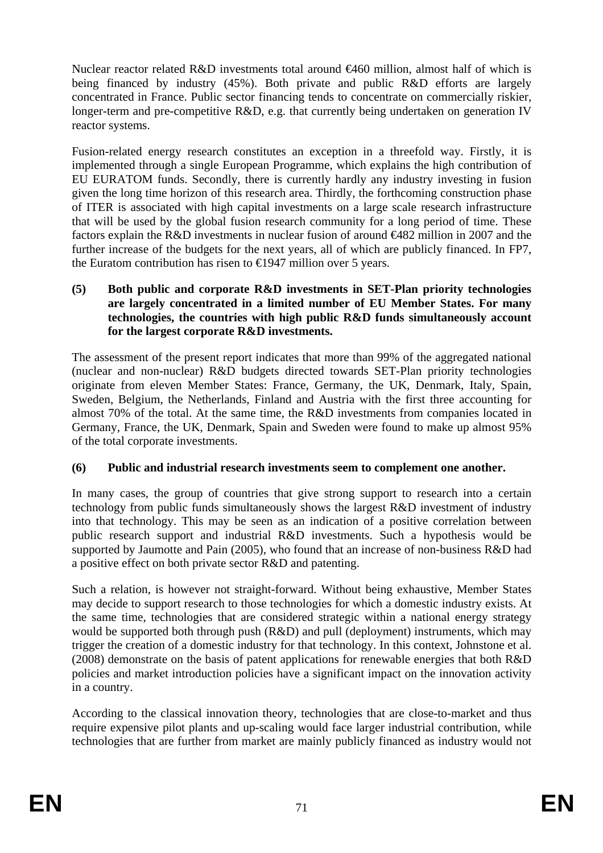Nuclear reactor related R&D investments total around €460 million, almost half of which is being financed by industry (45%). Both private and public R&D efforts are largely concentrated in France. Public sector financing tends to concentrate on commercially riskier, longer-term and pre-competitive R&D, e.g. that currently being undertaken on generation IV reactor systems.

Fusion-related energy research constitutes an exception in a threefold way. Firstly, it is implemented through a single European Programme, which explains the high contribution of EU EURATOM funds. Secondly, there is currently hardly any industry investing in fusion given the long time horizon of this research area. Thirdly, the forthcoming construction phase of ITER is associated with high capital investments on a large scale research infrastructure that will be used by the global fusion research community for a long period of time. These factors explain the R&D investments in nuclear fusion of around €482 million in 2007 and the further increase of the budgets for the next years, all of which are publicly financed. In FP7, the Euratom contribution has risen to  $\in$  1947 million over 5 years.

### **(5) Both public and corporate R&D investments in SET-Plan priority technologies are largely concentrated in a limited number of EU Member States. For many technologies, the countries with high public R&D funds simultaneously account for the largest corporate R&D investments.**

The assessment of the present report indicates that more than 99% of the aggregated national (nuclear and non-nuclear) R&D budgets directed towards SET-Plan priority technologies originate from eleven Member States: France, Germany, the UK, Denmark, Italy, Spain, Sweden, Belgium, the Netherlands, Finland and Austria with the first three accounting for almost 70% of the total. At the same time, the R&D investments from companies located in Germany, France, the UK, Denmark, Spain and Sweden were found to make up almost 95% of the total corporate investments.

## **(6) Public and industrial research investments seem to complement one another.**

In many cases, the group of countries that give strong support to research into a certain technology from public funds simultaneously shows the largest R&D investment of industry into that technology. This may be seen as an indication of a positive correlation between public research support and industrial R&D investments. Such a hypothesis would be supported by Jaumotte and Pain (2005), who found that an increase of non-business R&D had a positive effect on both private sector R&D and patenting.

Such a relation, is however not straight-forward. Without being exhaustive, Member States may decide to support research to those technologies for which a domestic industry exists. At the same time, technologies that are considered strategic within a national energy strategy would be supported both through push (R&D) and pull (deployment) instruments, which may trigger the creation of a domestic industry for that technology. In this context, Johnstone et al. (2008) demonstrate on the basis of patent applications for renewable energies that both R&D policies and market introduction policies have a significant impact on the innovation activity in a country.

According to the classical innovation theory, technologies that are close-to-market and thus require expensive pilot plants and up-scaling would face larger industrial contribution, while technologies that are further from market are mainly publicly financed as industry would not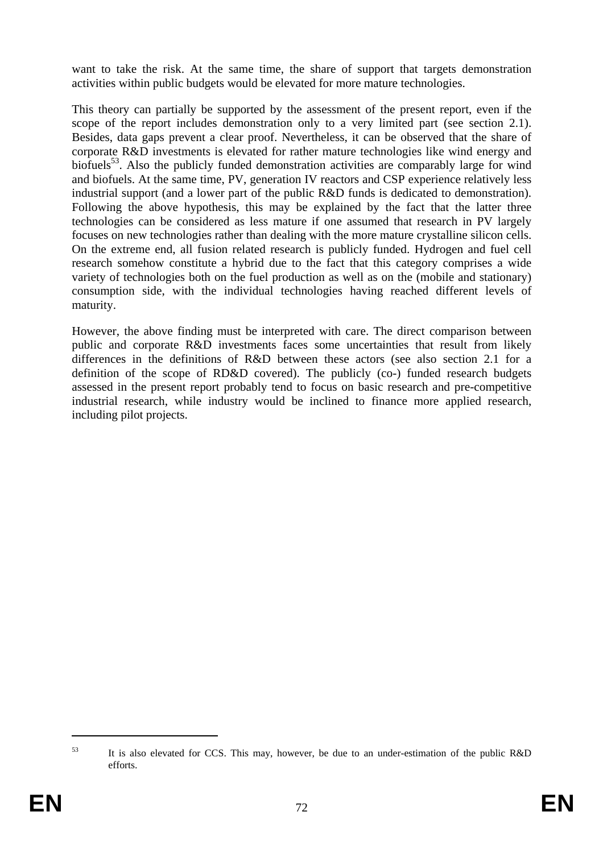want to take the risk. At the same time, the share of support that targets demonstration activities within public budgets would be elevated for more mature technologies.

This theory can partially be supported by the assessment of the present report, even if the scope of the report includes demonstration only to a very limited part (see section 2.1). Besides, data gaps prevent a clear proof. Nevertheless, it can be observed that the share of corporate R&D investments is elevated for rather mature technologies like wind energy and biofuels<sup>53</sup>. Also the publicly funded demonstration activities are comparably large for wind and biofuels. At the same time, PV, generation IV reactors and CSP experience relatively less industrial support (and a lower part of the public R&D funds is dedicated to demonstration). Following the above hypothesis, this may be explained by the fact that the latter three technologies can be considered as less mature if one assumed that research in PV largely focuses on new technologies rather than dealing with the more mature crystalline silicon cells. On the extreme end, all fusion related research is publicly funded. Hydrogen and fuel cell research somehow constitute a hybrid due to the fact that this category comprises a wide variety of technologies both on the fuel production as well as on the (mobile and stationary) consumption side, with the individual technologies having reached different levels of maturity.

However, the above finding must be interpreted with care. The direct comparison between public and corporate R&D investments faces some uncertainties that result from likely differences in the definitions of R&D between these actors (see also section 2.1 for a definition of the scope of RD&D covered). The publicly (co-) funded research budgets assessed in the present report probably tend to focus on basic research and pre-competitive industrial research, while industry would be inclined to finance more applied research, including pilot projects.

<sup>53</sup> It is also elevated for CCS. This may, however, be due to an under-estimation of the public R&D efforts.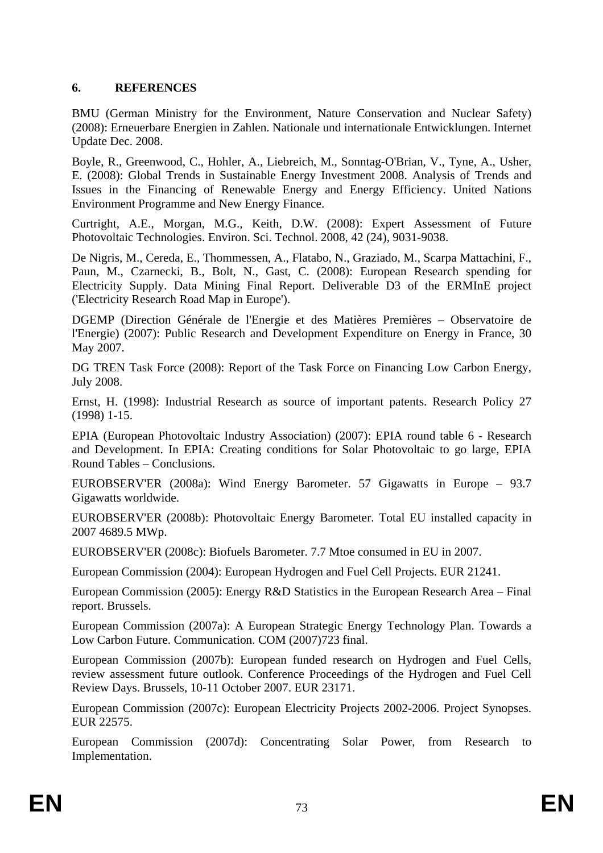## **6. REFERENCES**

BMU (German Ministry for the Environment, Nature Conservation and Nuclear Safety) (2008): Erneuerbare Energien in Zahlen. Nationale und internationale Entwicklungen. Internet Update Dec. 2008.

Boyle, R., Greenwood, C., Hohler, A., Liebreich, M., Sonntag-O'Brian, V., Tyne, A., Usher, E. (2008): Global Trends in Sustainable Energy Investment 2008. Analysis of Trends and Issues in the Financing of Renewable Energy and Energy Efficiency. United Nations Environment Programme and New Energy Finance.

Curtright, A.E., Morgan, M.G., Keith, D.W. (2008): Expert Assessment of Future Photovoltaic Technologies. Environ. Sci. Technol. 2008, 42 (24), 9031-9038.

De Nigris, M., Cereda, E., Thommessen, A., Flatabo, N., Graziado, M., Scarpa Mattachini, F., Paun, M., Czarnecki, B., Bolt, N., Gast, C. (2008): European Research spending for Electricity Supply. Data Mining Final Report. Deliverable D3 of the ERMInE project ('Electricity Research Road Map in Europe').

DGEMP (Direction Générale de l'Energie et des Matières Premières – Observatoire de l'Energie) (2007): Public Research and Development Expenditure on Energy in France, 30 May 2007.

DG TREN Task Force (2008): Report of the Task Force on Financing Low Carbon Energy, July 2008.

Ernst, H. (1998): Industrial Research as source of important patents. Research Policy 27 (1998) 1-15.

EPIA (European Photovoltaic Industry Association) (2007): EPIA round table 6 - Research and Development. In EPIA: Creating conditions for Solar Photovoltaic to go large, EPIA Round Tables – Conclusions.

EUROBSERV'ER (2008a): Wind Energy Barometer. 57 Gigawatts in Europe – 93.7 Gigawatts worldwide.

EUROBSERV'ER (2008b): Photovoltaic Energy Barometer. Total EU installed capacity in 2007 4689.5 MWp.

EUROBSERV'ER (2008c): Biofuels Barometer. 7.7 Mtoe consumed in EU in 2007.

European Commission (2004): European Hydrogen and Fuel Cell Projects. EUR 21241.

European Commission (2005): Energy R&D Statistics in the European Research Area – Final report. Brussels.

European Commission (2007a): A European Strategic Energy Technology Plan. Towards a Low Carbon Future. Communication. COM (2007)723 final.

European Commission (2007b): European funded research on Hydrogen and Fuel Cells, review assessment future outlook. Conference Proceedings of the Hydrogen and Fuel Cell Review Days. Brussels, 10-11 October 2007. EUR 23171.

European Commission (2007c): European Electricity Projects 2002-2006. Project Synopses. EUR 22575.

European Commission (2007d): Concentrating Solar Power, from Research to Implementation.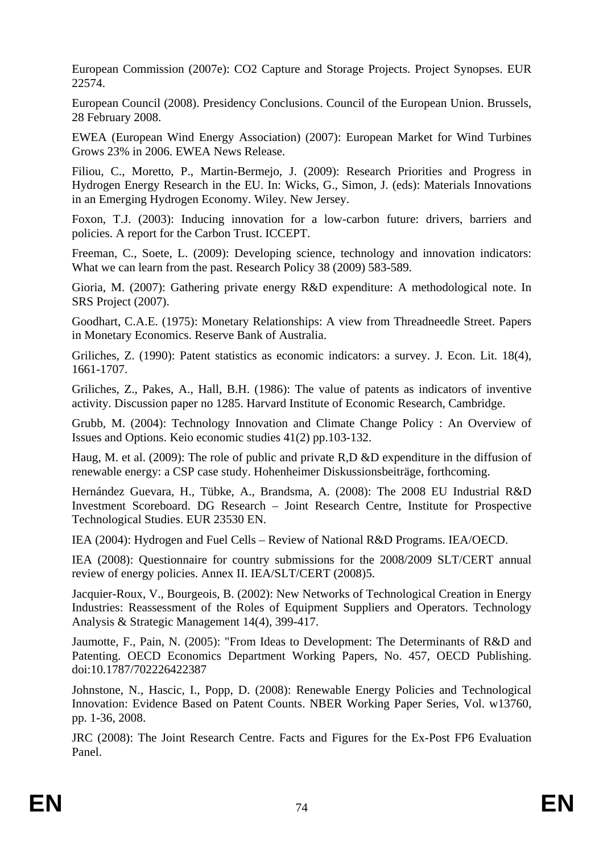European Commission (2007e): CO2 Capture and Storage Projects. Project Synopses. EUR 22574.

European Council (2008). Presidency Conclusions. Council of the European Union. Brussels, 28 February 2008.

EWEA (European Wind Energy Association) (2007): European Market for Wind Turbines Grows 23% in 2006. EWEA News Release.

Filiou, C., Moretto, P., Martin-Bermejo, J. (2009): Research Priorities and Progress in Hydrogen Energy Research in the EU. In: Wicks, G., Simon, J. (eds): Materials Innovations in an Emerging Hydrogen Economy. Wiley. New Jersey.

Foxon, T.J. (2003): Inducing innovation for a low-carbon future: drivers, barriers and policies. A report for the Carbon Trust. ICCEPT.

Freeman, C., Soete, L. (2009): Developing science, technology and innovation indicators: What we can learn from the past. Research Policy 38 (2009) 583-589.

Gioria, M. (2007): Gathering private energy R&D expenditure: A methodological note. In SRS Project (2007).

Goodhart, C.A.E. (1975): Monetary Relationships: A view from Threadneedle Street. Papers in Monetary Economics. Reserve Bank of Australia.

Griliches, Z. (1990): Patent statistics as economic indicators: a survey. J. Econ. Lit. 18(4), 1661-1707.

Griliches, Z., Pakes, A., Hall, B.H. (1986): The value of patents as indicators of inventive activity. Discussion paper no 1285. Harvard Institute of Economic Research, Cambridge.

Grubb, M. (2004): Technology Innovation and Climate Change Policy : An Overview of Issues and Options. Keio economic studies 41(2) pp.103-132.

Haug, M. et al. (2009): The role of public and private R,D &D expenditure in the diffusion of renewable energy: a CSP case study. Hohenheimer Diskussionsbeiträge, forthcoming.

Hernández Guevara, H., Tübke, A., Brandsma, A. (2008): The 2008 EU Industrial R&D Investment Scoreboard. DG Research – Joint Research Centre, Institute for Prospective Technological Studies. EUR 23530 EN.

IEA (2004): Hydrogen and Fuel Cells – Review of National R&D Programs. IEA/OECD.

IEA (2008): Questionnaire for country submissions for the 2008/2009 SLT/CERT annual review of energy policies. Annex II. IEA/SLT/CERT (2008)5.

Jacquier-Roux, V., Bourgeois, B. (2002): New Networks of Technological Creation in Energy Industries: Reassessment of the Roles of Equipment Suppliers and Operators. Technology Analysis & Strategic Management 14(4), 399-417.

Jaumotte, F., Pain, N. (2005): "From Ideas to Development: The Determinants of R&D and Patenting. OECD Economics Department Working Papers, No. 457, OECD Publishing. doi:10.1787/702226422387

Johnstone, N., Hascic, I., Popp, D. (2008): Renewable Energy Policies and Technological Innovation: Evidence Based on Patent Counts. NBER Working Paper Series, Vol. w13760, pp. 1-36, 2008.

JRC (2008): The Joint Research Centre. Facts and Figures for the Ex-Post FP6 Evaluation Panel.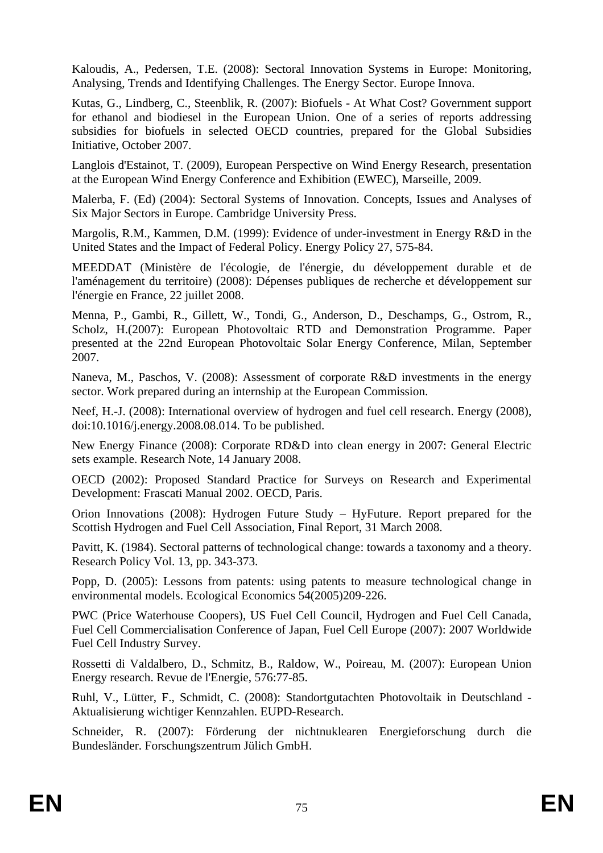Kaloudis, A., Pedersen, T.E. (2008): Sectoral Innovation Systems in Europe: Monitoring, Analysing, Trends and Identifying Challenges. The Energy Sector. Europe Innova.

Kutas, G., Lindberg, C., Steenblik, R. (2007): Biofuels - At What Cost? Government support for ethanol and biodiesel in the European Union. One of a series of reports addressing subsidies for biofuels in selected OECD countries, prepared for the Global Subsidies Initiative, October 2007.

Langlois d'Estainot, T. (2009), European Perspective on Wind Energy Research, presentation at the European Wind Energy Conference and Exhibition (EWEC), Marseille, 2009.

Malerba, F. (Ed) (2004): Sectoral Systems of Innovation. Concepts, Issues and Analyses of Six Major Sectors in Europe. Cambridge University Press.

Margolis, R.M., Kammen, D.M. (1999): Evidence of under-investment in Energy R&D in the United States and the Impact of Federal Policy. Energy Policy 27, 575-84.

MEEDDAT (Ministère de l'écologie, de l'énergie, du développement durable et de l'aménagement du territoire) (2008): Dépenses publiques de recherche et développement sur l'énergie en France, 22 juillet 2008.

Menna, P., Gambi, R., Gillett, W., Tondi, G., Anderson, D., Deschamps, G., Ostrom, R., Scholz, H.(2007): European Photovoltaic RTD and Demonstration Programme. Paper presented at the 22nd European Photovoltaic Solar Energy Conference, Milan, September 2007.

Naneva, M., Paschos, V. (2008): Assessment of corporate R&D investments in the energy sector. Work prepared during an internship at the European Commission.

Neef, H.-J. (2008): International overview of hydrogen and fuel cell research. Energy (2008), doi:10.1016/j.energy.2008.08.014. To be published.

New Energy Finance (2008): Corporate RD&D into clean energy in 2007: General Electric sets example. Research Note, 14 January 2008.

OECD (2002): Proposed Standard Practice for Surveys on Research and Experimental Development: Frascati Manual 2002. OECD, Paris.

Orion Innovations (2008): Hydrogen Future Study – HyFuture. Report prepared for the Scottish Hydrogen and Fuel Cell Association, Final Report, 31 March 2008.

Pavitt, K. (1984). Sectoral patterns of technological change: towards a taxonomy and a theory. Research Policy Vol. 13, pp. 343-373.

Popp, D. (2005): Lessons from patents: using patents to measure technological change in environmental models. Ecological Economics 54(2005)209-226.

PWC (Price Waterhouse Coopers), US Fuel Cell Council, Hydrogen and Fuel Cell Canada, Fuel Cell Commercialisation Conference of Japan, Fuel Cell Europe (2007): 2007 Worldwide Fuel Cell Industry Survey.

Rossetti di Valdalbero, D., Schmitz, B., Raldow, W., Poireau, M. (2007): European Union Energy research. Revue de l'Energie, 576:77-85.

Ruhl, V., Lütter, F., Schmidt, C. (2008): Standortgutachten Photovoltaik in Deutschland - Aktualisierung wichtiger Kennzahlen. EUPD-Research.

Schneider, R. (2007): Förderung der nichtnuklearen Energieforschung durch die Bundesländer. Forschungszentrum Jülich GmbH.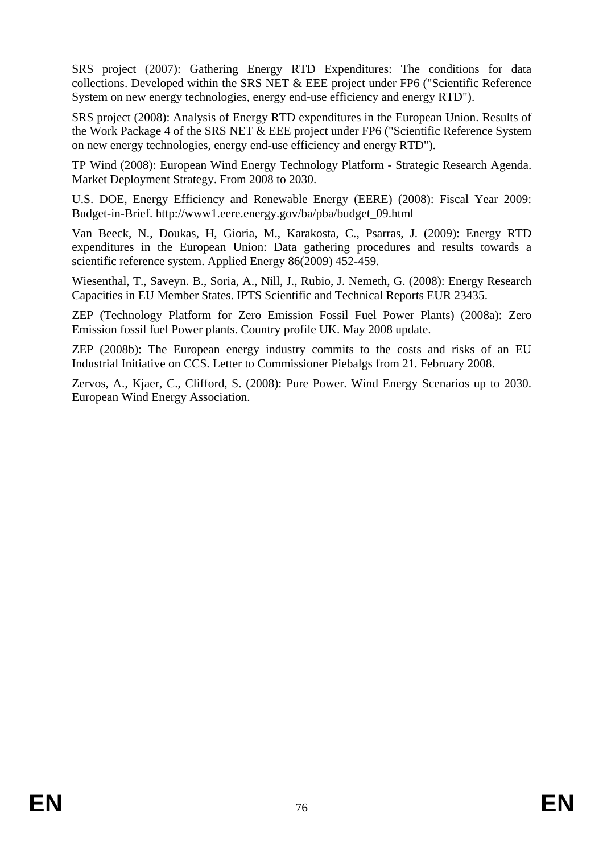SRS project (2007): Gathering Energy RTD Expenditures: The conditions for data collections. Developed within the SRS NET & EEE project under FP6 ("Scientific Reference System on new energy technologies, energy end-use efficiency and energy RTD").

SRS project (2008): Analysis of Energy RTD expenditures in the European Union. Results of the Work Package 4 of the SRS NET & EEE project under FP6 ("Scientific Reference System on new energy technologies, energy end-use efficiency and energy RTD").

TP Wind (2008): European Wind Energy Technology Platform - Strategic Research Agenda. Market Deployment Strategy. From 2008 to 2030.

U.S. DOE, Energy Efficiency and Renewable Energy (EERE) (2008): Fiscal Year 2009: Budget-in-Brief. [http://www1.eere.energy.gov/ba/pba/budget\\_09.html](http://www1.eere.energy.gov/ba/pba/budget_09.html) 

Van Beeck, N., Doukas, H, Gioria, M., Karakosta, C., Psarras, J. (2009): Energy RTD expenditures in the European Union: Data gathering procedures and results towards a scientific reference system. Applied Energy 86(2009) 452-459.

Wiesenthal, T., Saveyn. B., Soria, A., Nill, J., Rubio, J. Nemeth, G. (2008): Energy Research Capacities in EU Member States. IPTS Scientific and Technical Reports EUR 23435.

ZEP (Technology Platform for Zero Emission Fossil Fuel Power Plants) (2008a): Zero Emission fossil fuel Power plants. Country profile UK. May 2008 update.

ZEP (2008b): The European energy industry commits to the costs and risks of an EU Industrial Initiative on CCS. Letter to Commissioner Piebalgs from 21. February 2008.

Zervos, A., Kjaer, C., Clifford, S. (2008): Pure Power. Wind Energy Scenarios up to 2030. European Wind Energy Association.